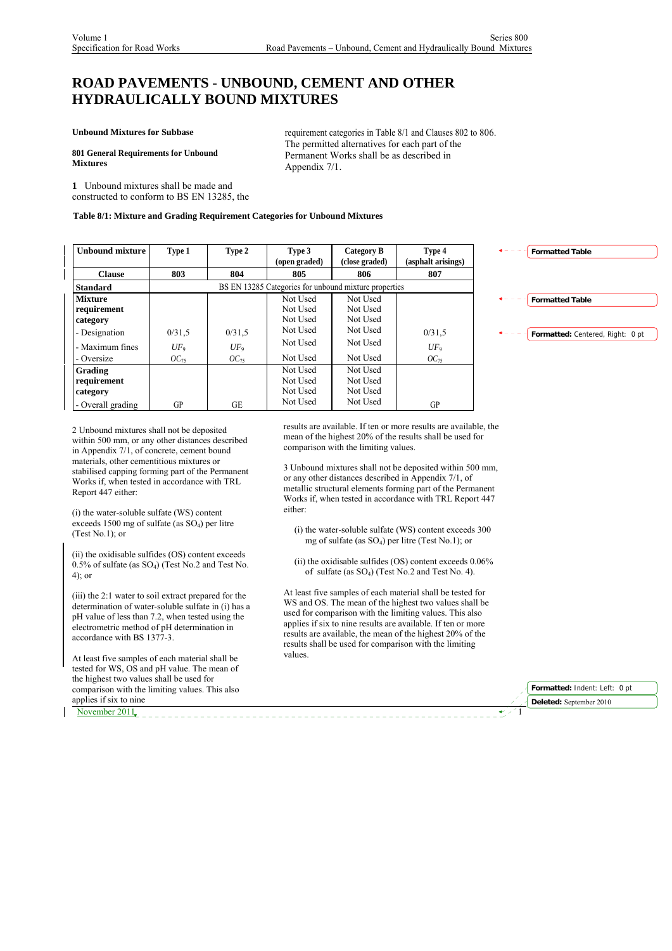# **ROAD PAVEMENTS - UNBOUND, CEMENT AND OTHER HYDRAULICALLY BOUND MIXTURES**

**Unbound Mixtures for Subbase**

**801 General Requirements for Unbound Mixtures** 

requirement categories in Table 8/1 and Clauses 802 to 806. The permitted alternatives for each part of the Permanent Works shall be as described in Appendix 7/1.

**1** Unbound mixtures shall be made and constructed to conform to BS EN 13285, the

### **Table 8/1: Mixture and Grading Requirement Categories for Unbound Mixtures**

| <b>Unbound mixture</b>                                                                      | Type 1                        | Type 2                        | Type 3<br>(open graded)                                              | Category B<br>(close graded)                                         | Type 4<br>(asphalt arisings)  |
|---------------------------------------------------------------------------------------------|-------------------------------|-------------------------------|----------------------------------------------------------------------|----------------------------------------------------------------------|-------------------------------|
| <b>Clause</b>                                                                               | 803                           | 804                           | 805                                                                  | 806                                                                  | 807                           |
| <b>Standard</b>                                                                             |                               |                               |                                                                      | BS EN 13285 Categories for unbound mixture properties                |                               |
| <b>Mixture</b><br>requirement<br>category<br>- Designation<br>- Maximum fines<br>- Oversize | 0/31.5<br>$UF_9$<br>$OC_{75}$ | 0/31,5<br>$UF_9$<br>$OC_{75}$ | Not Used<br>Not Used<br>Not Used<br>Not Used<br>Not Used<br>Not Used | Not Used<br>Not Used<br>Not Used<br>Not Used<br>Not Used<br>Not Used | 0/31.5<br>$UF_9$<br>$OC_{75}$ |
| Grading<br>requirement<br>category<br>- Overall grading                                     | GP                            | GЕ                            | Not Used<br>Not Used<br>Not Used<br>Not Used                         | Not Used<br>Not Used<br>Not Used<br>Not Used                         | GP                            |



2 Unbound mixtures shall not be deposited within 500 mm, or any other distances described in Appendix 7/1, of concrete, cement bound materials, other cementitious mixtures or stabilised capping forming part of the Permanent Works if, when tested in accordance with TRL Report 447 either:

(i) the water-soluble sulfate (WS) content exceeds 1500 mg of sulfate (as  $SO<sub>4</sub>$ ) per litre (Test No.1); or

(ii) the oxidisable sulfides (OS) content exceeds  $0.5\%$  of sulfate (as SO<sub>4</sub>) (Test No.2 and Test No. 4); or

(iii) the 2:1 water to soil extract prepared for the determination of water-soluble sulfate in (i) has a pH value of less than 7.2, when tested using the electrometric method of pH determination in accordance with BS 1377-3.

At least five samples of each material shall be tested for WS, OS and pH value. The mean of the highest two values shall be used for comparison with the limiting values. This also applies if six to nine

November 2011

results are available. If ten or more results are available, the mean of the highest 20% of the results shall be used for comparison with the limiting values.

3 Unbound mixtures shall not be deposited within 500 mm, or any other distances described in Appendix 7/1, of metallic structural elements forming part of the Permanent Works if, when tested in accordance with TRL Report 447 either:

- (i) the water-soluble sulfate (WS) content exceeds 300 mg of sulfate (as  $SO_4$ ) per litre (Test No.1); or
- (ii) the oxidisable sulfides (OS) content exceeds 0.06% of sulfate (as SO4) (Test No.2 and Test No. 4).

At least five samples of each material shall be tested for WS and OS. The mean of the highest two values shall be used for comparison with the limiting values. This also applies if six to nine results are available. If ten or more results are available, the mean of the highest 20% of the results shall be used for comparison with the limiting values.

| Formatted: Indent: Left: 0 pt |
|-------------------------------|
| Deleted: September 2010       |
|                               |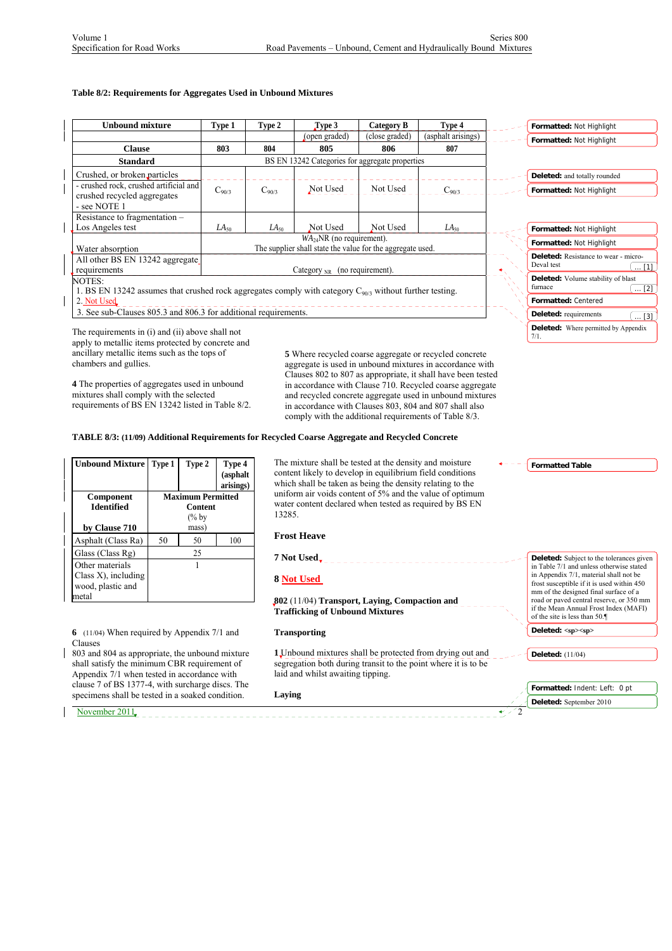### **Table 8/2: Requirements for Aggregates Used in Unbound Mixtures**

| <b>Unbound mixture</b>                                                                                       | Type 1           | Type 2     | $\Gamma$ ype 3                                             | Category B     | Type 4             | Formatted: Not Highlight                                  |
|--------------------------------------------------------------------------------------------------------------|------------------|------------|------------------------------------------------------------|----------------|--------------------|-----------------------------------------------------------|
|                                                                                                              |                  |            | (open graded)                                              | (close graded) | (asphalt arisings) | Formatted: Not Highlight                                  |
| <b>Clause</b>                                                                                                | 803              | 804        | 805                                                        | 806            | 807                |                                                           |
| <b>Standard</b>                                                                                              |                  |            | BS EN 13242 Categories for aggregate properties            |                |                    |                                                           |
| Crushed, or broken particles                                                                                 |                  |            |                                                            |                |                    | Deleted: and totally rounded                              |
| - crushed rock, crushed artificial and<br>crushed recycled aggregates                                        | $C_{90/3}$       | $C_{90/3}$ | Not Used                                                   | Not Used       | $C_{90/3}$         | Formatted: Not Highlight                                  |
| - see NOTE 1                                                                                                 |                  |            |                                                            |                |                    |                                                           |
| Resistance to fragmentation –                                                                                |                  |            |                                                            |                |                    |                                                           |
| Los Angeles test                                                                                             | LA <sub>50</sub> | $LA_{50}$  | Not Used                                                   | Not Used       | LA <sub>50</sub>   | Formatted: Not Highlight                                  |
|                                                                                                              |                  |            | $WA24NR$ (no requirement).                                 |                |                    | Formatted: Not Highlight                                  |
| Water absorption                                                                                             |                  |            | The supplier shall state the value for the aggregate used. |                |                    |                                                           |
| All other BS EN 13242 aggregate                                                                              |                  |            |                                                            |                |                    | <b>Deleted:</b> Resistance to wear - micro-<br>Deval test |
| requirements                                                                                                 |                  |            | Category $_{\text{NR}}$ (no requirement).                  |                |                    | $\dots$ [1]                                               |
| NOTES:                                                                                                       |                  |            |                                                            |                |                    | Deleted: Volume stability of blast                        |
| 1. BS EN 13242 assumes that crushed rock aggregates comply with category $C_{90/3}$ without further testing. |                  |            |                                                            |                |                    | furnace<br>$\ldots$ [2]                                   |
| 2. Not Used                                                                                                  |                  |            |                                                            |                |                    | Formatted: Centered                                       |
| 3. See sub-Clauses 805.3 and 806.3 for additional requirements.                                              |                  |            |                                                            |                |                    | <b>Deleted:</b> requirements<br>$\ldots$ [3]              |

The requirements in (i) and (ii) above shall not apply to metallic items protected by concrete and ancillary metallic items such as the tops of chambers and gullies.

**4** The properties of aggregates used in unbound mixtures shall comply with the selected requirements of BS EN 13242 listed in Table 8/2. **5** Where recycled coarse aggregate or recycled concrete aggregate is used in unbound mixtures in accordance with Clauses 802 to 807 as appropriate, it shall have been tested in accordance with Clause 710. Recycled coarse aggregate and recycled concrete aggregate used in unbound mixtures in accordance with Clauses 803, 804 and 807 shall also comply with the additional requirements of Table 8/3.

# **TABLE 8/3: (11/09) Additional Requirements for Recycled Coarse Aggregate and Recycled Concrete**

| <b>Unbound Mixture</b> | Type 1           | Type 2                   | Type 4<br>(asphalt<br>arisings) |  |
|------------------------|------------------|--------------------------|---------------------------------|--|
| <b>Component</b>       |                  | <b>Maximum Permitted</b> |                                 |  |
| <b>Identified</b>      | <b>Content</b>   |                          |                                 |  |
|                        | $\frac{6}{6}$ by |                          |                                 |  |
| by Clause 710          | mass)            |                          |                                 |  |
| Asphalt (Class Ra)     | 50               | 50                       | 100                             |  |
| Glass (Class Rg)       |                  | 25                       |                                 |  |
| Other materials        |                  |                          |                                 |  |
| Class $X$ ), including |                  |                          |                                 |  |
| wood, plastic and      |                  |                          |                                 |  |
| metal                  |                  |                          |                                 |  |

**6** (11/04) When required by Appendix 7/1 and Clauses

803 and 804 as appropriate, the unbound mixture shall satisfy the minimum CBR requirement of Appendix 7/1 when tested in accordance with clause 7 of BS 1377-4, with surcharge discs. The specimens shall be tested in a soaked condition.

November  $2011$ 

The mixture shall be tested at the density and moisture content likely to develop in equilibrium field conditions which shall be taken as being the density relating to the uniform air voids content of 5% and the value of optimum water content declared when tested as required by BS EN 13285.

## **Frost Heave**

**7 Not Used**  \_\_\_\_\_\_\_\_\_\_\_\_\_\_\_\_\_\_\_\_\_\_\_\_\_\_

### **8 Not Used**

**802** (11/04) **Transport, Laying, Compaction and Trafficking of Unbound Mixtures**

### **Transporting**

**1** Unbound mixtures shall be protected from drying out and **Deleted:** (11/04) segregation both during transit to the point where it is to be laid and whilst awaiting tipping.

**Laying**



**Deleted:** Where permitted by Appendix

7/1.

| mm of the designed final surface of a<br>road or paved central reserve, or 350 mm<br>if the Mean Annual Frost Index (MAFI) |
|----------------------------------------------------------------------------------------------------------------------------|
| of the site is less than 50.                                                                                               |
| Deleted: <sp><sp></sp></sp>                                                                                                |

| Formatted: Indent: Left: 0 pt                |  |
|----------------------------------------------|--|
| $\sqrt{\phantom{a}}$ Deleted: September 2010 |  |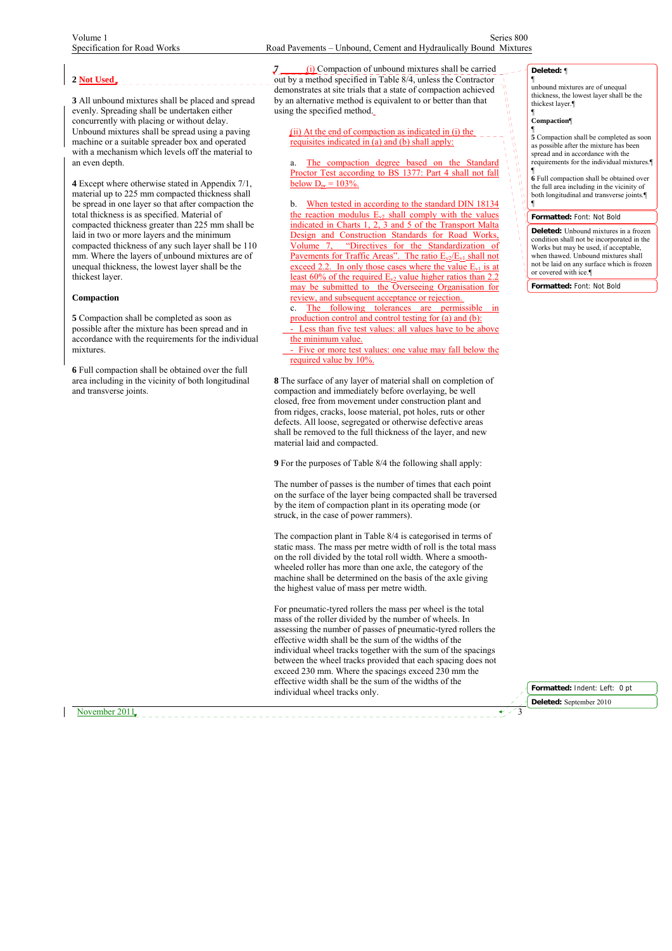## **2 Not Used**

**3** All unbound mixtures shall be placed and spread evenly. Spreading shall be undertaken either concurrently with placing or without delay. Unbound mixtures shall be spread using a paving machine or a suitable spreader box and operated with a mechanism which levels off the material to an even depth.

**4** Except where otherwise stated in Appendix 7/1, material up to 225 mm compacted thickness shall be spread in one layer so that after compaction the total thickness is as specified. Material of compacted thickness greater than 225 mm shall be laid in two or more layers and the minimum compacted thickness of any such layer shall be 110 mm. Where the layers of unbound mixtures are of unequal thickness, the lowest layer shall be the thickest layer.

### **Compaction**

**5** Compaction shall be completed as soon as possible after the mixture has been spread and in accordance with the requirements for the individual mixtures.

**6** Full compaction shall be obtained over the full area including in the vicinity of both longitudinal and transverse joints.

**7** (i) Compaction of unbound mixtures shall be carried out by a method specified in Table 8/4, unless the Contractor demonstrates at site trials that a state of compaction achieved by an alternative method is equivalent to or better than that using the specified method.

### $(ii)$  At the end of compaction as indicated in  $(i)$  the requisites indicated in (a) and (b) shall apply:

The compaction degree based on the Standard Proctor Test according to BS 1377: Part 4 shall not fall below  $D_{\text{pr}} = 103\%$ .

b. When tested in according to the standard DIN 18134 the reaction modulus  $E_{v2}$  shall comply with the values indicated in Charts 1, 2, 3 and 5 of the Transport Malta Design and Construction Standards for Road Works, Volume 7, "Directives for the Standardization of Pavements for Traffic Areas". The ratio  $E_{v2}/E_{v1}$  shall not exceed 2.2. In only those cases where the value  $E_{v1}$  is at least 60% of the required  $E_{v2}$  value higher ratios than 2.2 may be submitted to the Overseeing Organisation for review, and subsequent acceptance or rejection.

c. The following tolerances are permissible production control and control testing for (a) and (b): Less than five test values: all values have to be above

the minimum value. Five or more test values: one value may fall below the

required value by 10%.

**8** The surface of any layer of material shall on completion of compaction and immediately before overlaying, be well closed, free from movement under construction plant and from ridges, cracks, loose material, pot holes, ruts or other defects. All loose, segregated or otherwise defective areas shall be removed to the full thickness of the layer, and new material laid and compacted.

**9** For the purposes of Table 8/4 the following shall apply:

The number of passes is the number of times that each point on the surface of the layer being compacted shall be traversed by the item of compaction plant in its operating mode (or struck, in the case of power rammers).

The compaction plant in Table 8/4 is categorised in terms of static mass. The mass per metre width of roll is the total mass on the roll divided by the total roll width. Where a smoothwheeled roller has more than one axle, the category of the machine shall be determined on the basis of the axle giving the highest value of mass per metre width.

For pneumatic-tyred rollers the mass per wheel is the total mass of the roller divided by the number of wheels. In assessing the number of passes of pneumatic-tyred rollers the effective width shall be the sum of the widths of the individual wheel tracks together with the sum of the spacings between the wheel tracks provided that each spacing does not exceed 230 mm. Where the spacings exceed 230 mm the effective width shall be the sum of the widths of the individual wheel tracks only.

**Deleted:** ¶

¶ unbound mixtures are of unequal thickness, the lowest layer shall be the thickest layer.¶

# ¶ **Compaction**¶

in<br>N

 $\frac{u}{u}$ 

¶ **5** Compaction shall be completed as soon as possible after the mixture has been spread and in accordance with the requirements for the individual mixtures.¶

¶ **6** Full compaction shall be obtained over the full area including in the vicinity of both longitudinal and transverse joints.¶ ¶

#### **Formatted:** Font: Not Bold

**Deleted:** Unbound mixtures in a frozen condition shall not be incorporated in the Works but may be used, if acceptable, when thawed. Unbound mixtures shall not be laid on any surface which is frozen or covered with ice.¶

**Formatted:** Font: Not Bold

**Formatted:** Indent: Left: 0 pt **Deleted:** September 2010

November 2011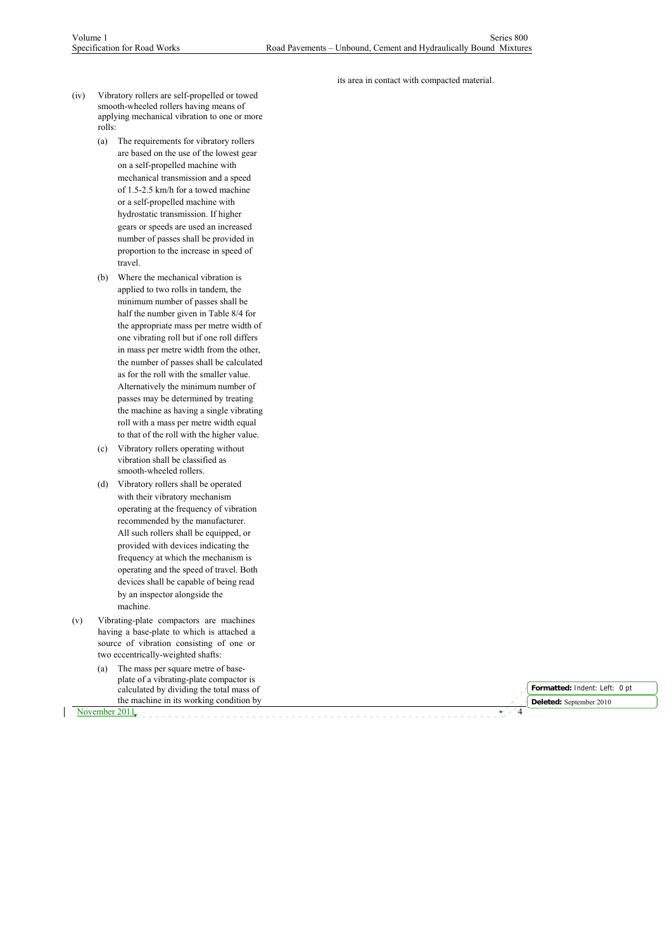its area in contact with compacted material.

- (iv) Vibratory rollers are self-propelled or towed smooth-wheeled rollers having means of applying mechanical vibration to one or more rolls:
	- (a) The requirements for vibratory rollers are based on the use of the lowest gear on a self-propelled machine with mechanical transmission and a speed of 1.5-2.5 km/h for a towed machine or a self-propelled machine with hydrostatic transmission. If higher gears or speeds are used an increased number of passes shall be provided in proportion to the increase in speed of travel.
	- (b) Where the mechanical vibration is applied to two rolls in tandem, the minimum number of passes shall be half the number given in Table 8/4 for the appropriate mass per metre width of one vibrating roll but if one roll differs in mass per metre width from the other, the number of passes shall be calculated as for the roll with the smaller value. Alternatively the minimum number of passes may be determined by treating the machine as having a single vibrating roll with a mass per metre width equal to that of the roll with the higher value.
	- (c) Vibratory rollers operating without vibration shall be classified as smooth-wheeled rollers.
	- (d) Vibratory rollers shall be operated with their vibratory mechanism operating at the frequency of vibration recommended by the manufacturer. All such rollers shall be equipped, or provided with devices indicating the frequency at which the mechanism is operating and the speed of travel. Both devices shall be capable of being read by an inspector alongside the machine.
- (v) Vibrating-plate compactors are machines having a base-plate to which is attached a source of vibration consisting of one or two eccentrically-weighted shafts:
	- (a) The mass per square metre of baseplate of a vibrating-plate compactor is calculated by dividing the total mass of the machine in its working condition by

November 2011,  $\sqrt{2}$ 

**Formatted:** Indent: Left: 0 pt **Deleted:** September 2010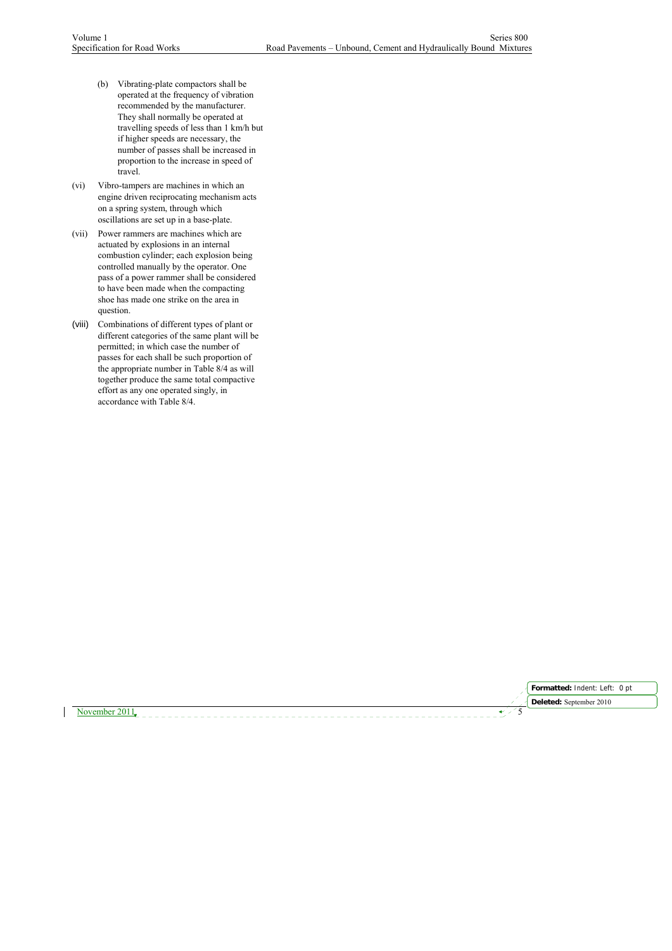- (b) Vibrating-plate compactors shall be operated at the frequency of vibration recommended by the manufacturer. They shall normally be operated at travelling speeds of less than 1 km/h but if higher speeds are necessary, the number of passes shall be increased in proportion to the increase in speed of travel.
- (vi) Vibro-tampers are machines in which an engine driven reciprocating mechanism acts on a spring system, through which oscillations are set up in a base-plate.
- (vii) Power rammers are machines which are actuated by explosions in an internal combustion cylinder; each explosion being controlled manually by the operator. One pass of a power rammer shall be considered to have been made when the compacting shoe has made one strike on the area in question.
- (viii) Combinations of different types of plant or different categories of the same plant will be permitted; in which case the number of passes for each shall be such proportion of the appropriate number in Table 8/4 as will together produce the same total compactive effort as any one operated singly, in accordance with Table 8/4.

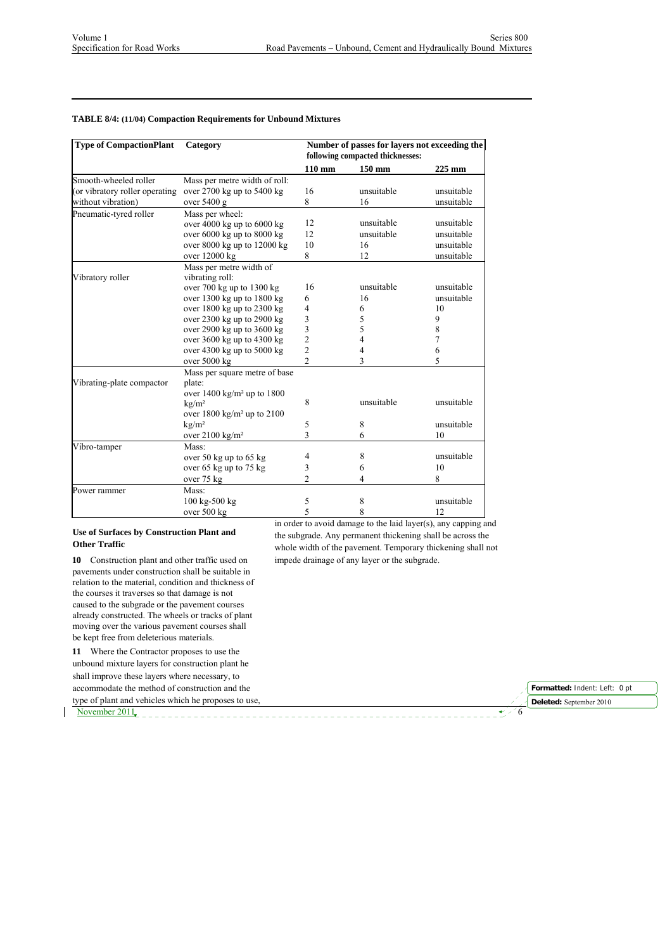## **TABLE 8/4: (11/04) Compaction Requirements for Unbound Mixtures**

| <b>Type of CompactionPlant</b> | Category                                      | Number of passes for layers not exceeding the<br>following compacted thicknesses: |                |                |
|--------------------------------|-----------------------------------------------|-----------------------------------------------------------------------------------|----------------|----------------|
|                                |                                               | $110 \text{ mm}$                                                                  | 150 mm         | 225 mm         |
| Smooth-wheeled roller          | Mass per metre width of roll:                 |                                                                                   |                |                |
| (or vibratory roller operating | over $2700$ kg up to $5400$ kg                | 16                                                                                | unsuitable     | unsuitable     |
| without vibration)             | over $5400$ g                                 | 8                                                                                 | 16             | unsuitable     |
| Pneumatic-tyred roller         | Mass per wheel:                               |                                                                                   |                |                |
|                                | over $4000$ kg up to $6000$ kg                | 12                                                                                | unsuitable     | unsuitable     |
|                                | over $6000$ kg up to $8000$ kg                | 12                                                                                | unsuitable     | unsuitable     |
|                                | over 8000 kg up to 12000 kg                   | 10                                                                                | 16             | unsuitable     |
|                                | over 12000 kg                                 | 8                                                                                 | 12             | unsuitable     |
|                                | Mass per metre width of                       |                                                                                   |                |                |
| Vibratory roller               | vibrating roll:                               |                                                                                   |                |                |
|                                | over $700 \text{ kg}$ up to $1300 \text{ kg}$ | 16                                                                                | unsuitable     | unsuitable     |
|                                | over 1300 kg up to 1800 kg                    | 6                                                                                 | 16             | unsuitable     |
|                                | over 1800 kg up to 2300 kg                    | 4                                                                                 | 6              | 10             |
|                                | over 2300 kg up to 2900 kg                    | 3                                                                                 | 5              | 9              |
|                                | over 2900 kg up to 3600 kg                    | $\begin{array}{c} 3 \\ 2 \\ 2 \end{array}$                                        | 5              | 8              |
|                                | over 3600 kg up to 4300 kg                    |                                                                                   | $\overline{4}$ | $\overline{7}$ |
|                                | over $4300$ kg up to $5000$ kg                |                                                                                   | 4              | 6              |
|                                | over 5000 kg                                  | $\overline{2}$                                                                    | 3              | 5              |
|                                | Mass per square metre of base                 |                                                                                   |                |                |
| Vibrating-plate compactor      | plate:                                        |                                                                                   |                |                |
|                                | over $1400 \text{ kg/m}^2$ up to $1800$       |                                                                                   |                |                |
|                                | kg/m <sup>2</sup>                             | 8                                                                                 | unsuitable     | unsuitable     |
|                                | over $1800 \text{ kg/m}^2$ up to $2100$       |                                                                                   |                |                |
|                                | kg/m <sup>2</sup>                             | 5                                                                                 | 8              | unsuitable     |
|                                | over $2100 \text{ kg/m}^2$                    | 3                                                                                 | 6              | 10             |
| Vibro-tamper                   | Mass:                                         |                                                                                   |                |                |
|                                | over 50 kg up to 65 kg                        | 4                                                                                 | 8              | unsuitable     |
|                                | over 65 kg up to 75 kg                        | 3                                                                                 | 6              | 10             |
|                                | over 75 kg                                    | $\overline{2}$                                                                    | 4              | 8              |
| Power rammer                   | Mass:                                         |                                                                                   |                |                |
|                                | 100 kg-500 kg                                 | 5                                                                                 | 8              | unsuitable     |
|                                | over 500 kg                                   | 5                                                                                 | 8              | 12             |

### **Use of Surfaces by Construction Plant and Other Traffic**

**10** Construction plant and other traffic used on pavements under construction shall be suitable in relation to the material, condition and thickness of the courses it traverses so that damage is not caused to the subgrade or the pavement courses already constructed. The wheels or tracks of plant moving over the various pavement courses shall be kept free from deleterious materials.

**11** Where the Contractor proposes to use the unbound mixture layers for construction plant he shall improve these layers where necessary, to accommodate the method of construction and the type of plant and vehicles which he proposes to use, in order to avoid damage to the laid layer(s), any capping and the subgrade. Any permanent thickening shall be across the whole width of the pavement. Temporary thickening shall not impede drainage of any layer or the subgrade.

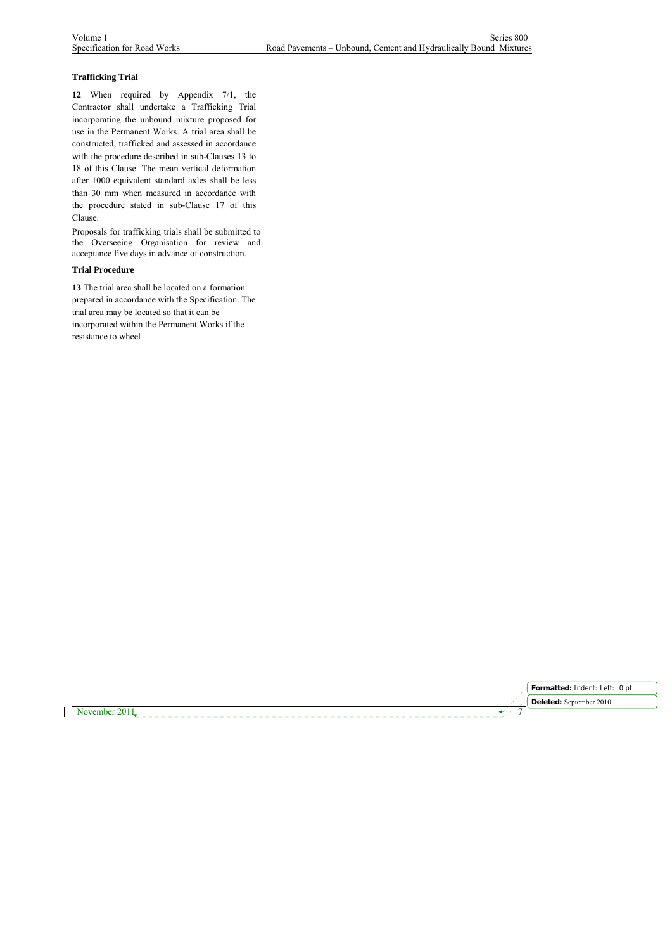## **Trafficking Trial**

**12** When required by Appendix 7/1, the Contractor shall undertake a Trafficking Trial incorporating the unbound mixture proposed for use in the Permanent Works. A trial area shall be constructed, trafficked and assessed in accordance with the procedure described in sub-Clauses 13 to 18 of this Clause. The mean vertical deformation after 1000 equivalent standard axles shall be less than 30 mm when measured in accordance with the procedure stated in sub-Clause 17 of this Clause.

Proposals for trafficking trials shall be submitted to the Overseeing Organisation for review and acceptance five days in advance of construction.

### **Trial Procedure**

**13** The trial area shall be located on a formation prepared in accordance with the Specification. The trial area may be located so that it can be incorporated within the Permanent Works if the resistance to wheel



November 2011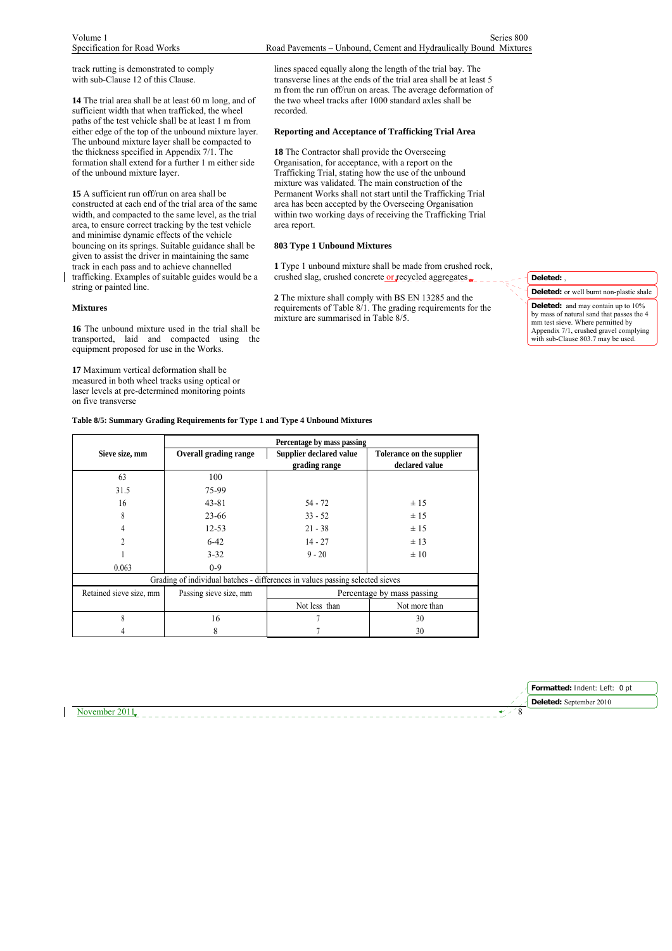track rutting is demonstrated to comply with sub-Clause 12 of this Clause.

**14** The trial area shall be at least 60 m long, and of sufficient width that when trafficked, the wheel paths of the test vehicle shall be at least 1 m from either edge of the top of the unbound mixture layer. The unbound mixture layer shall be compacted to the thickness specified in Appendix 7/1. The formation shall extend for a further 1 m either side of the unbound mixture layer.

**15** A sufficient run off/run on area shall be constructed at each end of the trial area of the same width, and compacted to the same level, as the trial area, to ensure correct tracking by the test vehicle and minimise dynamic effects of the vehicle bouncing on its springs. Suitable guidance shall be given to assist the driver in maintaining the same track in each pass and to achieve channelled trafficking. Examples of suitable guides would be a string or painted line.

### **Mixtures**

**16** The unbound mixture used in the trial shall be transported, laid and compacted using the equipment proposed for use in the Works.

**17** Maximum vertical deformation shall be measured in both wheel tracks using optical or laser levels at pre-determined monitoring points on five transverse

Volume 1 Series 800 Specification for Road Works Road Pavements – Unbound, Cement and Hydraulically Bound Mixtures

> lines spaced equally along the length of the trial bay. The transverse lines at the ends of the trial area shall be at least 5 m from the run off/run on areas. The average deformation of the two wheel tracks after 1000 standard axles shall be recorded.

### **Reporting and Acceptance of Trafficking Trial Area**

**18** The Contractor shall provide the Overseeing Organisation, for acceptance, with a report on the Trafficking Trial, stating how the use of the unbound mixture was validated. The main construction of the Permanent Works shall not start until the Trafficking Trial area has been accepted by the Overseeing Organisation within two working days of receiving the Trafficking Trial area report.

### **803 Type 1 Unbound Mixtures**

**1** Type 1 unbound mixture shall be made from crushed rock, crushed slag, crushed concrete or recycled aggregates

**2** The mixture shall comply with BS EN 13285 and the requirements of Table  $8/1$ . The grading requirements for the mixture are summarised in Table 8/5.

**Deleted:** ,

**Deleted:** or well burnt non-plastic shale **Deleted:** and may contain up to 10% by mass of natural sand that passes the 4 mm test sieve. Where permitted by Appendix 7/1, crushed gravel complying with sub-Clause 803.7 may be used.

**Table 8/5: Summary Grading Requirements for Type 1 and Type 4 Unbound Mixtures** 

|                         | Percentage by mass passing                                                    |                            |                           |  |  |
|-------------------------|-------------------------------------------------------------------------------|----------------------------|---------------------------|--|--|
| Sieve size, mm          | <b>Overall grading range</b>                                                  | Supplier declared value    | Tolerance on the supplier |  |  |
|                         |                                                                               | grading range              | declared value            |  |  |
| 63                      | 100                                                                           |                            |                           |  |  |
| 31.5                    | 75-99                                                                         |                            |                           |  |  |
| 16                      | $43 - 81$                                                                     | $54 - 72$                  | ±15                       |  |  |
| 8                       | $23 - 66$                                                                     | $33 - 52$                  | ± 15                      |  |  |
|                         | $12 - 53$                                                                     | $21 - 38$                  | ±15                       |  |  |
| 2                       | $6-42$                                                                        | $14 - 27$                  | ± 13                      |  |  |
|                         | $3 - 32$                                                                      | $9 - 20$                   | $\pm 10$                  |  |  |
| 0.063                   | $0 - 9$                                                                       |                            |                           |  |  |
|                         | Grading of individual batches - differences in values passing selected sieves |                            |                           |  |  |
| Retained sieve size, mm | Passing sieve size, mm                                                        | Percentage by mass passing |                           |  |  |
|                         |                                                                               | Not less than              | Not more than             |  |  |
| 8                       | 16                                                                            |                            | 30                        |  |  |
|                         | 8                                                                             |                            | 30                        |  |  |

November 2011  $\sim$ 

**Formatted:** Indent: Left: 0 pt **Deleted:** September 2010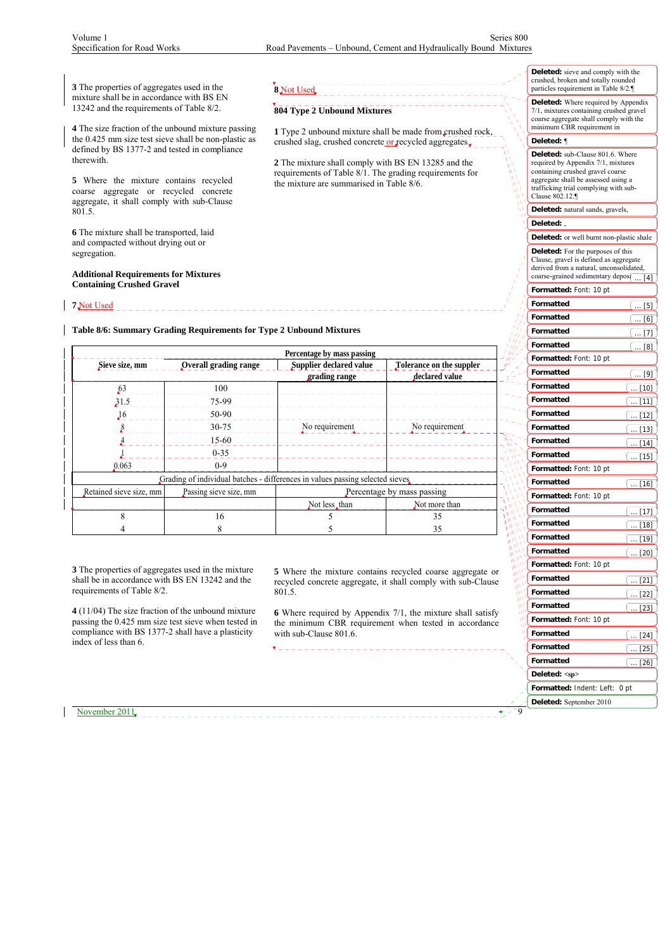**1** Type 2 unbound mixture shall be made from crushed rock, crushed slag, crushed concrete or recycled aggregates  $\frac{1}{\sqrt{2}}$ **2** The mixture shall comply with BS EN 13285 and the requirements of Table 8/1. The grading requirements for

**3** The properties of aggregates used in the mixture shall be in accordance with BS EN 13242 and the requirements of Table 8/2.

**4** The size fraction of the unbound mixture passing the 0.425 mm size test sieve shall be non-plastic as defined by BS 1377-2 and tested in compliance therewith.

**5** Where the mixture contains recycled coarse aggregate or recycled concrete aggregate, it shall comply with sub-Clause 801.5.

**6** The mixture shall be transported, laid and compacted without drying out or segregation.

**Additional Requirements for Mixtures Containing Crushed Gravel**

**7** Not Used

**Table 8/6: Summary Grading Requirements for Type 2 Unbound Mixtures**

|                         | Percentage by mass passing |                                                                                |                          |  |  |  |
|-------------------------|----------------------------|--------------------------------------------------------------------------------|--------------------------|--|--|--|
| Sieve size, mm          | Overall grading range      | Supplier declared value                                                        | Tolerance on the suppler |  |  |  |
|                         |                            | grading range                                                                  | declared value           |  |  |  |
| 63                      | 100                        |                                                                                |                          |  |  |  |
| 31.5                    | 75-99                      |                                                                                |                          |  |  |  |
| ,16                     | 50-90                      |                                                                                |                          |  |  |  |
|                         | 30-75                      | No requirement                                                                 | No requirement           |  |  |  |
|                         | $15-60$                    |                                                                                |                          |  |  |  |
|                         | $0 - 35$                   |                                                                                |                          |  |  |  |
| 0.063                   | $0-9$                      |                                                                                |                          |  |  |  |
|                         |                            | Grading of individual batches - differences in values passing selected sieves. |                          |  |  |  |
| Retained sieve size, mm | Passing sieve size, mm     | Percentage by mass passing                                                     |                          |  |  |  |
|                         |                            | Not less, than                                                                 | Not more than            |  |  |  |
| $\mathsf{\overline{R}}$ | 16                         |                                                                                | 35                       |  |  |  |
|                         | 8                          |                                                                                | 35                       |  |  |  |

**8** Not Used

**804 Type 2 Unbound Mixtures**

the mixture are summarised in Table 8/6.

**3** The properties of aggregates used in the mixture shall be in accordance with BS EN 13242 and the requirements of Table 8/2.

**4** (11/04) The size fraction of the unbound mixture passing the 0.425 mm size test sieve when tested in compliance with BS 1377-2 shall have a plasticity index of less than 6.

**5** Where the mixture contains recycled coarse aggregate or recycled concrete aggregate, it shall comply with sub-Clause 801.5.

**6** Where required by Appendix 7/1, the mixture shall satisfy the minimum CBR requirement when tested in accordance with sub-Clause 801.6.

\_\_\_\_\_\_\_\_\_\_\_\_\_\_\_\_\_\_\_\_\_

| <b>Deleted:</b> sieve and comply with the |
|-------------------------------------------|
| crushed, broken and totally rounded       |
| particles requirement in Table 8/2.       |

**Deleted:** Where required by Appendix 7/1, mixtures containing crushed gravel coarse aggregate shall comply with the minimum CBR requirement in

| coarse aggregate shall comply with the<br>minimum CBR requirement in                                                                                                                                                 |     |
|----------------------------------------------------------------------------------------------------------------------------------------------------------------------------------------------------------------------|-----|
| Deleted: ¶                                                                                                                                                                                                           |     |
| <b>Deleted:</b> sub-Clause 801.6. Where<br>required by Appendix 7/1, mixtures<br>containing crushed gravel coarse<br>aggregate shall be assessed using a<br>trafficking trial complying with sub-<br>Clause 802.12.¶ |     |
| Deleted: natural sands, gravels,                                                                                                                                                                                     |     |
| Deleted: .                                                                                                                                                                                                           |     |
| Deleted: or well burnt non-plastic shale                                                                                                                                                                             |     |
| <b>Deleted:</b> For the purposes of this<br>Clause, gravel is defined as aggregate<br>derived from a natural, unconsolidated,<br>coarse-grained sedimentary depos(                                                   | [4] |
| Formatted: Font: 10 pt                                                                                                                                                                                               |     |
| Formatted<br>[5]                                                                                                                                                                                                     |     |
| Formatted<br>$[6]$                                                                                                                                                                                                   |     |
| Formatted                                                                                                                                                                                                            | [7] |
| Formatted                                                                                                                                                                                                            | [8] |
| Formatted: Font: 10 pt                                                                                                                                                                                               |     |
| Formatted<br>[9]                                                                                                                                                                                                     |     |
| Formatted<br>$[10]$                                                                                                                                                                                                  |     |
| Formatted<br>[11]                                                                                                                                                                                                    |     |
| Formatted<br>[12]                                                                                                                                                                                                    |     |
| Formatted<br>[13]<br>a.                                                                                                                                                                                              |     |
| Formatted<br>$[14]$                                                                                                                                                                                                  |     |
| Formatted<br>15]                                                                                                                                                                                                     |     |
| Formatted: Font: 10 pt                                                                                                                                                                                               |     |
| Formatted<br>$[16]$<br>$\cdots$                                                                                                                                                                                      |     |
| Formatted: Font: 10 pt                                                                                                                                                                                               |     |
| Formatted<br>[17]                                                                                                                                                                                                    |     |
| Formatted<br>18                                                                                                                                                                                                      |     |
| Formatted<br>19]                                                                                                                                                                                                     |     |
| Formatted<br>[20]                                                                                                                                                                                                    |     |
| Formatted: Font: 10 pt                                                                                                                                                                                               |     |
| Formatted<br>[21]                                                                                                                                                                                                    |     |
| Formatted<br>[22]                                                                                                                                                                                                    |     |
| Formatted<br>[23]                                                                                                                                                                                                    |     |
| Formatted: Font: 10 pt                                                                                                                                                                                               |     |
| ١١<br>Formatted<br>[24]                                                                                                                                                                                              |     |
| Formatted<br>$[25]$<br>$\ddot{\phantom{1}}$                                                                                                                                                                          |     |
| Formatted<br>$[26]$<br>$\ldots$                                                                                                                                                                                      |     |
| Deleted: <sp></sp>                                                                                                                                                                                                   |     |
| Formatted: Indent: Left:<br>0 pt                                                                                                                                                                                     |     |
| Deleted: September 2010                                                                                                                                                                                              |     |

高野 海の かいかん

November 2011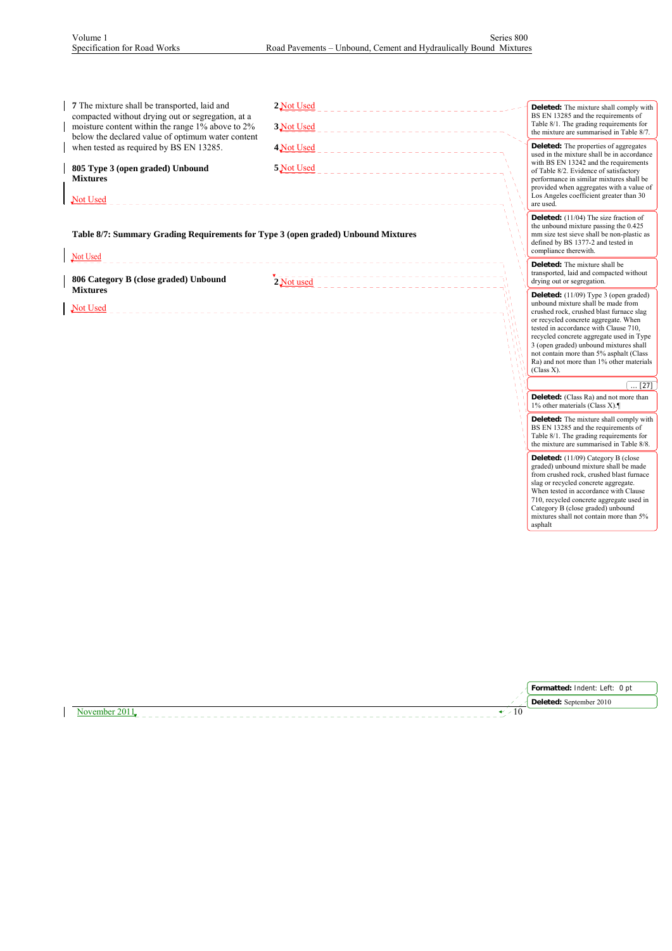| <b>7</b> The mixture shall be transported, laid and<br>compacted without drying out or segregation, at a<br>moisture content within the range 1% above to 2%<br>below the declared value of optimum water content | 2 Not Used<br>3 Not Used      | <b>Deleted:</b> The mixture shall comply with<br>BS EN 13285 and the requirements of<br>Table 8/1. The grading requirements for<br>the mixture are summarised in Table 8/7.                                                     |
|-------------------------------------------------------------------------------------------------------------------------------------------------------------------------------------------------------------------|-------------------------------|---------------------------------------------------------------------------------------------------------------------------------------------------------------------------------------------------------------------------------|
| when tested as required by BS EN 13285.                                                                                                                                                                           | 4 Not Used                    | <b>Deleted:</b> The properties of aggregates<br>used in the mixture shall be in accordance                                                                                                                                      |
| 805 Type 3 (open graded) Unbound<br><b>Mixtures</b><br>Not Used                                                                                                                                                   | 5 Not Used                    | with BS EN 13242 and the requirements<br>of Table 8/2. Evidence of satisfactory<br>performance in similar mixtures shall be<br>provided when aggregates with a value of<br>Los Angeles coefficient greater than 30<br>are used. |
| Table 8/7: Summary Grading Requirements for Type 3 (open graded) Unbound Mixtures<br>Not Used                                                                                                                     |                               | <b>Deleted:</b> (11/04) The size fraction of<br>the unbound mixture passing the 0.425<br>mm size test sieve shall be non-plastic as<br>defined by BS 1377-2 and tested in<br>compliance therewith.                              |
| 806 Category B (close graded) Unbound                                                                                                                                                                             | $2\overline{\text{Not used}}$ | <b>Deleted:</b> The mixture shall be<br>transported, laid and compacted without<br>drying out or segregation.                                                                                                                   |
| <b>Mixtures</b><br>Not Used                                                                                                                                                                                       |                               | <b>Deleted:</b> $(11/09)$ Type 3 (open graded)<br>unbound mixture shall be made from<br>crushed rock, crushed blast furnace slag                                                                                                |

crushed rock, crushed blast furnace slag or recycled concrete aggregate. When tested in accordance with Clause 710, recycled concrete aggregate used in Type 3 (open graded) unbound mixtures shall not contain more than 5% asphalt (Class Ra) and not more than 1% other materials (Class X).

# $\left[ ... [27] \right]$

**Deleted:** (Class Ra) and not more than 1% other materials (Class X).

**Deleted:** The mixture shall comply with BS EN 13285 and the requirements of Table 8/1. The grading requirements for the mixture are summarised in Table 8/8.

**Deleted:** (11/09) Category B (close graded) unbound mixture shall be made from crushed rock, crushed blast furnace slag or recycled concrete aggregate. When tested in accordance with Clause 710, recycled concrete aggregate used in Category B (close graded) unbound mixtures shall not contain more than 5% asphalt

| Formatted: Indent: Left: 0 pt |
|-------------------------------|
| Deleted: September 2010       |
|                               |

November 2011  $\cdot$  10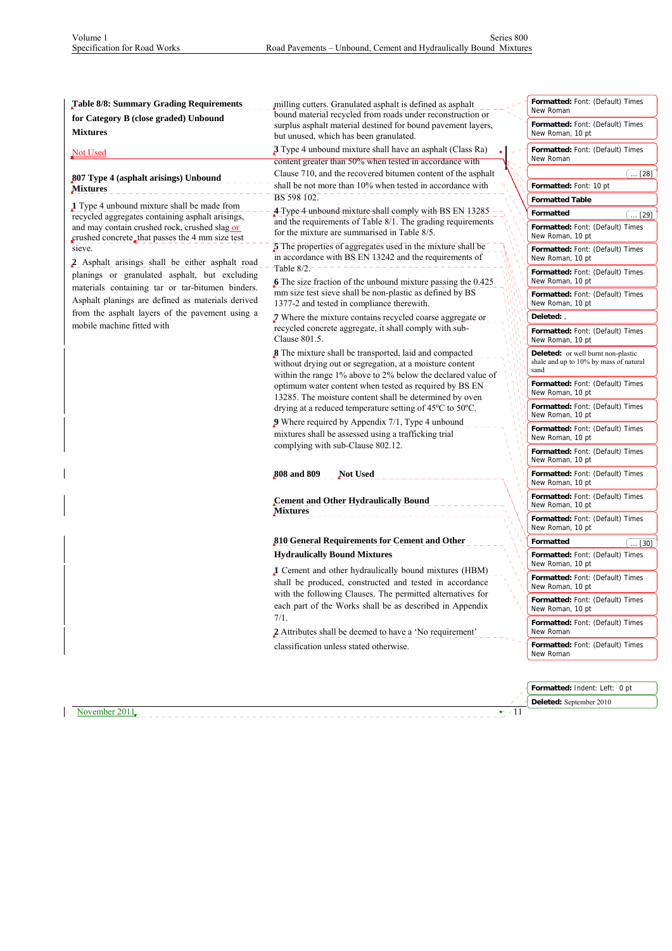| Table 8/8: Summary Grading Requirements                    | milling cutters. Granulated asphalt is defined as asphalt                                                            | Formatted: Font: (Default) Times                     |
|------------------------------------------------------------|----------------------------------------------------------------------------------------------------------------------|------------------------------------------------------|
|                                                            | bound material recycled from roads under reconstruction or                                                           | New Roman                                            |
| for Category B (close graded) Unbound                      | surplus asphalt material destined for bound pavement layers,                                                         | Formatted: Font: (Default) Times                     |
| <b>Mixtures</b>                                            | but unused, which has been granulated.                                                                               | New Roman, 10 pt                                     |
| <b>Not Used</b>                                            | 3 Type 4 unbound mixture shall have an asphalt (Class Ra)<br>content greater than 50% when tested in accordance with | Formatted: Font: (Default) Times<br>New Roman        |
|                                                            | Clause 710, and the recovered bitumen content of the asphalt                                                         | $\dots$ [28]                                         |
| 807 Type 4 (asphalt arisings) Unbound                      | shall be not more than 10% when tested in accordance with                                                            | Formatted: Font: 10 pt                               |
| Mixtures                                                   | BS 598 102.                                                                                                          | <b>Formatted Table</b>                               |
| 1 Type 4 unbound mixture shall be made from                | 4-Type-4-unbound mixture-shall-comply with BS EN 13285                                                               | Formatted                                            |
| recycled aggregates containing asphalt arisings,           | and the requirements of Table 8/1. The grading requirements                                                          | [29]                                                 |
| and may contain crushed rock, crushed slag or              | for the mixture are summarised in Table 8/5.                                                                         | Formatted: Font: (Default) Times<br>New Roman, 10 pt |
| crushed concrete, that passes the 4 mm size test<br>sieve. | 5 The properties of aggregates used in the mixture shall be                                                          |                                                      |
|                                                            | in accordance with BS EN 13242 and the requirements of                                                               | Formatted: Font: (Default) Times<br>New Roman, 10 pt |
| 2 Asphalt arisings shall be either asphalt road            | Table $8/2$ .                                                                                                        | Formatted: Font: (Default) Times                     |
| planings or granulated asphalt, but excluding              | 6 The size fraction of the unbound mixture passing the $0.425$                                                       | New Roman, 10 pt                                     |
| materials containing tar or tar-bitumen binders.           | mm size test sieve shall be non-plastic as defined by BS                                                             | Formatted: Font: (Default) Times                     |
| Asphalt planings are defined as materials derived          | 1377-2 and tested in compliance therewith.                                                                           | New Roman, 10 pt                                     |
| from the asphalt layers of the pavement using a            | 7 Where the mixture contains recycled coarse aggregate or                                                            | Deleted:                                             |
| mobile machine fitted with                                 | recycled concrete aggregate, it shall comply with sub-                                                               | Formatted: Font: (Default) Times                     |
|                                                            | Clause 801.5.                                                                                                        | New Roman, 10 pt                                     |
|                                                            | 8 The mixture shall be transported, laid and compacted                                                               | Deleted: or well burnt non-plastic                   |
|                                                            | without drying out or segregation, at a moisture content                                                             | shale and up to 10% by mass of natural<br>sand       |
|                                                            | within the range 1% above to 2% below the declared value of                                                          |                                                      |
|                                                            | optimum water content when tested as required by BS EN                                                               | Formatted: Font: (Default) Times<br>New Roman, 10 pt |
|                                                            | 13285. The moisture content shall be determined by oven                                                              | Formatted: Font: (Default) Times                     |
|                                                            | drying at a reduced temperature setting of 45 <sup>o</sup> C to 50 <sup>o</sup> C.                                   | New Roman, 10 pt                                     |
|                                                            | 9 Where required by Appendix 7/1, Type 4 unbound                                                                     | Formatted: Font: (Default) Times                     |
|                                                            | mixtures shall be assessed using a trafficking trial                                                                 | New Roman, 10 pt                                     |
|                                                            | complying with sub-Clause 802.12.                                                                                    | Formatted: Font: (Default) Times                     |
|                                                            |                                                                                                                      | New Roman, 10 pt                                     |
|                                                            | 808 and 809<br><b>Not Used</b>                                                                                       | Formatted: Font: (Default) Times                     |
|                                                            |                                                                                                                      | New Roman, 10 pt                                     |
|                                                            | Cement and Other Hydraulically Bound                                                                                 | Formatted: Font: (Default) Times                     |
|                                                            | <b>Mixtures</b>                                                                                                      | New Roman, 10 pt                                     |
|                                                            |                                                                                                                      | Formatted: Font: (Default) Times<br>New Roman, 10 pt |
|                                                            | 810 General Requirements for Cement and Other                                                                        | Formatted                                            |
|                                                            |                                                                                                                      | $\dots$ [30]                                         |
|                                                            | <b>Hydraulically Bound Mixtures</b>                                                                                  | Formatted: Font: (Default) Times<br>New Roman, 10 pt |
|                                                            | 1 Cement and other hydraulically bound mixtures (HBM)                                                                | Formatted: Font: (Default) Times                     |
|                                                            | shall be produced, constructed and tested in accordance                                                              | New Roman, 10 pt                                     |
|                                                            | with the following Clauses. The permitted alternatives for                                                           | Formatted: Font: (Default) Times                     |
|                                                            | each part of the Works shall be as described in Appendix                                                             | New Roman, 10 pt                                     |
|                                                            | 7/1.                                                                                                                 | Formatted: Font: (Default) Times                     |
|                                                            | 2 Attributes shall be deemed to have a 'No requirement'                                                              | New Roman                                            |
|                                                            | classification unless stated otherwise.                                                                              | Formatted: Font: (Default) Times                     |
|                                                            |                                                                                                                      | New Roman                                            |
|                                                            |                                                                                                                      |                                                      |
|                                                            |                                                                                                                      | Formatted: Indent: Left: 0 pt                        |
|                                                            |                                                                                                                      |                                                      |

**Deleted:** September 2010

November 2011  $\cdot$  11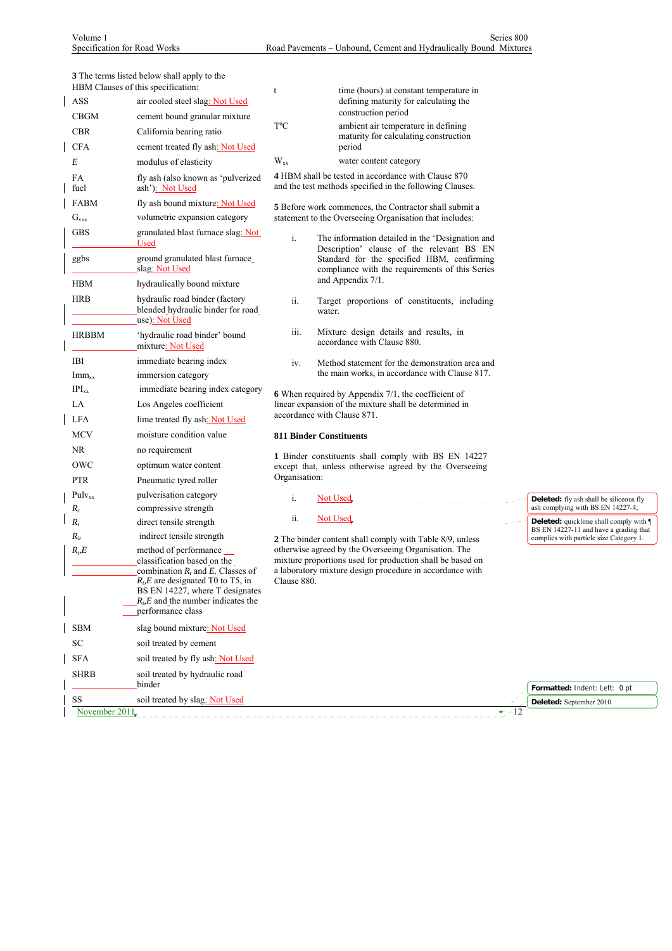**3** The terms listed below shall apply to the

|                              | HBM Clauses of this specification:                                                               | t             | time (hours) at constant temperature in                                                                               |                                                                                                |
|------------------------------|--------------------------------------------------------------------------------------------------|---------------|-----------------------------------------------------------------------------------------------------------------------|------------------------------------------------------------------------------------------------|
| ASS                          | air cooled steel slag: Not Used                                                                  |               | defining maturity for calculating the                                                                                 |                                                                                                |
| <b>CBGM</b>                  | cement bound granular mixture                                                                    | T°C           | construction period                                                                                                   |                                                                                                |
| <b>CBR</b>                   | California bearing ratio                                                                         |               | ambient air temperature in defining<br>maturity for calculating construction                                          |                                                                                                |
| <b>CFA</b>                   | cement treated fly ash: Not Used                                                                 |               | period                                                                                                                |                                                                                                |
| E                            | modulus of elasticity                                                                            | $W_{xx}$      | water content category                                                                                                |                                                                                                |
| FA<br>fuel                   | fly ash (also known as 'pulverized<br>ash'): Not Used                                            |               | 4 HBM shall be tested in accordance with Clause 870<br>and the test methods specified in the following Clauses.       |                                                                                                |
| <b>FABM</b>                  | fly ash bound mixture: Not Used                                                                  |               | <b>5</b> Before work commences, the Contractor shall submit a                                                         |                                                                                                |
| $G_{vxx}$                    | volumetric expansion category                                                                    |               | statement to the Overseeing Organisation that includes:                                                               |                                                                                                |
| <b>GBS</b>                   | granulated blast furnace slag: Not<br>Used                                                       | i.            | The information detailed in the 'Designation and<br>Description' clause of the relevant BS EN                         |                                                                                                |
| ggbs                         | ground granulated blast furnace_<br>slag: Not Used                                               |               | Standard for the specified HBM, confirming<br>compliance with the requirements of this Series                         |                                                                                                |
| <b>HBM</b>                   | hydraulically bound mixture                                                                      |               | and Appendix 7/1.                                                                                                     |                                                                                                |
| <b>HRB</b>                   | hydraulic road binder (factory<br>blended hydraulic binder for road<br>use): Not Used            | ii.           | Target proportions of constituents, including<br>water.                                                               |                                                                                                |
| <b>HRBBM</b>                 | 'hydraulic road binder' bound<br>mixture: Not Used                                               | iii.          | Mixture design details and results, in<br>accordance with Clause 880.                                                 |                                                                                                |
| IBI                          | immediate bearing index                                                                          | iv.           | Method statement for the demonstration area and                                                                       |                                                                                                |
| $Imm_{xx}$                   | immersion category                                                                               |               | the main works, in accordance with Clause 817.                                                                        |                                                                                                |
| $IPI_{xx}$                   | immediate bearing index category                                                                 |               | 6 When required by Appendix 7/1, the coefficient of                                                                   |                                                                                                |
| LA                           | Los Angeles coefficient                                                                          |               | linear expansion of the mixture shall be determined in                                                                |                                                                                                |
| <b>LFA</b>                   | lime treated fly ash: Not Used                                                                   |               | accordance with Clause 871.                                                                                           |                                                                                                |
| <b>MCV</b>                   | moisture condition value                                                                         |               | <b>811 Binder Constituents</b>                                                                                        |                                                                                                |
| NR.                          | no requirement                                                                                   |               | 1 Binder constituents shall comply with BS EN 14227                                                                   |                                                                                                |
| OWC                          | optimum water content                                                                            |               | except that, unless otherwise agreed by the Overseeing                                                                |                                                                                                |
| <b>PTR</b>                   | Pneumatic tyred roller                                                                           | Organisation: |                                                                                                                       |                                                                                                |
| $Pulv_{xx}$                  | pulverisation category                                                                           | i.            | <u>Not Used</u>                                                                                                       | <b>Deleted:</b> fly ash shall be siliceous fly                                                 |
| $R_c$                        | compressive strength                                                                             | ii.           | <b>Not Used</b><br>____________                                                                                       | ash complying with BS EN 14227-4;                                                              |
| $R_t$                        | direct tensile strength                                                                          |               |                                                                                                                       | <b>Deleted:</b> quicklime shall comply with <b>1</b><br>BS EN 14227-11 and have a grading that |
| $R_{it}$<br>R <sub>b</sub> E | indirect tensile strength                                                                        |               | 2 The binder content shall comply with Table 8/9, unless<br>otherwise agreed by the Overseeing Organisation. The      | complies with particle size Category 1.                                                        |
|                              | method of performance ____<br>classification based on the<br>combination $R_t$ and E. Classes of |               | mixture proportions used for production shall be based on<br>a laboratory mixture design procedure in accordance with |                                                                                                |
|                              | $RbE$ are designated T0 to T5, in                                                                | Clause 880.   |                                                                                                                       |                                                                                                |
|                              | BS EN 14227, where T designates<br>$R_p E$ and the number indicates the<br>performance class     |               |                                                                                                                       |                                                                                                |
|                              |                                                                                                  |               |                                                                                                                       |                                                                                                |
| <b>SBM</b><br>SC             | slag bound mixture: Not Used<br>soil treated by cement                                           |               |                                                                                                                       |                                                                                                |
| <b>SFA</b>                   |                                                                                                  |               |                                                                                                                       |                                                                                                |
|                              | soil treated by fly ash: Not Used                                                                |               |                                                                                                                       |                                                                                                |
| <b>SHRB</b>                  | soil treated by hydraulic road<br>binder                                                         |               |                                                                                                                       | Formatted: Indent: Left: 0 pt                                                                  |
| $\rm SS$                     | soil treated by slag: Not Used                                                                   |               |                                                                                                                       | Deleted: September 2010                                                                        |
| November 2011                |                                                                                                  |               | $\rightarrow$ -12                                                                                                     |                                                                                                |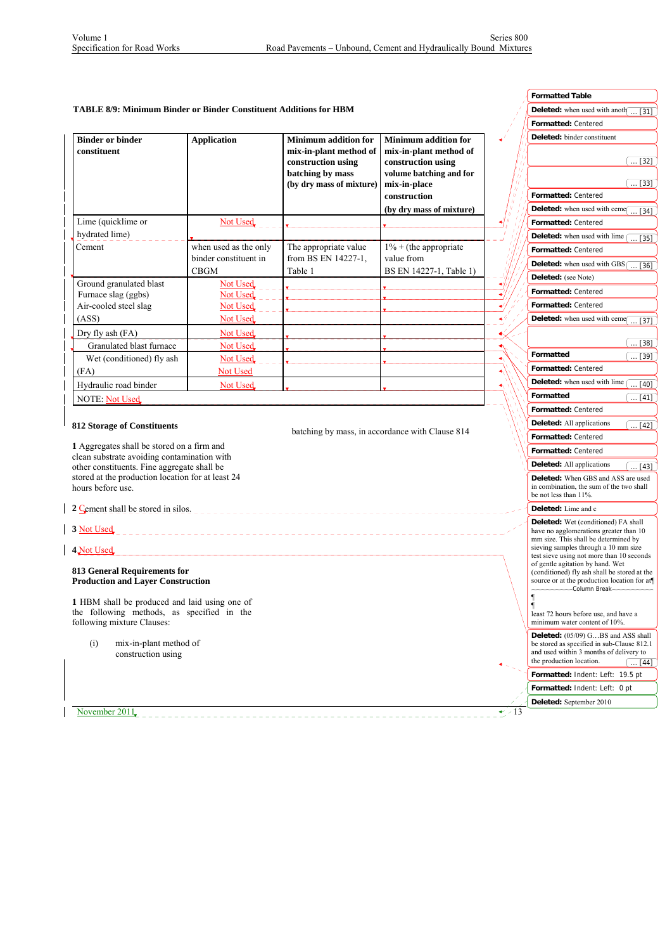$\overline{\phantom{a}}$  $\overline{\phantom{a}}$  $\overline{\phantom{a}}$ 

|                                                                                            |                                   |                                              |                                                 |            | <b>Formatted Table</b>                                                                      |
|--------------------------------------------------------------------------------------------|-----------------------------------|----------------------------------------------|-------------------------------------------------|------------|---------------------------------------------------------------------------------------------|
| <b>TABLE 8/9: Minimum Binder or Binder Constituent Additions for HBM</b>                   |                                   |                                              |                                                 |            | <b>Deleted:</b> when used with anoth $\boxed{ [31]}$                                        |
|                                                                                            |                                   |                                              |                                                 |            | Formatted: Centered                                                                         |
| <b>Binder or binder</b>                                                                    | <b>Application</b>                | <b>Minimum addition for</b>                  | <b>Minimum addition for</b>                     |            | Deleted: binder constituent                                                                 |
| constituent                                                                                |                                   | mix-in-plant method of                       | mix-in-plant method of                          |            |                                                                                             |
|                                                                                            |                                   | construction using                           | construction using                              |            | $\dots$ [32]                                                                                |
|                                                                                            |                                   | batching by mass                             | volume batching and for                         |            |                                                                                             |
|                                                                                            |                                   | (by dry mass of mixture)                     | mix-in-place                                    |            | $\dots$ [33]<br>Formatted: Centered                                                         |
|                                                                                            |                                   |                                              | construction                                    |            |                                                                                             |
|                                                                                            |                                   |                                              | (by dry mass of mixture)                        |            | Deleted: when used with ceme<br>$\dots$ [34]                                                |
| Lime (quicklime or                                                                         | Not Used                          |                                              |                                                 |            | Formatted: Centered                                                                         |
| hydrated lime)<br>Cement                                                                   | when used as the only             |                                              |                                                 |            | <b>Deleted:</b> when used with lime (<br>[35]                                               |
|                                                                                            | binder constituent in             | The appropriate value<br>from BS EN 14227-1, | $1\%$ + (the appropriate<br>value from          |            | Formatted: Centered                                                                         |
|                                                                                            | CBGM                              | Table 1                                      | BS EN 14227-1, Table 1)                         |            | <b>Deleted:</b> when used with GBS $\begin{bmatrix} \dots & 36 \end{bmatrix}$               |
| Ground granulated blast                                                                    | <b>Not Used</b>                   |                                              |                                                 |            | Deleted: (see Note)                                                                         |
| Furnace slag (ggbs)                                                                        | Not Used                          |                                              |                                                 |            | Formatted: Centered                                                                         |
| Air-cooled steel slag                                                                      | Not Used                          |                                              |                                                 |            | <b>Formatted: Centered</b>                                                                  |
| (ASS)                                                                                      | <b>Not Used</b>                   |                                              |                                                 |            | <b>Deleted:</b> when used with ceme $\boxed{ [37]}$                                         |
| Dry fly ash (FA)                                                                           | Not Used                          |                                              |                                                 |            |                                                                                             |
| Granulated blast furnace                                                                   | Not Used                          |                                              |                                                 |            | $\dots$ [38]                                                                                |
| Wet (conditioned) fly ash                                                                  | Not Used                          |                                              |                                                 |            | Formatted<br>$\dots$ [39]                                                                   |
| (FA)                                                                                       | <b>Not Used</b>                   |                                              |                                                 |            | Formatted: Centered                                                                         |
| Hydraulic road binder                                                                      | Not Used                          |                                              |                                                 |            | Deleted: when used with lime<br>$\ldots$ [40]                                               |
| <b>NOTE: Not Used</b>                                                                      |                                   |                                              |                                                 |            | Formatted<br>$\dots$ [41]                                                                   |
|                                                                                            |                                   |                                              |                                                 |            | Formatted: Centered                                                                         |
| <b>812 Storage of Constituents</b>                                                         |                                   |                                              |                                                 |            | <b>Deleted:</b> All applications<br>$\ldots$ [42]                                           |
|                                                                                            |                                   |                                              | batching by mass, in accordance with Clause 814 |            | Formatted: Centered                                                                         |
| 1 Aggregates shall be stored on a firm and                                                 |                                   |                                              |                                                 |            | Formatted: Centered                                                                         |
| clean substrate avoiding contamination with<br>other constituents. Fine aggregate shall be |                                   |                                              |                                                 |            | <b>Deleted:</b> All applications<br>$\dots$ [43]                                            |
| stored at the production location for at least 24                                          |                                   |                                              |                                                 |            | Deleted: When GBS and ASS are used                                                          |
| hours before use.                                                                          |                                   |                                              |                                                 |            | in combination, the sum of the two shall                                                    |
|                                                                                            |                                   |                                              |                                                 |            | be not less than 11%.                                                                       |
| 2 Cement shall be stored in silos.                                                         |                                   |                                              |                                                 |            | Deleted: Lime and c                                                                         |
| 3 Not Used                                                                                 |                                   |                                              |                                                 |            | <b>Deleted:</b> Wet (conditioned) FA shall<br>have no agglomerations greater than 10        |
|                                                                                            | _________________________________ |                                              |                                                 |            | mm size. This shall be determined by                                                        |
| 4 Not Used                                                                                 |                                   |                                              |                                                 |            | sieving samples through a 10 mm size<br>test sieve using not more than 10 seconds           |
|                                                                                            |                                   |                                              |                                                 |            | of gentle agitation by hand. Wet                                                            |
| 813 General Requirements for<br><b>Production and Layer Construction</b>                   |                                   |                                              |                                                 |            | (conditioned) fly ash shall be stored at the<br>source or at the production location for at |
|                                                                                            |                                   |                                              |                                                 |            | ------------------Column Break---------------                                               |
| 1 HBM shall be produced and laid using one of                                              |                                   |                                              |                                                 |            | $\blacksquare$                                                                              |
| the following methods, as specified in the<br>following mixture Clauses:                   |                                   |                                              |                                                 |            | least 72 hours before use, and have a<br>minimum water content of 10%.                      |
|                                                                                            |                                   |                                              |                                                 |            |                                                                                             |
| mix-in-plant method of<br>(i)                                                              |                                   |                                              |                                                 |            | <b>Deleted:</b> (05/09) GBS and ASS shall<br>be stored as specified in sub-Clause 812.1     |
| construction using                                                                         |                                   |                                              |                                                 |            | and used within 3 months of delivery to<br>the production location.                         |
|                                                                                            |                                   |                                              |                                                 |            | $\ldots$ [44]                                                                               |
|                                                                                            |                                   |                                              |                                                 |            | Formatted: Indent: Left: 19.5 pt                                                            |
|                                                                                            |                                   |                                              |                                                 |            | <b>Formatted:</b> Indent: Left: 0 pt                                                        |
| November 2011                                                                              |                                   |                                              |                                                 | $\div$ -13 | Deleted: September 2010                                                                     |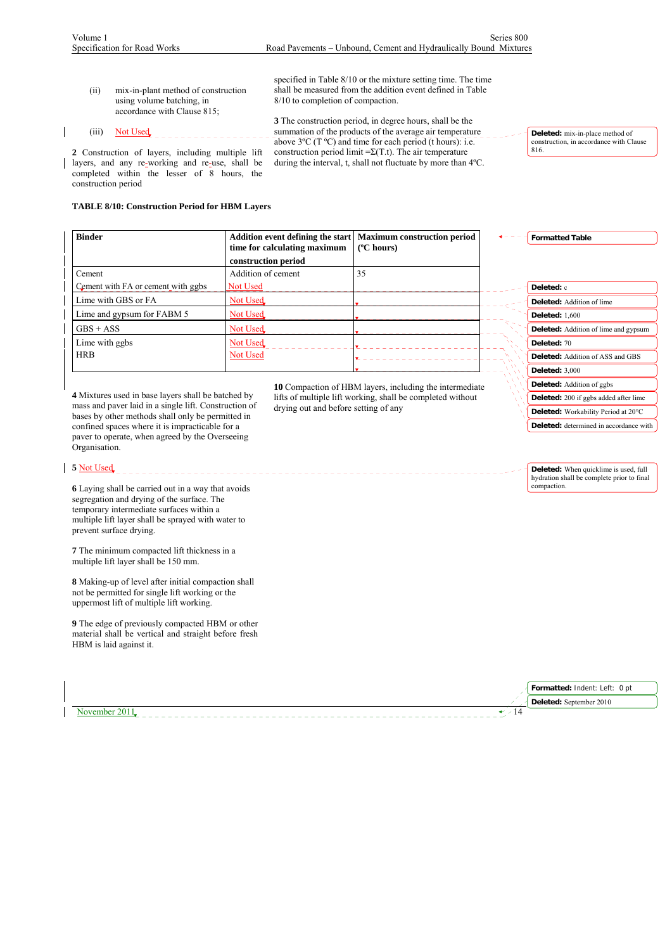construction period

 $\mathsf{l}$ 

| (i)   | mix-in-plant method of construction<br>using volume batching, in<br>accordance with Clause 815; | specified in Table 8/10 or the mixture setting time. The time<br>shall be measured from the addition event defined in Table<br>8/10 to completion of compaction. |
|-------|-------------------------------------------------------------------------------------------------|------------------------------------------------------------------------------------------------------------------------------------------------------------------|
|       |                                                                                                 | 3 The construction period, in degree hours, shall be the                                                                                                         |
| (111) | Not Used                                                                                        | summation of the products of the average air temperature                                                                                                         |
|       |                                                                                                 | above $3^{\circ}$ C (T $^{\circ}$ C) and time for each period (t hours): i.e.                                                                                    |
|       | 2 Construction of layers, including multiple lift                                               | construction period limit $=\Sigma(T,t)$ . The air temperature                                                                                                   |
|       | layers, and any re-working and re-use, shall be                                                 | during the interval, t, shall not fluctuate by more than $4^{\circ}$ C.                                                                                          |
|       | completed within the lesser of 8 hours, the                                                     |                                                                                                                                                                  |

**Deleted:** mix-in-place method of construction, in accordance with Clause 816.

# **TABLE 8/10: Construction Period for HBM Layers**

| <b>Binder</b>                      | time for calculating maximum | Addition event defining the start   Maximum construction period<br>$(^{\circ}C$ hours) | <b>Formatted Table</b>                      |
|------------------------------------|------------------------------|----------------------------------------------------------------------------------------|---------------------------------------------|
|                                    | construction period          |                                                                                        |                                             |
| Cement                             | Addition of cement           | 35                                                                                     |                                             |
| Cement with FA or cement with ggbs | <b>Not Used</b>              |                                                                                        | Deleted: c                                  |
| Lime with GBS or FA                | <b>Not Used</b>              |                                                                                        | <b>Deleted:</b> Addition of lime            |
| Lime and gypsum for FABM 5         | <b>Not Used</b>              |                                                                                        | <b>Deleted:</b> 1,600                       |
| $GBS + ASS$                        | Not Used                     |                                                                                        | <b>Deleted:</b> Addition of lime and gypsum |
| Lime with ggbs                     | Not Used                     |                                                                                        | Deleted: 70                                 |
| <b>HRB</b>                         | Not Used                     |                                                                                        | <b>Deleted:</b> Addition of ASS and GBS     |
|                                    |                              |                                                                                        | Deleted: $3,000$                            |

**4** Mixtures used in base layers shall be batched by mass and paver laid in a single lift. Construction of bases by other methods shall only be permitted in confined spaces where it is impracticable for a paver to operate, when agreed by the Overseeing Organisation.

### **5** Not Used

**6** Laying shall be carried out in a way that avoids segregation and drying of the surface. The temporary intermediate surfaces within a multiple lift layer shall be sprayed with water to prevent surface drying.

**7** The minimum compacted lift thickness in a multiple lift layer shall be 150 mm.

**8** Making-up of level after initial compaction shall not be permitted for single lift working or the uppermost lift of multiple lift working.

**9** The edge of previously compacted HBM or other material shall be vertical and straight before fresh HBM is laid against it.

November 2011

**10** Compaction of HBM layers, including the intermediate lifts of multiple lift working, shall be completed without drying out and before setting of any

**Deleted:** Addition of ggbs **Deleted:** 200 if ggbs added after lime **Deleted:** Workability Period at 20°C **Deleted:** determined in accordance with

**Deleted:** When quicklime is used, full hydration shall be complete prior to final compaction.

| Formatted: Indent: Left: 0 pt |
|-------------------------------|
| Deleted: September 2010       |
|                               |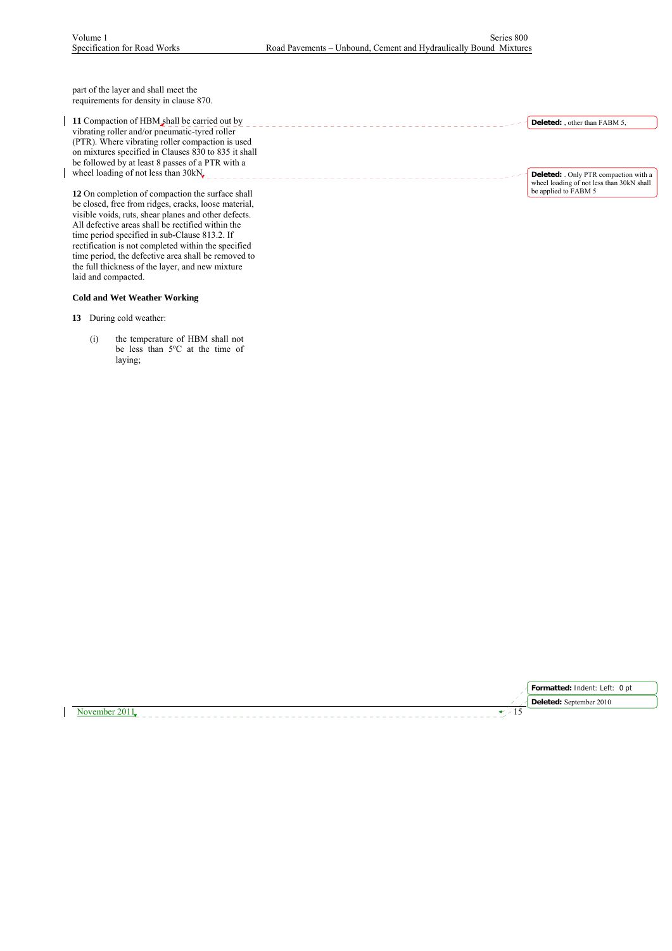part of the layer and shall meet the requirements for density in clause 870.

11 Compaction of HBM shall be carried out by vibrating roller and/or pneumatic-tyred roller (PTR). Where vibrating roller compaction is used on mixtures specified in Clauses 830 to 835 it shall be followed by at least 8 passes of a PTR with a wheel loading of not less than  $30kN_{c}$ 

**12** On completion of compaction the surface shall be closed, free from ridges, cracks, loose material, visible voids, ruts, shear planes and other defects. All defective areas shall be rectified within the time period specified in sub-Clause 813.2. If rectification is not completed within the specified time period, the defective area shall be removed to the full thickness of the layer, and new mixture laid and compacted.

### **Cold and Wet Weather Working**

**13** During cold weather:

(i) the temperature of HBM shall not be less than 5°C at the time of laying;

**Deleted:** , other than FABM 5,

**Deleted:** . Only PTR compaction with a wheel loading of not less than 30kN shall be applied to FABM 5

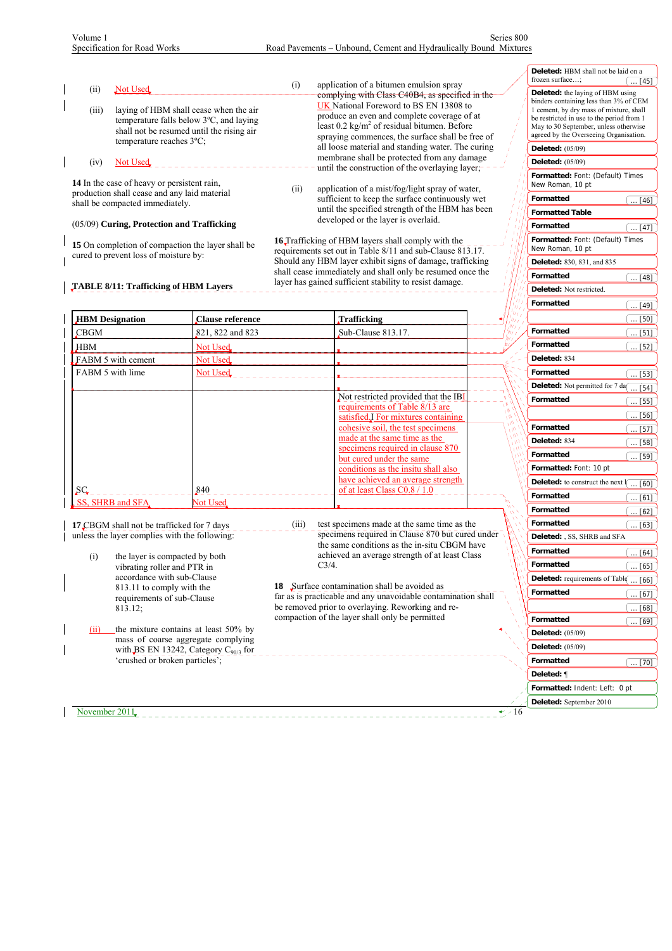| Not Used<br>(i)<br>laying of HBM shall cease when the air<br>(iii)<br>temperature falls below 3°C, and laying<br>shall not be resumed until the rising air<br>temperature reaches 3°C;<br>(iv)<br><b>Not Used</b><br>14 In the case of heavy or persistent rain,<br>production shall cease and any laid material<br>shall be compacted immediately.<br>(05/09) Curing, Protection and Trafficking |                                                                                                                                            | application of a bitumen emulsion spray<br>(i)<br>complying with Class C40B4, as specified in the<br>UK National Foreword to BS EN 13808 to<br>produce an even and complete coverage of at<br>least 0.2 kg/m <sup>2</sup> of residual bitumen. Before<br>spraying commences, the surface shall be free of<br>all loose material and standing water. The curing<br>membrane shall be protected from any damage<br>until the construction of the overlaying layer;<br>(ii)<br>application of a mist/fog/light spray of water,<br>sufficient to keep the surface continuously wet<br>until the specified strength of the HBM has been<br>developed or the layer is overlaid.<br>16 Trafficking of HBM layers shall comply with the |       |             |                                                                                                                                                                                                                                                                                                                               |           |  | Deleted: HBM shall not be laid on a<br>frozen surface;<br>Deleted: the laying of HBM using<br>binders containing less than 3% of CEM<br>1 cement, by dry mass of mixture, shall<br>be restricted in use to the period from 1<br>May to 30 September, unless otherwise<br>agreed by the Overseeing Organisation.<br><b>Deleted:</b> (05/09)<br><b>Deleted:</b> (05/09)<br>Formatted: Font: (Default) Times<br>New Roman, 10 pt<br>Formatted<br><b>Formatted Table</b><br>Formatted<br>Formatted: Font: (Default) Times | $\ldots$ [45]<br>$\ldots$ [46]<br>$\ldots$ [47]                                                |
|---------------------------------------------------------------------------------------------------------------------------------------------------------------------------------------------------------------------------------------------------------------------------------------------------------------------------------------------------------------------------------------------------|--------------------------------------------------------------------------------------------------------------------------------------------|---------------------------------------------------------------------------------------------------------------------------------------------------------------------------------------------------------------------------------------------------------------------------------------------------------------------------------------------------------------------------------------------------------------------------------------------------------------------------------------------------------------------------------------------------------------------------------------------------------------------------------------------------------------------------------------------------------------------------------|-------|-------------|-------------------------------------------------------------------------------------------------------------------------------------------------------------------------------------------------------------------------------------------------------------------------------------------------------------------------------|-----------|--|-----------------------------------------------------------------------------------------------------------------------------------------------------------------------------------------------------------------------------------------------------------------------------------------------------------------------------------------------------------------------------------------------------------------------------------------------------------------------------------------------------------------------|------------------------------------------------------------------------------------------------|
|                                                                                                                                                                                                                                                                                                                                                                                                   | 15 On completion of compaction the layer shall be<br>cured to prevent loss of moisture by:<br><b>TABLE 8/11: Trafficking of HBM Layers</b> |                                                                                                                                                                                                                                                                                                                                                                                                                                                                                                                                                                                                                                                                                                                                 |       |             | requirements set out in Table 8/11 and sub-Clause 813.17.<br>Should any HBM layer exhibit signs of damage, trafficking<br>shall cease immediately and shall only be resumed once the<br>layer has gained sufficient stability to resist damage.                                                                               |           |  | New Roman, 10 pt<br><b>Deleted:</b> 830, 831, and 835<br>Formatted<br>Deleted: Not restricted.                                                                                                                                                                                                                                                                                                                                                                                                                        | $\ldots$ [48]                                                                                  |
|                                                                                                                                                                                                                                                                                                                                                                                                   |                                                                                                                                            |                                                                                                                                                                                                                                                                                                                                                                                                                                                                                                                                                                                                                                                                                                                                 |       |             |                                                                                                                                                                                                                                                                                                                               |           |  | <b>Formatted</b>                                                                                                                                                                                                                                                                                                                                                                                                                                                                                                      | $\ldots$ [49]                                                                                  |
| <b>HBM</b> Designation                                                                                                                                                                                                                                                                                                                                                                            |                                                                                                                                            | Clause reference                                                                                                                                                                                                                                                                                                                                                                                                                                                                                                                                                                                                                                                                                                                |       | Trafficking |                                                                                                                                                                                                                                                                                                                               |           |  |                                                                                                                                                                                                                                                                                                                                                                                                                                                                                                                       | $\ldots$ [50]                                                                                  |
| <b>CBGM</b>                                                                                                                                                                                                                                                                                                                                                                                       |                                                                                                                                            | 821, 822 and 823                                                                                                                                                                                                                                                                                                                                                                                                                                                                                                                                                                                                                                                                                                                |       |             | Sub-Clause 813.17.                                                                                                                                                                                                                                                                                                            |           |  | <b>Formatted</b>                                                                                                                                                                                                                                                                                                                                                                                                                                                                                                      | $\dots$ [51]                                                                                   |
| <b>HBM</b>                                                                                                                                                                                                                                                                                                                                                                                        |                                                                                                                                            | Not Used                                                                                                                                                                                                                                                                                                                                                                                                                                                                                                                                                                                                                                                                                                                        |       |             |                                                                                                                                                                                                                                                                                                                               |           |  | Formatted                                                                                                                                                                                                                                                                                                                                                                                                                                                                                                             | $\dots$ [52]                                                                                   |
| FABM 5 with cement                                                                                                                                                                                                                                                                                                                                                                                |                                                                                                                                            | Not Used                                                                                                                                                                                                                                                                                                                                                                                                                                                                                                                                                                                                                                                                                                                        |       |             |                                                                                                                                                                                                                                                                                                                               |           |  | Deleted: 834                                                                                                                                                                                                                                                                                                                                                                                                                                                                                                          |                                                                                                |
| FABM 5 with lime                                                                                                                                                                                                                                                                                                                                                                                  |                                                                                                                                            | Not Used                                                                                                                                                                                                                                                                                                                                                                                                                                                                                                                                                                                                                                                                                                                        |       |             |                                                                                                                                                                                                                                                                                                                               |           |  | Formatted<br>Deleted: Not permitted for 7 day                                                                                                                                                                                                                                                                                                                                                                                                                                                                         | $\ldots$ [53]                                                                                  |
|                                                                                                                                                                                                                                                                                                                                                                                                   |                                                                                                                                            |                                                                                                                                                                                                                                                                                                                                                                                                                                                                                                                                                                                                                                                                                                                                 |       |             | Not restricted provided that the IB<br>requirements of Table 8/13 are<br>satisfied I For mixtures containing<br>cohesive soil, the test specimens<br>made at the same time as the<br>specimens required in clause 870<br>but cured under the same<br>conditions as the insitu shall also<br>have achieved an average strength |           |  | Formatted<br><b>Formatted</b><br>Deleted: 834<br>Formatted<br>Formatted: Font: 10 pt                                                                                                                                                                                                                                                                                                                                                                                                                                  | $\ldots$ [54]<br>$\dots$ [55]<br>$\dots$ [56]<br>$\ldots$ [57]<br>$\dots$ [58]<br>$\dots$ [59] |
| $\overline{\mathcal{S}}$ C                                                                                                                                                                                                                                                                                                                                                                        |                                                                                                                                            | 840                                                                                                                                                                                                                                                                                                                                                                                                                                                                                                                                                                                                                                                                                                                             |       |             | of at least Class C0.8 / 1.0                                                                                                                                                                                                                                                                                                  |           |  | Deleted: to construct the next                                                                                                                                                                                                                                                                                                                                                                                                                                                                                        | 〔60〕〕                                                                                          |
| SS, SHRB and SFA                                                                                                                                                                                                                                                                                                                                                                                  |                                                                                                                                            | <b>Not Used</b>                                                                                                                                                                                                                                                                                                                                                                                                                                                                                                                                                                                                                                                                                                                 |       |             |                                                                                                                                                                                                                                                                                                                               |           |  | Formatted                                                                                                                                                                                                                                                                                                                                                                                                                                                                                                             | …[61]]                                                                                         |
|                                                                                                                                                                                                                                                                                                                                                                                                   |                                                                                                                                            |                                                                                                                                                                                                                                                                                                                                                                                                                                                                                                                                                                                                                                                                                                                                 |       |             |                                                                                                                                                                                                                                                                                                                               |           |  | Formatted<br><b>Formatted</b>                                                                                                                                                                                                                                                                                                                                                                                                                                                                                         | $\dots$ [62]                                                                                   |
|                                                                                                                                                                                                                                                                                                                                                                                                   | <b>17 CBGM</b> shall not be trafficked for 7 days<br>unless the layer complies with the following:                                         |                                                                                                                                                                                                                                                                                                                                                                                                                                                                                                                                                                                                                                                                                                                                 | (iii) |             | test specimens made at the same time as the<br>specimens required in Clause 870 but cured under                                                                                                                                                                                                                               |           |  | Deleted: , SS, SHRB and SFA                                                                                                                                                                                                                                                                                                                                                                                                                                                                                           | $\overline{\ldots}$ [63]                                                                       |
|                                                                                                                                                                                                                                                                                                                                                                                                   |                                                                                                                                            |                                                                                                                                                                                                                                                                                                                                                                                                                                                                                                                                                                                                                                                                                                                                 |       |             | the same conditions as the in-situ CBGM have                                                                                                                                                                                                                                                                                  |           |  | <b>Formatted</b>                                                                                                                                                                                                                                                                                                                                                                                                                                                                                                      |                                                                                                |
| (i)                                                                                                                                                                                                                                                                                                                                                                                               | the layer is compacted by both<br>vibrating roller and PTR in                                                                              |                                                                                                                                                                                                                                                                                                                                                                                                                                                                                                                                                                                                                                                                                                                                 |       | $C3/4$ .    | achieved an average strength of at least Class                                                                                                                                                                                                                                                                                |           |  | <b>Formatted</b>                                                                                                                                                                                                                                                                                                                                                                                                                                                                                                      | $\ldots$ [64]<br>[65]                                                                          |
|                                                                                                                                                                                                                                                                                                                                                                                                   | accordance with sub-Clause                                                                                                                 |                                                                                                                                                                                                                                                                                                                                                                                                                                                                                                                                                                                                                                                                                                                                 |       |             |                                                                                                                                                                                                                                                                                                                               |           |  | Deleted: requirements of Table                                                                                                                                                                                                                                                                                                                                                                                                                                                                                        | $\ldots$ [66]                                                                                  |
|                                                                                                                                                                                                                                                                                                                                                                                                   | 813.11 to comply with the                                                                                                                  |                                                                                                                                                                                                                                                                                                                                                                                                                                                                                                                                                                                                                                                                                                                                 |       |             | 18 Surface contamination shall be avoided as                                                                                                                                                                                                                                                                                  |           |  | Formatted                                                                                                                                                                                                                                                                                                                                                                                                                                                                                                             | [67]                                                                                           |
|                                                                                                                                                                                                                                                                                                                                                                                                   | requirements of sub-Clause<br>813.12:                                                                                                      |                                                                                                                                                                                                                                                                                                                                                                                                                                                                                                                                                                                                                                                                                                                                 |       |             | far as is practicable and any unavoidable contamination shall<br>be removed prior to overlaying. Reworking and re-                                                                                                                                                                                                            |           |  |                                                                                                                                                                                                                                                                                                                                                                                                                                                                                                                       | [68]                                                                                           |
|                                                                                                                                                                                                                                                                                                                                                                                                   |                                                                                                                                            |                                                                                                                                                                                                                                                                                                                                                                                                                                                                                                                                                                                                                                                                                                                                 |       |             | compaction of the layer shall only be permitted                                                                                                                                                                                                                                                                               |           |  | Formatted                                                                                                                                                                                                                                                                                                                                                                                                                                                                                                             | $\dots$ [69] $\dots$                                                                           |
| (ii)                                                                                                                                                                                                                                                                                                                                                                                              | the mixture contains at least 50% by<br>mass of coarse aggregate complying                                                                 |                                                                                                                                                                                                                                                                                                                                                                                                                                                                                                                                                                                                                                                                                                                                 |       |             |                                                                                                                                                                                                                                                                                                                               |           |  | <b>Deleted:</b> (05/09)                                                                                                                                                                                                                                                                                                                                                                                                                                                                                               |                                                                                                |
|                                                                                                                                                                                                                                                                                                                                                                                                   | with BS EN 13242, Category $C_{90/3}$ for                                                                                                  |                                                                                                                                                                                                                                                                                                                                                                                                                                                                                                                                                                                                                                                                                                                                 |       |             |                                                                                                                                                                                                                                                                                                                               |           |  | <b>Deleted:</b> (05/09)                                                                                                                                                                                                                                                                                                                                                                                                                                                                                               |                                                                                                |
|                                                                                                                                                                                                                                                                                                                                                                                                   | 'crushed or broken particles';                                                                                                             |                                                                                                                                                                                                                                                                                                                                                                                                                                                                                                                                                                                                                                                                                                                                 |       |             |                                                                                                                                                                                                                                                                                                                               |           |  | Formatted                                                                                                                                                                                                                                                                                                                                                                                                                                                                                                             | $\ldots$ [70]                                                                                  |
|                                                                                                                                                                                                                                                                                                                                                                                                   |                                                                                                                                            |                                                                                                                                                                                                                                                                                                                                                                                                                                                                                                                                                                                                                                                                                                                                 |       |             |                                                                                                                                                                                                                                                                                                                               |           |  | Deleted: 1                                                                                                                                                                                                                                                                                                                                                                                                                                                                                                            |                                                                                                |
|                                                                                                                                                                                                                                                                                                                                                                                                   |                                                                                                                                            |                                                                                                                                                                                                                                                                                                                                                                                                                                                                                                                                                                                                                                                                                                                                 |       |             |                                                                                                                                                                                                                                                                                                                               |           |  | Formatted: Indent: Left: 0 pt                                                                                                                                                                                                                                                                                                                                                                                                                                                                                         |                                                                                                |
|                                                                                                                                                                                                                                                                                                                                                                                                   |                                                                                                                                            |                                                                                                                                                                                                                                                                                                                                                                                                                                                                                                                                                                                                                                                                                                                                 |       |             |                                                                                                                                                                                                                                                                                                                               |           |  | Deleted: September 2010                                                                                                                                                                                                                                                                                                                                                                                                                                                                                               |                                                                                                |
| November $2011$                                                                                                                                                                                                                                                                                                                                                                                   |                                                                                                                                            |                                                                                                                                                                                                                                                                                                                                                                                                                                                                                                                                                                                                                                                                                                                                 |       |             |                                                                                                                                                                                                                                                                                                                               | $\sim$ 16 |  |                                                                                                                                                                                                                                                                                                                                                                                                                                                                                                                       |                                                                                                |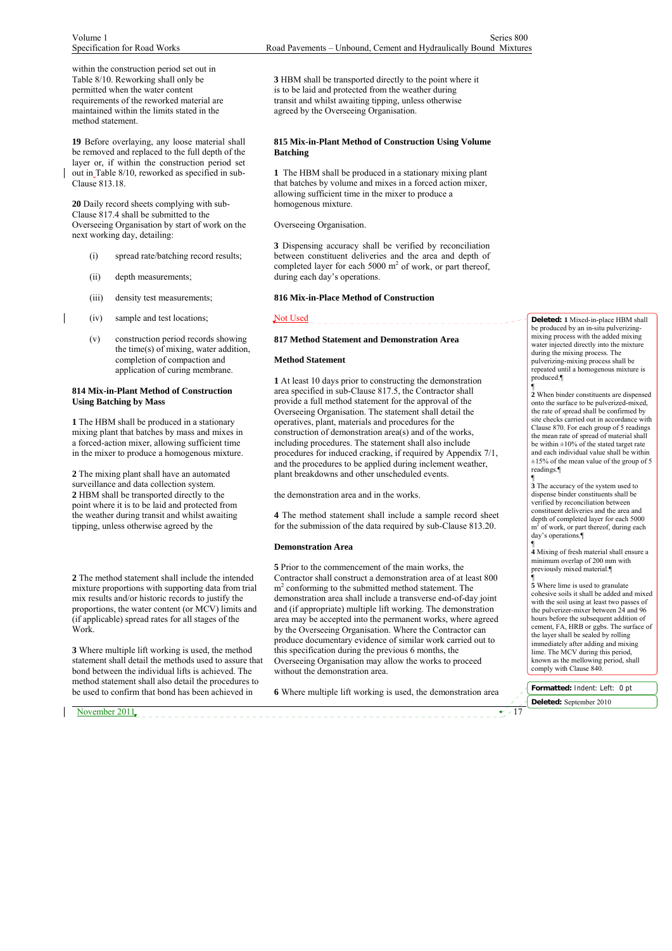within the construction period set out in Table 8/10. Reworking shall only be permitted when the water content requirements of the reworked material are maintained within the limits stated in the method statement.

**19** Before overlaying, any loose material shall be removed and replaced to the full depth of the layer or, if within the construction period set out in Table 8/10, reworked as specified in sub-Clause 813.18.

**20** Daily record sheets complying with sub-Clause 817.4 shall be submitted to the Overseeing Organisation by start of work on the next working day, detailing:

- (i) spread rate/batching record results;
- (ii) depth measurements:
- (iii) density test measurements;

(iv) sample and test locations;

(v) construction period records showing the time(s) of mixing, water addition, completion of compaction and application of curing membrane.

### **814 Mix-in-Plant Method of Construction Using Batching by Mass**

**1** The HBM shall be produced in a stationary mixing plant that batches by mass and mixes in a forced-action mixer, allowing sufficient time in the mixer to produce a homogenous mixture.

**2** The mixing plant shall have an automated surveillance and data collection system. **2** HBM shall be transported directly to the point where it is to be laid and protected from the weather during transit and whilst awaiting tipping, unless otherwise agreed by the

**2** The method statement shall include the intended mixture proportions with supporting data from trial mix results and/or historic records to justify the proportions, the water content (or MCV) limits and (if applicable) spread rates for all stages of the Work.

**3** Where multiple lift working is used, the method statement shall detail the methods used to assure that bond between the individual lifts is achieved. The method statement shall also detail the procedures to be used to confirm that bond has been achieved in

November 2011 17

**3** HBM shall be transported directly to the point where it is to be laid and protected from the weather during transit and whilst awaiting tipping, unless otherwise agreed by the Overseeing Organisation.

### **815 Mix-in-Plant Method of Construction Using Volume Batching**

**1** The HBM shall be produced in a stationary mixing plant that batches by volume and mixes in a forced action mixer, allowing sufficient time in the mixer to produce a homogenous mixture.

Overseeing Organisation.

**3** Dispensing accuracy shall be verified by reconciliation between constituent deliveries and the area and depth of completed layer for each  $5000 \text{ m}^2$  of work, or part thereof, during each day's operations.

### **816 Mix-in-Place Method of Construction**

#### Not Used

# **817 Method Statement and Demonstration Area**

#### **Method Statement**

**1** At least 10 days prior to constructing the demonstration area specified in sub-Clause 817.5, the Contractor shall provide a full method statement for the approval of the Overseeing Organisation. The statement shall detail the operatives, plant, materials and procedures for the construction of demonstration area(s) and of the works, including procedures. The statement shall also include procedures for induced cracking, if required by Appendix 7/1, and the procedures to be applied during inclement weather, plant breakdowns and other unscheduled events.

the demonstration area and in the works.

**4** The method statement shall include a sample record sheet for the submission of the data required by sub-Clause 813.20.

#### **Demonstration Area**

**5** Prior to the commencement of the main works, the Contractor shall construct a demonstration area of at least 800 m<sup>2</sup> conforming to the submitted method statement. The demonstration area shall include a transverse end-of-day joint and (if appropriate) multiple lift working. The demonstration area may be accepted into the permanent works, where agreed by the Overseeing Organisation. Where the Contractor can produce documentary evidence of similar work carried out to this specification during the previous 6 months, the Overseeing Organisation may allow the works to proceed without the demonstration area.

**6** Where multiple lift working is used, the demonstration area

**Deleted: 1** Mixed-in-place HBM shall be produced by an in-situ pulverizingmixing process with the added mixing water injected directly into the mixture during the mixing process. The pulverizing-mixing process shall be repeated until a homogenous mixture is produced.¶ ¶

**2** When binder constituents are dispensed onto the surface to be pulverized-mixed, the rate of spread shall be confirmed by site checks carried out in accordance with Clause 870. For each group of 5 readings the mean rate of spread of material shall<br>be within  $\pm 10\%$  of the stated target rate and each individual value shall be within  $\pm 15\%$  of the mean value of the group of 5 readings.¶

¶ **3** The accuracy of the system used to dispense binder constituents shall be verified by reconciliation between constituent deliveries and the area and depth of completed layer for each 5000  $m<sup>2</sup>$  of work, or part thereof, during each day's operations.

¶ **4** Mixing of fresh material shall ensure a minimum overlap of 200 mm with previously mixed material.¶

¶ **5** Where lime is used to granulate cohesive soils it shall be added and mixed with the soil using at least two passes of the pulverizer-mixer between 24 and 96 hours before the subsequent addition of cement, FA, HRB or ggbs. The surface of the layer shall be sealed by rolling immediately after adding and mixing lime. The MCV during this period, known as the mellowing period, shall comply with Clause 840.

**Formatted:** Indent: Left: 0 pt **Deleted:** September 2010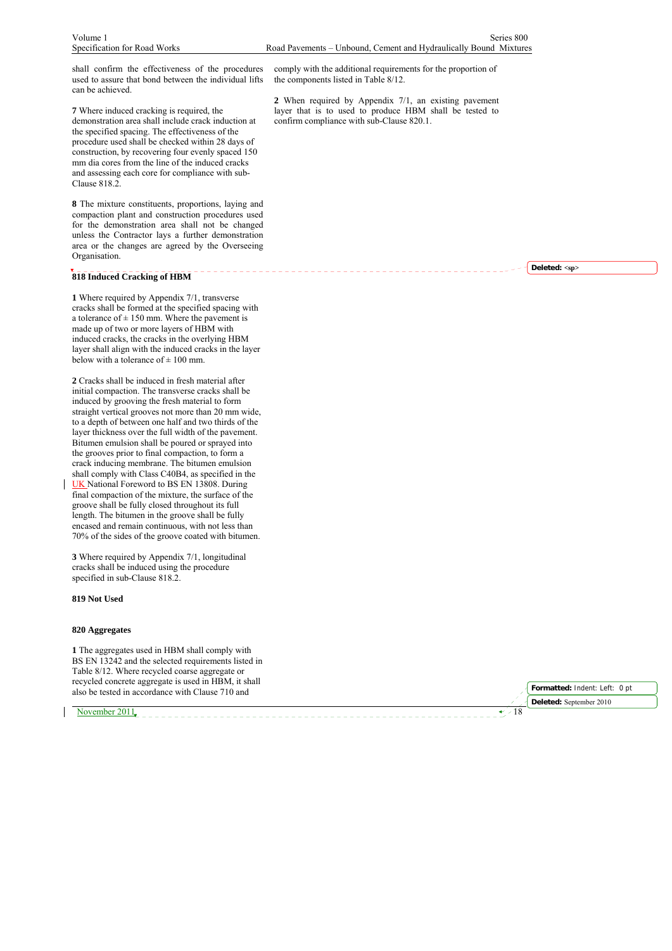shall confirm the effectiveness of the procedures used to assure that bond between the individual lifts can be achieved.

**7** Where induced cracking is required, the demonstration area shall include crack induction at the specified spacing. The effectiveness of the procedure used shall be checked within 28 days of construction, by recovering four evenly spaced 150 mm dia cores from the line of the induced cracks and assessing each core for compliance with sub-Clause 818.2.

**8** The mixture constituents, proportions, laying and compaction plant and construction procedures used for the demonstration area shall not be changed unless the Contractor lays a further demonstration area or the changes are agreed by the Overseeing Organisation.

# **818 Induced Cracking of HBM**

**1** Where required by Appendix 7/1, transverse cracks shall be formed at the specified spacing with a tolerance of  $\pm$  150 mm. Where the pavement is made up of two or more layers of HBM with induced cracks, the cracks in the overlying HBM layer shall align with the induced cracks in the layer below with a tolerance of  $\pm 100$  mm.

**2** Cracks shall be induced in fresh material after initial compaction. The transverse cracks shall be induced by grooving the fresh material to form straight vertical grooves not more than 20 mm wide, to a depth of between one half and two thirds of the layer thickness over the full width of the pavement. Bitumen emulsion shall be poured or sprayed into the grooves prior to final compaction, to form a crack inducing membrane. The bitumen emulsion shall comply with Class C40B4, as specified in the UK National Foreword to BS EN 13808. During final compaction of the mixture, the surface of the groove shall be fully closed throughout its full length. The bitumen in the groove shall be fully encased and remain continuous, with not less than 70% of the sides of the groove coated with bitumen.

**3** Where required by Appendix 7/1, longitudinal cracks shall be induced using the procedure specified in sub-Clause 818.2.

**819 Not Used**

### **820 Aggregates**

**1** The aggregates used in HBM shall comply with BS EN 13242 and the selected requirements listed in Table 8/12. Where recycled coarse aggregate or recycled concrete aggregate is used in HBM, it shall also be tested in accordance with Clause 710 and

November 2011,  $\sqrt{18}$ 

comply with the additional requirements for the proportion of the components listed in Table 8/12.

**2** When required by Appendix 7/1, an existing pavement layer that is to used to produce HBM shall be tested to confirm compliance with sub-Clause 820.1.

**Deleted: <sp>**

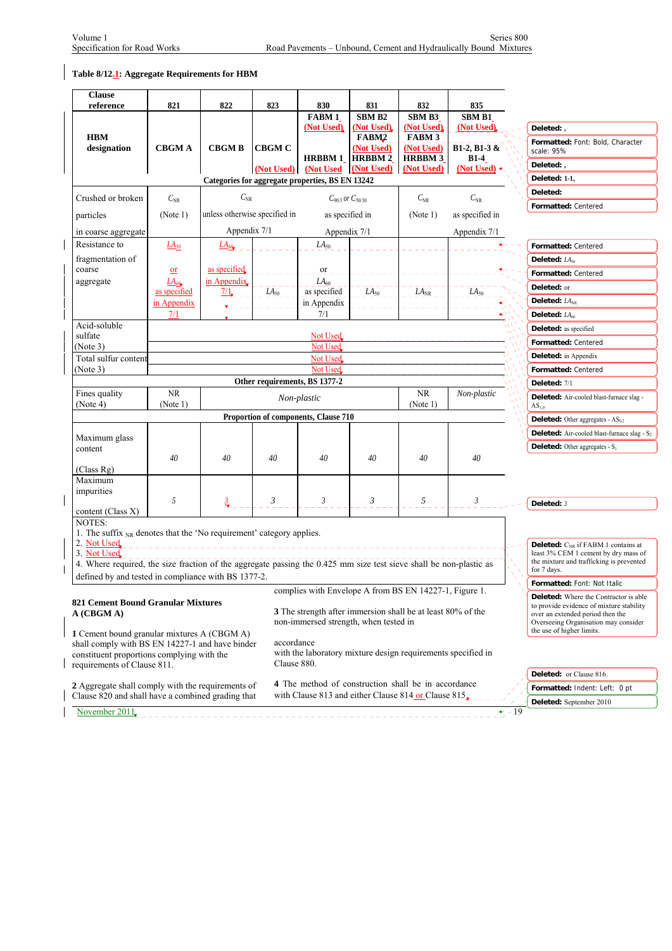# **Table 8/12.1: Aggregate Requirements for HBM**

| <b>Clause</b><br>reference                                                                                         | 821                               | 822                                                                                                            | 823           | 830                                                           | 831                             | 832                         | 835                                       |           |                                                                                  |
|--------------------------------------------------------------------------------------------------------------------|-----------------------------------|----------------------------------------------------------------------------------------------------------------|---------------|---------------------------------------------------------------|---------------------------------|-----------------------------|-------------------------------------------|-----------|----------------------------------------------------------------------------------|
|                                                                                                                    |                                   |                                                                                                                |               | <b>FABM1</b>                                                  | <b>SBM B2</b>                   | SBM B3                      | SBM B1                                    |           |                                                                                  |
|                                                                                                                    |                                   |                                                                                                                |               | (Not Used)                                                    | (Not Used)                      | (Not Used)                  | (Not Used)                                |           | Deleted:,                                                                        |
| <b>HBM</b><br>designation                                                                                          | <b>CBGMA</b>                      | <b>CBGMB</b>                                                                                                   | <b>CBGM C</b> |                                                               | FABM <sub>2</sub><br>(Not Used) | <b>FABM 3</b><br>(Not Used) | $B1-2, B1-3 &$                            |           | Formatted: Font: Bold, Character<br>scale: 95%                                   |
|                                                                                                                    |                                   |                                                                                                                | (Not Used)    | <b>HRBBM 1</b>                                                | <b>HRBBM2</b><br>(Not Used)     | <b>HRBBM3</b>               | <b>B1-4</b><br>(Not Used) $\triangleleft$ |           | Deleted:,                                                                        |
|                                                                                                                    |                                   |                                                                                                                |               | (Not Used<br>Categories for aggregate properties, BS EN 13242 |                                 | (Not Used)                  |                                           |           | Deleted: 1-1,                                                                    |
|                                                                                                                    |                                   |                                                                                                                |               |                                                               |                                 |                             |                                           |           | Deleted:                                                                         |
| Crushed or broken                                                                                                  | $C_{\rm NR}$                      | $C_{\rm NR}$                                                                                                   |               | $C_{90/3}$ or $C_{50/30}$                                     |                                 | $C_{\rm NR}$                | $C_{\rm NR}$                              |           | Formatted: Centered                                                              |
| particles                                                                                                          | (Note 1)                          | unless otherwise specified in                                                                                  |               | as specified in                                               |                                 | (Note 1)                    | as specified in                           |           |                                                                                  |
| in coarse aggregate                                                                                                |                                   | Appendix 7/1                                                                                                   |               | Appendix 7/1                                                  |                                 |                             | Appendix 7/1                              |           |                                                                                  |
| Resistance to                                                                                                      | $\underline{L}\underline{A}_{50}$ | $L\underline{A}_{40}$                                                                                          |               | $LA_{50}$                                                     |                                 |                             |                                           |           | Formatted: Centered                                                              |
| fragmentation of                                                                                                   |                                   |                                                                                                                |               |                                                               |                                 |                             |                                           |           | Deleted: $LA_{50}$                                                               |
| coarse                                                                                                             | $or$                              | as specified.                                                                                                  |               | or                                                            |                                 |                             |                                           |           | Formatted: Centered                                                              |
| aggregate                                                                                                          | $L A_{60}$                        | in Appendix.                                                                                                   |               | $LA_{60}$                                                     |                                 |                             |                                           |           | Deleted: or                                                                      |
|                                                                                                                    | as specified<br>in Appendix       | $\frac{7}{1}$                                                                                                  | $LA_{50}$     | as specified<br>in Appendix                                   | $LA_{50}$                       | $LA_{NR}$ <sub>_</sub>      | LA <sub>50</sub>                          |           | Deleted: $LA_{NR}$                                                               |
|                                                                                                                    | 7/1                               | Ł                                                                                                              |               | 7/1                                                           |                                 |                             |                                           |           | Deleted: LA <sub>60</sub>                                                        |
| Acid-soluble                                                                                                       |                                   |                                                                                                                |               |                                                               |                                 |                             |                                           |           | Deleted: as specified                                                            |
| sulfate                                                                                                            |                                   |                                                                                                                |               | Not Used                                                      |                                 |                             |                                           |           | Formatted: Centered                                                              |
| (Note 3)                                                                                                           |                                   |                                                                                                                |               | Not Used                                                      |                                 |                             |                                           |           |                                                                                  |
| Total sulfur content                                                                                               |                                   |                                                                                                                |               | Not Used                                                      |                                 |                             |                                           |           | <b>Deleted:</b> in Appendix                                                      |
| (Note 3)                                                                                                           |                                   |                                                                                                                |               | Not Used                                                      |                                 |                             |                                           |           | Formatted: Centered                                                              |
| Fines quality                                                                                                      | <b>NR</b>                         |                                                                                                                |               | Other requirements, BS 1377-2                                 |                                 | <b>NR</b>                   | Non-plastic                               |           | Deleted: 7/1                                                                     |
| (Note 4)                                                                                                           | (Note 1)                          |                                                                                                                |               | Non-plastic                                                   |                                 | (Note 1)                    |                                           |           | Deleted: Air-cooled blast-furnace slag -<br>$AS_{1.0}$                           |
|                                                                                                                    |                                   |                                                                                                                |               | Proportion of components, Clause 710                          |                                 |                             |                                           |           | <b>Deleted:</b> Other aggregates - $AS_{0.2}$                                    |
|                                                                                                                    |                                   |                                                                                                                |               |                                                               |                                 |                             |                                           |           | <b>Deleted:</b> Air-cooled blast-furnace slag - S <sub>2</sub>                   |
| Maximum glass                                                                                                      |                                   |                                                                                                                |               |                                                               |                                 |                             |                                           |           |                                                                                  |
| content                                                                                                            | 40                                | 40                                                                                                             | 40            | 40                                                            | 40                              | 40                          | 40                                        |           | <b>Deleted:</b> Other aggregates - $S_1$                                         |
| (Class Rg)                                                                                                         |                                   |                                                                                                                |               |                                                               |                                 |                             |                                           |           |                                                                                  |
| Maximum                                                                                                            |                                   |                                                                                                                |               |                                                               |                                 |                             |                                           |           |                                                                                  |
| impurities                                                                                                         |                                   |                                                                                                                |               |                                                               |                                 |                             |                                           |           |                                                                                  |
|                                                                                                                    | 5                                 |                                                                                                                | 3             | 3                                                             | 3                               | 5                           | 3                                         |           | Deleted: 3                                                                       |
| content (Class X)<br>NOTES:                                                                                        |                                   |                                                                                                                |               |                                                               |                                 |                             |                                           |           |                                                                                  |
| 1. The suffix <sub>NR</sub> denotes that the 'No requirement' category applies.                                    |                                   |                                                                                                                |               |                                                               |                                 |                             |                                           |           |                                                                                  |
| 2. Not Used                                                                                                        |                                   | and a complete the contract of the contract of the contract of the contract of the contract of the contract of |               |                                                               |                                 |                             |                                           |           | Deleted: C <sub>NR</sub> if FABM 1 contains at                                   |
| 3. Not Used                                                                                                        |                                   |                                                                                                                |               |                                                               |                                 |                             |                                           |           | least 3% CEM 1 cement by dry mass of<br>the mixture and trafficking is prevented |
| 4. Where required, the size fraction of the aggregate passing the 0.425 mm size test sieve shall be non-plastic as |                                   |                                                                                                                |               |                                                               |                                 |                             |                                           |           | for 7 days.                                                                      |
| defined by and tested in compliance with BS 1377-2.                                                                |                                   |                                                                                                                |               |                                                               |                                 |                             |                                           |           | Formatted: Font: Not Italic                                                      |
|                                                                                                                    |                                   |                                                                                                                |               | complies with Envelope A from BS EN 14227-1, Figure 1.        |                                 |                             |                                           |           | Deleted: Where the Contractor is able                                            |
| <b>821 Cement Bound Granular Mixtures</b><br>A (CBGM A)                                                            |                                   |                                                                                                                |               | 3 The strength after immersion shall be at least 80% of the   |                                 |                             |                                           |           | to provide evidence of mixture stability<br>over an extended period then the     |
|                                                                                                                    |                                   |                                                                                                                |               | non-immersed strength, when tested in                         |                                 |                             |                                           |           | Overseeing Organisation may consider                                             |
| 1 Cement bound granular mixtures A (CBGM A)                                                                        |                                   |                                                                                                                |               |                                                               |                                 |                             |                                           |           | the use of higher limits.                                                        |
| shall comply with BS EN 14227-1 and have binder                                                                    |                                   |                                                                                                                | accordance    | with the laboratory mixture design requirements specified in  |                                 |                             |                                           |           |                                                                                  |
| constituent proportions complying with the<br>requirements of Clause 811.                                          |                                   |                                                                                                                | Clause 880.   |                                                               |                                 |                             |                                           |           |                                                                                  |
|                                                                                                                    |                                   |                                                                                                                |               |                                                               |                                 |                             |                                           |           | Deleted: or Clause 816.                                                          |
| 2 Aggregate shall comply with the requirements of                                                                  |                                   |                                                                                                                |               | 4 The method of construction shall be in accordance           |                                 |                             |                                           |           | Formatted: Indent: Left: 0 pt                                                    |
| Clause 820 and shall have a combined grading that                                                                  |                                   |                                                                                                                |               | with Clause 813 and either Clause 814 or Clause 815.          |                                 |                             |                                           |           | Deleted: September 2010                                                          |
| November 2011                                                                                                      |                                   |                                                                                                                |               |                                                               |                                 |                             |                                           | $\div 19$ |                                                                                  |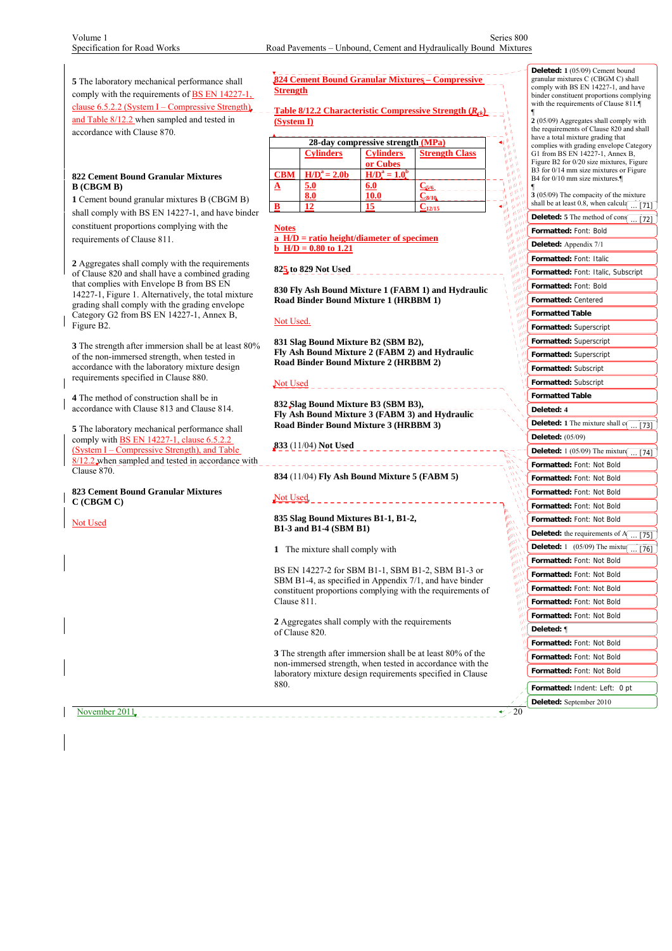### **822 Cement Bound Granular Mixtures B (CBGM B)**

Not Used

# **824 Cement Bound Granular Mixtures – Compressive Strength**

|            |                  | 28-day compressive strength (MPa) |                       |  |
|------------|------------------|-----------------------------------|-----------------------|--|
|            | <b>Cylinders</b> | <b>Cylinders</b>                  | <b>Strength Class</b> |  |
|            |                  | or Cubes                          |                       |  |
| <b>CBM</b> | $H/Da = 2.0b$    | $H/Da = 1.0t$                     |                       |  |
|            | <u>5.0</u>       | <u>6.0</u>                        | $C_{5/6}$             |  |
|            | $\bf{8.0}$       | 10.0                              | $\frac{1}{28/10}$     |  |
|            |                  | 15                                |                       |  |

# **825 to 829 Not Used**

## Not Used.

# Not Used

# Not Used \_ \_ \_ \_ \_ \_ \_ \_ \_ \_ \_ \_ \_ \_ \_ \_ **835 Slag Bound Mixtures B1-1, B1-2, B1-3 and B1-4 (SBM B1)**

| 5 The laboratory mechanical performance shall<br>comply with the requirements of <b>BS EN 14227-1</b> ,<br>clause 6.5.2.2 (System I – Compressive Strength) | <b>Strength</b> | 824 Cement Bound Granular Mixtures - Compressive | <b>Deleted: 1</b> (05/09) Cement bound<br>granular mixtures C (CBGM C) shall<br>comply with BS EN 14227-1, and have<br>binder constituent proportions complying<br>with the requirements of Clause 811. |                                                                                                                          |                                                   |                                                                                    |
|-------------------------------------------------------------------------------------------------------------------------------------------------------------|-----------------|--------------------------------------------------|---------------------------------------------------------------------------------------------------------------------------------------------------------------------------------------------------------|--------------------------------------------------------------------------------------------------------------------------|---------------------------------------------------|------------------------------------------------------------------------------------|
| and Table 8/12.2 when sampled and tested in                                                                                                                 | (System I)      |                                                  |                                                                                                                                                                                                         | <b>Table 8/12.2 Characteristic Compressive Strength (R<sub>ek</sub>)</b> --                                              |                                                   | 2 (05/09) Aggregates shall comply with<br>the requirements of Clause 820 and shall |
| accordance with Clause 870.                                                                                                                                 |                 |                                                  | 28-day compressive strength (MPa)                                                                                                                                                                       |                                                                                                                          | N                                                 | have a total mixture grading that                                                  |
|                                                                                                                                                             |                 | <b>Cylinders</b>                                 | <b>Cylinders</b>                                                                                                                                                                                        | <b>Strength Class</b>                                                                                                    |                                                   | complies with grading envelope Category<br>G1 from BS EN 14227-1, Annex B,         |
|                                                                                                                                                             |                 |                                                  | or Cubes                                                                                                                                                                                                |                                                                                                                          |                                                   | Figure B2 for 0/20 size mixtures, Figure                                           |
| 822 Cement Bound Granular Mixtures<br>B (CBGM B)                                                                                                            | CBM<br>◬        | $H/Da = 2.0b$<br>5.0                             | $H/D^a = 1.0^b$<br>6.0                                                                                                                                                                                  | $C_{5/6}$ = = = =                                                                                                        | $\theta^{(\mathrm{i}\mathrm{B})}$                 | B3 for 0/14 mm size mixtures or Figure<br>B4 for 0/10 mm size mixtures.            |
| 1 Cement bound granular mixtures B (CBGM B)                                                                                                                 |                 | 8.0                                              | <u>10.0</u>                                                                                                                                                                                             | $C_{8/10}$                                                                                                               | $\pmb{\theta}^{(y)}$<br>$\mathbf{w}^{\mathbf{w}}$ | $3(05/09)$ The compacity of the mixture                                            |
| shall comply with BS EN 14227-1, and have binder                                                                                                            | B               | 12                                               | 15                                                                                                                                                                                                      | $C_{12/15}$                                                                                                              | اله<br>W.                                         | shall be at least 0.8, when calcula $\boxed{11}$                                   |
| constituent proportions complying with the                                                                                                                  | Notes           |                                                  |                                                                                                                                                                                                         |                                                                                                                          |                                                   | <b>Deleted:</b> 5 The method of cons $\boxed{ [72]}$                               |
| requirements of Clause 811.                                                                                                                                 |                 | $\bf{a}$ H/D = ratio height/diameter of specimen |                                                                                                                                                                                                         |                                                                                                                          |                                                   | Formatted: Font: Bold                                                              |
|                                                                                                                                                             |                 | <b>b</b> H/D = $0.80$ to 1.21                    |                                                                                                                                                                                                         |                                                                                                                          |                                                   | Deleted: Appendix 7/1                                                              |
| 2 Aggregates shall comply with the requirements                                                                                                             |                 |                                                  |                                                                                                                                                                                                         |                                                                                                                          |                                                   | Formatted: Font: Italic                                                            |
| of Clause 820 and shall have a combined grading                                                                                                             |                 | 825 to 829 Not Used                              |                                                                                                                                                                                                         |                                                                                                                          |                                                   | Formatted: Font: Italic, Subscript                                                 |
| that complies with Envelope B from BS EN                                                                                                                    |                 |                                                  |                                                                                                                                                                                                         | 830 Fly Ash Bound Mixture 1 (FABM 1) and Hydraulic                                                                       |                                                   | Formatted: Font: Bold                                                              |
| 14227-1, Figure 1. Alternatively, the total mixture<br>grading shall comply with the grading envelope                                                       |                 | Road Binder Bound Mixture 1 (HRBBM 1)            |                                                                                                                                                                                                         |                                                                                                                          |                                                   | Formatted: Centered                                                                |
| Category G2 from BS EN 14227-1, Annex B,                                                                                                                    |                 |                                                  |                                                                                                                                                                                                         |                                                                                                                          |                                                   | <b>Formatted Table</b>                                                             |
| Figure B2.                                                                                                                                                  | Not Used.       |                                                  |                                                                                                                                                                                                         |                                                                                                                          |                                                   | Formatted: Superscript                                                             |
|                                                                                                                                                             |                 | 831 Slag Bound Mixture B2 (SBM B2),              |                                                                                                                                                                                                         |                                                                                                                          |                                                   | Formatted: Superscript                                                             |
| 3 The strength after immersion shall be at least 80%                                                                                                        |                 |                                                  |                                                                                                                                                                                                         | Fly Ash Bound Mixture 2 (FABM 2) and Hydraulic                                                                           |                                                   | Formatted: Superscript                                                             |
| of the non-immersed strength, when tested in<br>accordance with the laboratory mixture design                                                               |                 | Road Binder Bound Mixture 2 (HRBBM 2)            |                                                                                                                                                                                                         |                                                                                                                          |                                                   |                                                                                    |
| requirements specified in Clause 880.                                                                                                                       |                 |                                                  |                                                                                                                                                                                                         |                                                                                                                          |                                                   | Formatted: Subscript                                                               |
|                                                                                                                                                             | Not Used        |                                                  |                                                                                                                                                                                                         |                                                                                                                          |                                                   | Formatted: Subscript                                                               |
| <b>4</b> The method of construction shall be in                                                                                                             |                 | 832 Slag Bound Mixture B3 (SBM B3),              |                                                                                                                                                                                                         |                                                                                                                          |                                                   | <b>Formatted Table</b>                                                             |
| accordance with Clause 813 and Clause 814.                                                                                                                  |                 |                                                  |                                                                                                                                                                                                         | Fly Ash Bound Mixture 3 (FABM 3) and Hydraulic                                                                           |                                                   | Deleted: 4                                                                         |
| 5 The laboratory mechanical performance shall                                                                                                               |                 | Road Binder Bound Mixture 3 (HRBBM 3)            |                                                                                                                                                                                                         |                                                                                                                          |                                                   | <b>Deleted:</b> 1 The mixture shall $c$ [73]                                       |
| comply with BS EN 14227-1, clause $6.5.2.2$                                                                                                                 |                 | <b>833</b> (11/04) Not Used                      |                                                                                                                                                                                                         |                                                                                                                          |                                                   | <b>Deleted:</b> (05/09)                                                            |
| (System I – Compressive Strength), and Table                                                                                                                |                 |                                                  |                                                                                                                                                                                                         | _________________                                                                                                        |                                                   | <b>Deleted:</b> 1 (05/09) The mixture $\boxed{ [74]}$                              |
| 8/12.2 when sampled and tested in accordance with<br>Clause 870.                                                                                            |                 |                                                  |                                                                                                                                                                                                         |                                                                                                                          |                                                   | Formatted: Font: Not Bold                                                          |
|                                                                                                                                                             |                 | 834 (11/04) Fly Ash Bound Mixture 5 (FABM 5)     |                                                                                                                                                                                                         |                                                                                                                          |                                                   | Formatted: Font: Not Bold                                                          |
| 823 Cement Bound Granular Mixtures                                                                                                                          |                 |                                                  |                                                                                                                                                                                                         |                                                                                                                          |                                                   | Formatted: Font: Not Bold                                                          |
| C (CBGM C)                                                                                                                                                  | Not Used        |                                                  | -----------------                                                                                                                                                                                       |                                                                                                                          |                                                   | Formatted: Font: Not Bold                                                          |
| Not Used                                                                                                                                                    |                 | 835 Slag Bound Mixtures B1-1, B1-2,              |                                                                                                                                                                                                         |                                                                                                                          |                                                   | Formatted: Font: Not Bold                                                          |
|                                                                                                                                                             |                 | <b>B1-3 and B1-4 (SBM B1)</b>                    |                                                                                                                                                                                                         |                                                                                                                          |                                                   | <b>Deleted:</b> the requirements of A<br>$\ldots$ [75].                            |
|                                                                                                                                                             |                 |                                                  |                                                                                                                                                                                                         |                                                                                                                          |                                                   | <b>Deleted:</b> 1 (05/09) The mixtu $\boxed{ [76]}$                                |
|                                                                                                                                                             |                 | 1 The mixture shall comply with                  |                                                                                                                                                                                                         |                                                                                                                          |                                                   | Formatted: Font: Not Bold                                                          |
|                                                                                                                                                             |                 |                                                  |                                                                                                                                                                                                         | BS EN 14227-2 for SBM B1-1, SBM B1-2, SBM B1-3 or                                                                        |                                                   | Formatted: Font: Not Bold                                                          |
|                                                                                                                                                             |                 |                                                  |                                                                                                                                                                                                         | SBM B1-4, as specified in Appendix 7/1, and have binder                                                                  | W<br>W                                            |                                                                                    |
|                                                                                                                                                             |                 |                                                  |                                                                                                                                                                                                         | constituent proportions complying with the requirements of                                                               |                                                   | Formatted: Font: Not Bold                                                          |
|                                                                                                                                                             | Clause 811.     |                                                  |                                                                                                                                                                                                         |                                                                                                                          |                                                   | Formatted: Font: Not Bold                                                          |
|                                                                                                                                                             |                 | 2 Aggregates shall comply with the requirements  |                                                                                                                                                                                                         |                                                                                                                          |                                                   | Formatted: Font: Not Bold                                                          |
|                                                                                                                                                             |                 | of Clause 820.                                   |                                                                                                                                                                                                         |                                                                                                                          |                                                   | Deleted: ¶                                                                         |
|                                                                                                                                                             |                 |                                                  |                                                                                                                                                                                                         |                                                                                                                          |                                                   | Formatted: Font: Not Bold                                                          |
|                                                                                                                                                             |                 |                                                  |                                                                                                                                                                                                         | 3 The strength after immersion shall be at least 80% of the<br>non-immersed strength, when tested in accordance with the |                                                   | Formatted: Font: Not Bold                                                          |
|                                                                                                                                                             |                 |                                                  |                                                                                                                                                                                                         | laboratory mixture design requirements specified in Clause                                                               |                                                   | Formatted: Font: Not Bold                                                          |
|                                                                                                                                                             | 880.            |                                                  |                                                                                                                                                                                                         |                                                                                                                          |                                                   | Formatted: Indent: Left: 0 pt                                                      |
|                                                                                                                                                             |                 |                                                  |                                                                                                                                                                                                         |                                                                                                                          |                                                   | Deleted: September 2010                                                            |
| November 2011                                                                                                                                               |                 |                                                  |                                                                                                                                                                                                         |                                                                                                                          | $\sim 20$                                         |                                                                                    |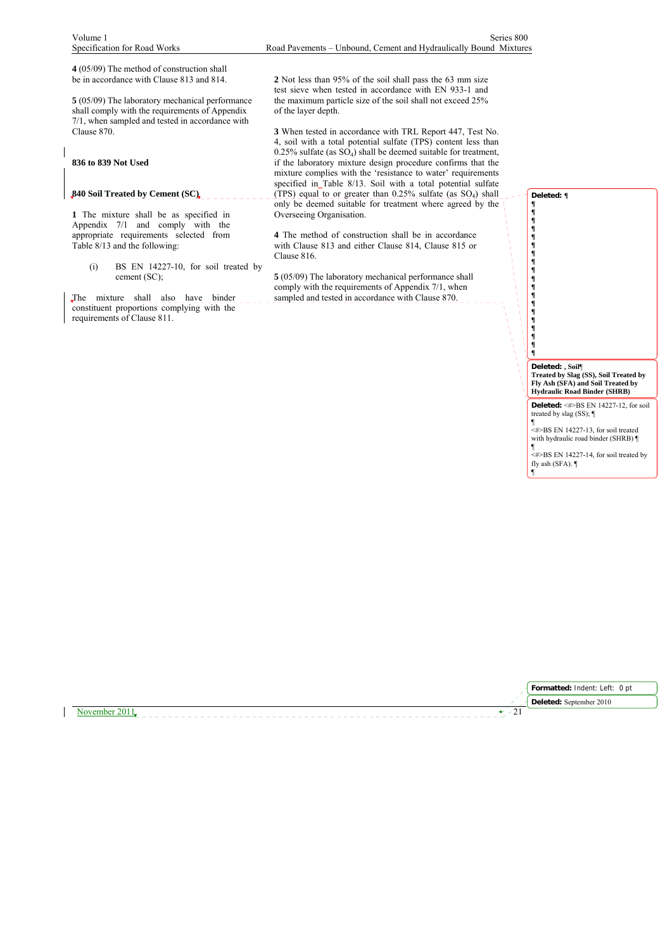**4** (05/09) The method of construction shall be in accordance with Clause 813 and 814.

**5** (05/09) The laboratory mechanical performance shall comply with the requirements of Appendix 7/1, when sampled and tested in accordance with Clause 870.

### **836 to 839 Not Used**

# **840 Soil Treated by Cement (SC)**

**1** The mixture shall be as specified in Appendix 7/1 and comply with the appropriate requirements selected from Table 8/13 and the following:

(i) BS EN 14227-10, for soil treated by cement (SC);

The mixture shall also have binder constituent proportions complying with the requirements of Clause 811.

**2** Not less than 95% of the soil shall pass the 63 mm size test sieve when tested in accordance with EN 933-1 and the maximum particle size of the soil shall not exceed 25% of the layer depth.

**3** When tested in accordance with TRL Report 447, Test No. 4, soil with a total potential sulfate (TPS) content less than  $0.25\%$  sulfate (as  $SO_4$ ) shall be deemed suitable for treatment, if the laboratory mixture design procedure confirms that the mixture complies with the 'resistance to water' requirements specified in Table 8/13. Soil with a total potential sulfate (TPS) equal to or greater than  $0.25\%$  sulfate (as SO<sub>4</sub>) shall only be deemed suitable for treatment where agreed by the Overseeing Organisation.

**4** The method of construction shall be in accordance with Clause 813 and either Clause 814, Clause 815 or Clause 816.

**5** (05/09) The laboratory mechanical performance shall comply with the requirements of Appendix 7/1, when sampled and tested in accordance with Clause 870.





November 2011  $\sqrt{21}$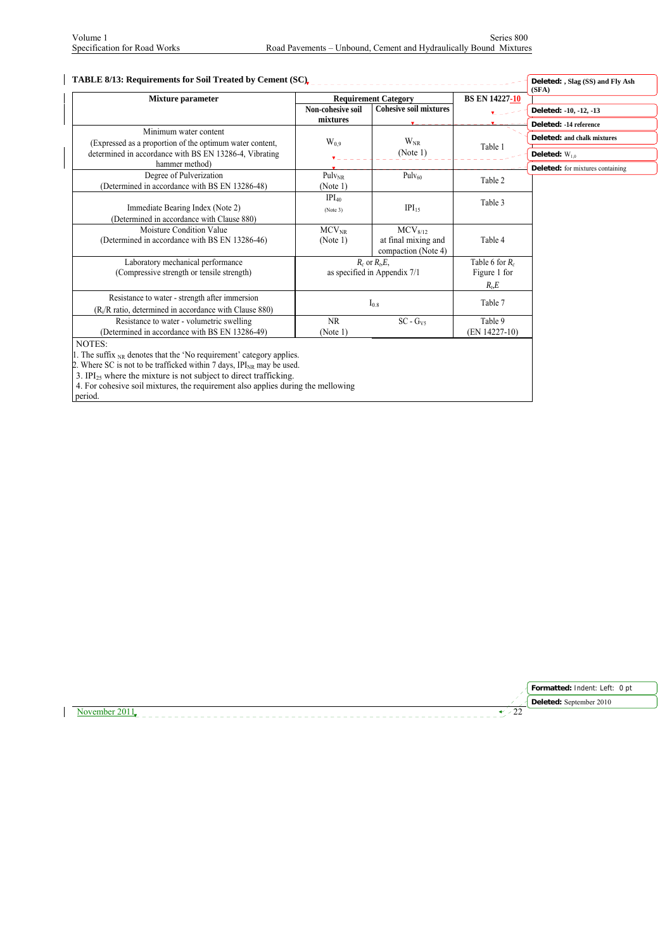| Mixture parameter                                                                                                                                                                                                                                                                                                                                |                                                    | <b>Requirement Category</b>                                       | <b>BS EN 14227-10</b>                         | (SFA)                                            |
|--------------------------------------------------------------------------------------------------------------------------------------------------------------------------------------------------------------------------------------------------------------------------------------------------------------------------------------------------|----------------------------------------------------|-------------------------------------------------------------------|-----------------------------------------------|--------------------------------------------------|
|                                                                                                                                                                                                                                                                                                                                                  | Non-cohesive soil<br>mixtures                      | <b>Cohesive soil mixtures</b>                                     |                                               | Deleted: -10, -12, -13<br>Deleted: -14 reference |
| Minimum water content<br>(Expressed as a proportion of the optimum water content,                                                                                                                                                                                                                                                                | $W_{0.9}$                                          | $W_{NR}$                                                          | Table 1                                       | Deleted: and chalk mixtures                      |
| determined in accordance with BS EN 13286-4, Vibrating<br>hammer method)                                                                                                                                                                                                                                                                         |                                                    | (Note 1)                                                          |                                               | Deleted: $W_{10}$                                |
| Degree of Pulverization<br>(Determined in accordance with BS EN 13286-48)                                                                                                                                                                                                                                                                        | $Pulv_{NR}$<br>(Note 1)                            | Pulv <sub>60</sub>                                                | Table 2                                       | <b>Deleted:</b> for mixtures containing          |
| Immediate Bearing Index (Note 2)<br>(Determined in accordance with Clause 880)                                                                                                                                                                                                                                                                   | IPI <sub>40</sub><br>(Note 3)                      | $IPI_{15}$                                                        | Table 3                                       |                                                  |
| Moisture Condition Value<br>(Determined in accordance with BS EN 13286-46)                                                                                                                                                                                                                                                                       | $MCV_{NR}$<br>(Note 1)                             | MCV <sub>8/12</sub><br>at final mixing and<br>compaction (Note 4) | Table 4                                       |                                                  |
| Laboratory mechanical performance<br>(Compressive strength or tensile strength)                                                                                                                                                                                                                                                                  | $R_c$ or $Rt, E$ ,<br>as specified in Appendix 7/1 |                                                                   | Table 6 for $R_c$<br>Figure 1 for<br>$R_t, E$ |                                                  |
| Resistance to water - strength after immersion<br>(R <sub>i</sub> /R ratio, determined in accordance with Clause 880)                                                                                                                                                                                                                            |                                                    | $I_{0.8}$                                                         | Table 7                                       |                                                  |
| Resistance to water - volumetric swelling<br>(Determined in accordance with BS EN 13286-49)                                                                                                                                                                                                                                                      | NR<br>(Note 1)                                     | $SC - GV5$                                                        | Table 9<br>(EN 14227-10)                      |                                                  |
| NOTES:<br>1. The suffix $_{NR}$ denotes that the 'No requirement' category applies.<br>2. Where SC is not to be trafficked within 7 days, $IPI_{NR}$ may be used.<br>3. IPI <sub>25</sub> where the mixture is not subject to direct trafficking.<br>4. For cohesive soil mixtures, the requirement also applies during the mellowing<br>period. |                                                    |                                                                   |                                               |                                                  |

**Formatted:** Indent: Left: 0 pt Deleted: September 2010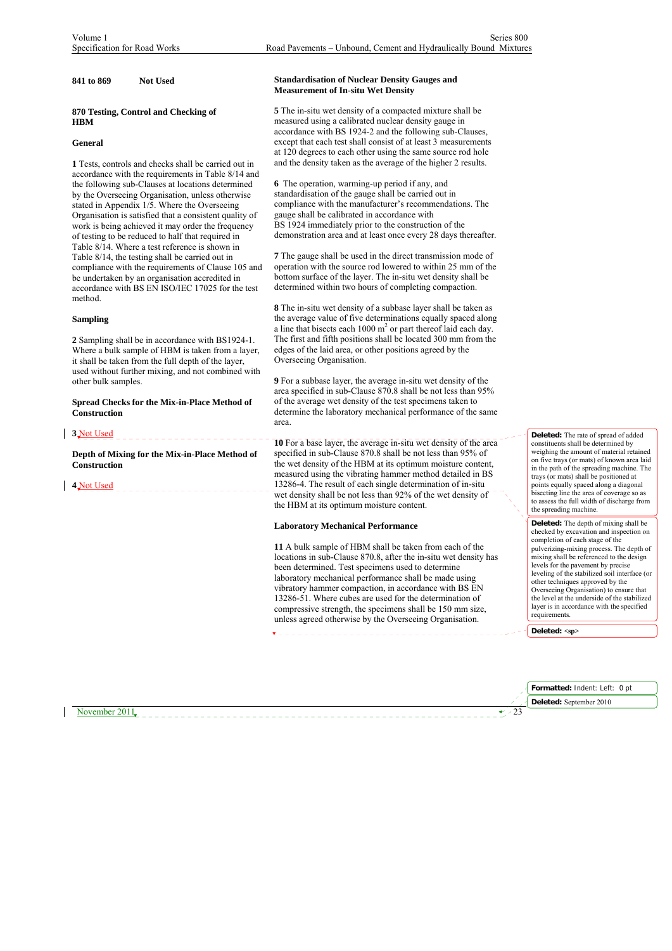### **841 to 869 Not Used**

### **870 Testing, Control and Checking of HBM**

### **General**

**1** Tests, controls and checks shall be carried out in accordance with the requirements in Table 8/14 and the following sub-Clauses at locations determined by the Overseeing Organisation, unless otherwise stated in Appendix 1/5. Where the Overseeing Organisation is satisfied that a consistent quality of work is being achieved it may order the frequency of testing to be reduced to half that required in Table 8/14. Where a test reference is shown in Table 8/14, the testing shall be carried out in compliance with the requirements of Clause 105 and be undertaken by an organisation accredited in accordance with BS EN ISO/IEC 17025 for the test method.

### **Sampling**

**2** Sampling shall be in accordance with BS1924-1. Where a bulk sample of HBM is taken from a layer, it shall be taken from the full depth of the layer, used without further mixing, and not combined with other bulk samples.

**Spread Checks for the Mix-in-Place Method of Construction**

**3** Not Used

**Depth of Mixing for the Mix-in-Place Method of Construction**

**4** Not Used

November 2011

### **Standardisation of Nuclear Density Gauges and Measurement of In-situ Wet Density**

**5** The in-situ wet density of a compacted mixture shall be measured using a calibrated nuclear density gauge in accordance with BS 1924-2 and the following sub-Clauses, except that each test shall consist of at least 3 measurements at 120 degrees to each other using the same source rod hole and the density taken as the average of the higher 2 results.

**6** The operation, warming-up period if any, and standardisation of the gauge shall be carried out in compliance with the manufacturer's recommendations. The gauge shall be calibrated in accordance with BS 1924 immediately prior to the construction of the demonstration area and at least once every 28 days thereafter.

**7** The gauge shall be used in the direct transmission mode of operation with the source rod lowered to within 25 mm of the bottom surface of the layer. The in-situ wet density shall be determined within two hours of completing compaction.

**8** The in-situ wet density of a subbase layer shall be taken as the average value of five determinations equally spaced along a line that bisects each  $1000 \text{ m}^2$  or part thereof laid each day. The first and fifth positions shall be located 300 mm from the edges of the laid area, or other positions agreed by the Overseeing Organisation.

**9** For a subbase layer, the average in-situ wet density of the area specified in sub-Clause 870.8 shall be not less than 95% of the average wet density of the test specimens taken to determine the laboratory mechanical performance of the same area.

**10** For a base layer, the average in-situ wet density of the area specified in sub-Clause 870.8 shall be not less than 95% of the wet density of the HBM at its optimum moisture content, measured using the vibrating hammer method detailed in BS 13286-4. The result of each single determination of in-situ wet density shall be not less than 92% of the wet density of the HBM at its optimum moisture content.

### **Laboratory Mechanical Performance**

**11** A bulk sample of HBM shall be taken from each of the locations in sub-Clause 870.8, after the in-situ wet density has been determined. Test specimens used to determine laboratory mechanical performance shall be made using vibratory hammer compaction, in accordance with BS EN 13286-51. Where cubes are used for the determination of compressive strength, the specimens shall be 150 mm size, unless agreed otherwise by the Overseeing Organisation.

**Deleted:** The rate of spread of added constituents shall be determined by weighing the amount of material retained on five trays (or mats) of known area laid in the path of the spreading machine. The trays (or mats) shall be positioned at points equally spaced along a diagonal bisecting line the area of coverage so as to assess the full width of discharge from the spreading machine.

**Deleted:** The depth of mixing shall be checked by excavation and inspection on completion of each stage of the pulverizing-mixing process. The depth of mixing shall be referenced to the design levels for the pavement by precise leveling of the stabilized soil interface (or other techniques approved by the Overseeing Organisation) to ensure that the level at the underside of the stabilized layer is in accordance with the specified requirements.

**Deleted: <sp>**

| Formatted: Indent: Left: 0 pt    |  |
|----------------------------------|--|
| $\sim$ 1 Deleted: September 2010 |  |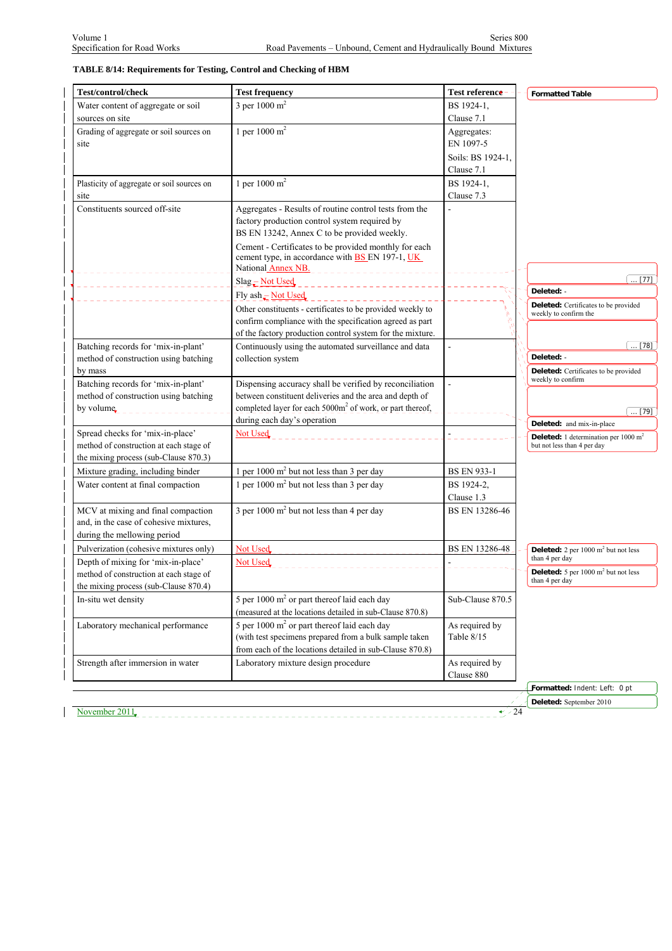# **TABLE 8/14: Requirements for Testing, Control and Checking of HBM**

| Test/control/check                                                                                          | <b>Test frequency</b>                                                                                                                                                         | Test reference               | <b>Formatted Table</b>                                                                |
|-------------------------------------------------------------------------------------------------------------|-------------------------------------------------------------------------------------------------------------------------------------------------------------------------------|------------------------------|---------------------------------------------------------------------------------------|
| Water content of aggregate or soil                                                                          | 3 per 1000 $m^2$                                                                                                                                                              | BS 1924-1,                   |                                                                                       |
| sources on site                                                                                             |                                                                                                                                                                               | Clause 7.1                   |                                                                                       |
| Grading of aggregate or soil sources on                                                                     | 1 per 1000 $m^2$                                                                                                                                                              | Aggregates:                  |                                                                                       |
| site                                                                                                        |                                                                                                                                                                               | EN 1097-5                    |                                                                                       |
|                                                                                                             |                                                                                                                                                                               | Soils: BS 1924-1.            |                                                                                       |
|                                                                                                             |                                                                                                                                                                               | Clause 7.1                   |                                                                                       |
| Plasticity of aggregate or soil sources on                                                                  | 1 per 1000 $m^2$                                                                                                                                                              | BS 1924-1,                   |                                                                                       |
| site                                                                                                        |                                                                                                                                                                               | Clause 7.3                   |                                                                                       |
| Constituents sourced off-site                                                                               | Aggregates - Results of routine control tests from the<br>factory production control system required by<br>BS EN 13242, Annex C to be provided weekly.                        |                              |                                                                                       |
|                                                                                                             | Cement - Certificates to be provided monthly for each<br>cement type, in accordance with <b>BS</b> EN 197-1, UK<br>National Annex NB.<br>___________________                  |                              |                                                                                       |
|                                                                                                             | Slag - Not Used<br>____________________                                                                                                                                       |                              | $\dots$ [77]                                                                          |
|                                                                                                             | Fly ash - Not Used                                                                                                                                                            |                              | Deleted: -                                                                            |
|                                                                                                             | Other constituents - certificates to be provided weekly to<br>confirm compliance with the specification agreed as part                                                        |                              | Deleted: Certificates to be provided<br>weekly to confirm the                         |
|                                                                                                             | of the factory production control system for the mixture.                                                                                                                     |                              |                                                                                       |
| Batching records for 'mix-in-plant'<br>method of construction using batching                                | Continuously using the automated surveillance and data                                                                                                                        |                              | $\dots$ [78]<br>Deleted: -                                                            |
| by mass                                                                                                     | collection system                                                                                                                                                             |                              | Deleted: Certificates to be provided                                                  |
| Batching records for 'mix-in-plant'                                                                         | Dispensing accuracy shall be verified by reconciliation                                                                                                                       | $\overline{a}$               | weekly to confirm                                                                     |
| method of construction using batching                                                                       | between constituent deliveries and the area and depth of                                                                                                                      |                              |                                                                                       |
| by volume.                                                                                                  | completed layer for each 5000m <sup>2</sup> of work, or part thereof,                                                                                                         |                              | $\ldots$ [79]                                                                         |
|                                                                                                             | during each day's operation                                                                                                                                                   |                              | Deleted: and mix-in-place                                                             |
| Spread checks for 'mix-in-place'<br>method of construction at each stage of                                 | Not Used                                                                                                                                                                      |                              | <b>Deleted:</b> 1 determination per $1000 \text{ m}^2$<br>but not less than 4 per day |
| the mixing process (sub-Clause 870.3)                                                                       |                                                                                                                                                                               |                              |                                                                                       |
| Mixture grading, including binder                                                                           | 1 per 1000 $m2$ but not less than 3 per day                                                                                                                                   | <b>BS EN 933-1</b>           |                                                                                       |
| Water content at final compaction                                                                           | 1 per 1000 $m2$ but not less than 3 per day                                                                                                                                   | BS 1924-2,                   |                                                                                       |
|                                                                                                             |                                                                                                                                                                               | Clause 1.3                   |                                                                                       |
| MCV at mixing and final compaction<br>and, in the case of cohesive mixtures,<br>during the mellowing period | 3 per 1000 $m2$ but not less than 4 per day                                                                                                                                   | BS EN 13286-46               |                                                                                       |
| Pulverization (cohesive mixtures only)                                                                      | Not Used                                                                                                                                                                      | <b>BS EN 13286-48</b>        | Deleted: 2 per 1000 m <sup>2</sup> but not less                                       |
| Depth of mixing for 'mix-in-place'                                                                          | Not Used                                                                                                                                                                      |                              | than 4 per day                                                                        |
| method of construction at each stage of                                                                     |                                                                                                                                                                               |                              | <b>Deleted:</b> 5 per $1000 \text{ m}^2$ but not less                                 |
| the mixing process (sub-Clause 870.4)                                                                       |                                                                                                                                                                               |                              | than 4 per day                                                                        |
| In-situ wet density                                                                                         | 5 per $1000 \text{ m}^2$ or part thereof laid each day<br>(measured at the locations detailed in sub-Clause 870.8)                                                            | Sub-Clause 870.5             |                                                                                       |
| Laboratory mechanical performance                                                                           | 5 per 1000 m <sup>2</sup> or part thereof laid each day<br>(with test specimens prepared from a bulk sample taken<br>from each of the locations detailed in sub-Clause 870.8) | As required by<br>Table 8/15 |                                                                                       |
| Strength after immersion in water                                                                           | Laboratory mixture design procedure                                                                                                                                           | As required by<br>Clause 880 |                                                                                       |
|                                                                                                             |                                                                                                                                                                               |                              | Formatted: Indent: Left: 0 pt                                                         |
| November 2011                                                                                               |                                                                                                                                                                               | $\div 24$                    | Deleted: September 2010                                                               |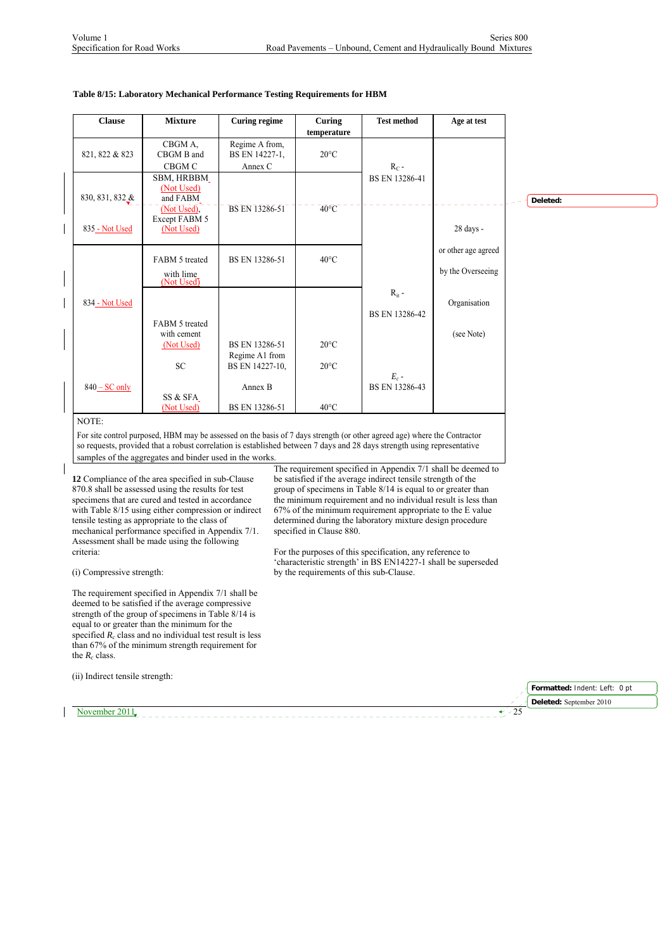## **Table 8/15: Laboratory Mechanical Performance Testing Requirements for HBM**

| <b>Clause</b>   | <b>Mixture</b>                              | <b>Curing regime</b>                        | Curing<br>temperature | <b>Test method</b>           | Age at test                              |          |
|-----------------|---------------------------------------------|---------------------------------------------|-----------------------|------------------------------|------------------------------------------|----------|
| 821, 822 & 823  | CBGM A,<br>CBGM B and<br>CBGM C             | Regime A from,<br>BS EN 14227-1,<br>Annex C | $20^{\circ}$ C        | $R_C$ -                      |                                          |          |
| 830, 831, 832 & | SBM, HRBBM<br>(Not Used)<br>and FABM        |                                             |                       | BS EN 13286-41               |                                          | Deleted: |
| 835 - Not Used  | (Not Used),<br>Except FABM 5<br>(Not Used)  | BS EN 13286-51                              | $40^{\circ}$ C        |                              | 28 days -                                |          |
|                 | FABM 5 treated<br>with lime<br>(Not Used)   | BS EN 13286-51                              | $40^{\circ}$ C        |                              | or other age agreed<br>by the Overseeing |          |
| 834 - Not Used  |                                             |                                             |                       | $R_{it}$ -<br>BS EN 13286-42 | Organisation                             |          |
|                 | FABM 5 treated<br>with cement<br>(Not Used) | BS EN 13286-51<br>Regime A1 from            | $20^{\circ}$ C        |                              | (see Note)                               |          |
|                 | <b>SC</b>                                   | BS EN 14227-10,                             | $20^{\circ}$ C        | $E_c$ -                      |                                          |          |
| $840 - SC$ only | SS & SFA<br>(Not Used)                      | Annex B<br>BS EN 13286-51                   | $40^{\circ}$ C        | BS EN 13286-43               |                                          |          |

For site control purposed, HBM may be assessed on the basis of 7 days strength (or other agreed age) where the Contractor so requests, provided that a robust correlation is established between 7 days and 28 days strength using representative samples of the aggregates and binder used in the works.

**12** Compliance of the area specified in sub-Clause 870.8 shall be assessed using the results for test specimens that are cured and tested in accordance with Table 8/15 using either compression or indirect tensile testing as appropriate to the class of mechanical performance specified in Appendix 7/1. Assessment shall be made using the following criteria:

(i) Compressive strength:

(ii) Indirect tensile strength:

The requirement specified in Appendix 7/1 shall be deemed to be satisfied if the average compressive strength of the group of specimens in Table 8/14 is equal to or greater than the minimum for the specified  $R_c$  class and no individual test result is less than 67% of the minimum strength requirement for the  $R_c$  class.

The requirement specified in Appendix 7/1 shall be deemed to be satisfied if the average indirect tensile strength of the group of specimens in Table 8/14 is equal to or greater than the minimum requirement and no individual result is less than 67% of the minimum requirement appropriate to the E value determined during the laboratory mixture design procedure specified in Clause 880.

For the purposes of this specification, any reference to 'characteristic strength' in BS EN14227-1 shall be superseded by the requirements of this sub-Clause.

|                  | Formatted: Indent: Left: 0 pt                 |
|------------------|-----------------------------------------------|
|                  | <b>Exerciber 1948</b> Deleted: September 2010 |
| `⊇vember∴.<br>ر_ |                                               |
|                  |                                               |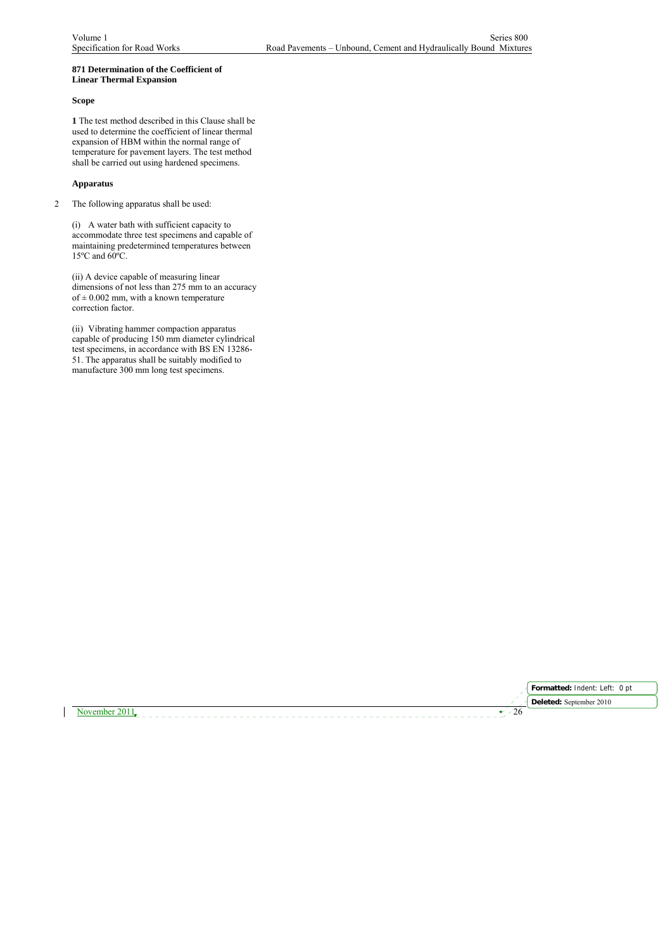### **871 Determination of the Coefficient of Linear Thermal Expansion**

### **Scope**

**1** The test method described in this Clause shall be used to determine the coefficient of linear thermal expansion of HBM within the normal range of temperature for pavement layers. The test method shall be carried out using hardened specimens.

### **Apparatus**

2 The following apparatus shall be used:

(i) A water bath with sufficient capacity to accommodate three test specimens and capable of maintaining predetermined temperatures between 15ºC and 60ºC.

(ii) A device capable of measuring linear dimensions of not less than 275 mm to an accuracy of  $\pm$  0.002 mm, with a known temperature correction factor.

(ii) Vibrating hammer compaction apparatus capable of producing 150 mm diameter cylindrical test specimens, in accordance with BS EN 13286- 51. The apparatus shall be suitably modified to manufacture 300 mm long test specimens.



November 2011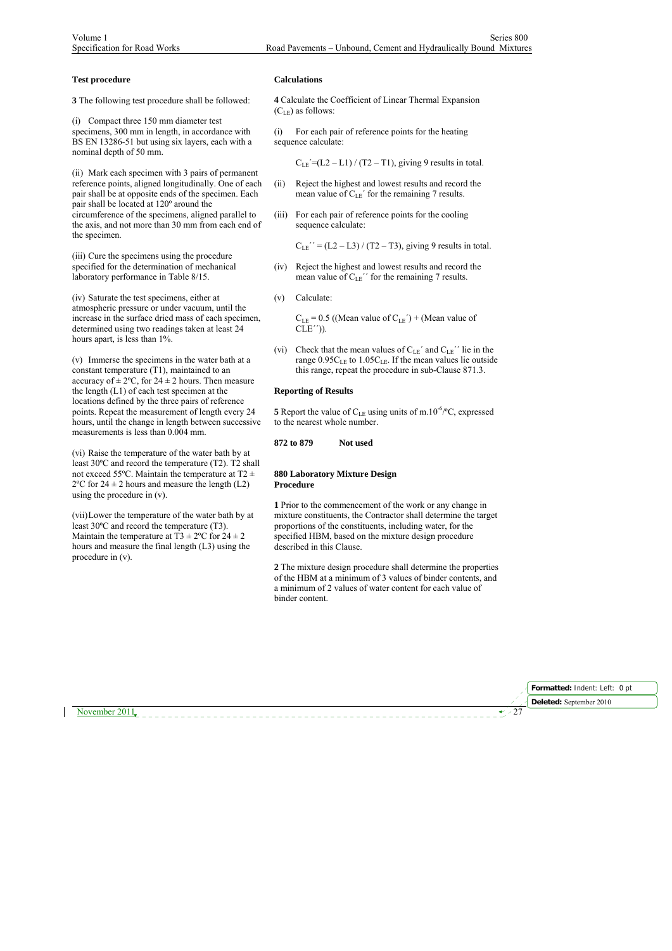### **Test procedure**

**3** The following test procedure shall be followed:

(i) Compact three 150 mm diameter test specimens, 300 mm in length, in accordance with BS EN 13286-51 but using six layers, each with a nominal depth of 50 mm.

(ii) Mark each specimen with 3 pairs of permanent reference points, aligned longitudinally. One of each pair shall be at opposite ends of the specimen. Each pair shall be located at 120º around the circumference of the specimens, aligned parallel to the axis, and not more than 30 mm from each end of the specimen.

(iii) Cure the specimens using the procedure specified for the determination of mechanical laboratory performance in Table 8/15.

(iv) Saturate the test specimens, either at atmospheric pressure or under vacuum, until the increase in the surface dried mass of each specimen, determined using two readings taken at least 24 hours apart, is less than 1%.

(v) Immerse the specimens in the water bath at a constant temperature (T1), maintained to an accuracy of  $\pm 2^{\circ}$ C, for  $24 \pm 2$  hours. Then measure the length (L1) of each test specimen at the locations defined by the three pairs of reference points. Repeat the measurement of length every 24 hours, until the change in length between successive measurements is less than 0.004 mm.

(vi) Raise the temperature of the water bath by at least 30ºC and record the temperature (T2). T2 shall not exceed 55°C. Maintain the temperature at T2  $\pm$  $2^{\circ}$ C for  $24 \pm 2$  hours and measure the length (L2) using the procedure in (v).

(vii)Lower the temperature of the water bath by at least 30ºC and record the temperature (T3). Maintain the temperature at T3  $\pm$  2°C for 24  $\pm$  2 hours and measure the final length (L3) using the procedure in (v).

### **Calculations**

**4** Calculate the Coefficient of Linear Thermal Expansion  $(C<sub>LE</sub>)$  as follows:

(i) For each pair of reference points for the heating sequence calculate:

 $C_{LE}$ <sup> $=$ </sup> $(L2 - L1)$  / (T2 – T1), giving 9 results in total.

- (ii) Reject the highest and lowest results and record the mean value of  $C_{LE}$ <sup> $\prime$ </sup> for the remaining 7 results.
- (iii) For each pair of reference points for the cooling sequence calculate:

 $C_{LE}$ <sup>"</sup> = (L2 – L3) / (T2 – T3), giving 9 results in total.

(iv) Reject the highest and lowest results and record the mean value of  $C_{LE}$ <sup>"</sup> for the remaining 7 results.

(v) Calculate:

 $C_{LE}$  = 0.5 ((Mean value of  $C_{LE}$ <sup>'</sup>) + (Mean value of  $CLE'$ )).

(vi) Check that the mean values of  $C_{LE}$ <sup> $\prime$ </sup> and  $C_{LE}$ <sup> $\prime$ </sup> lie in the range  $0.95C_{LE}$  to  $1.05C_{LE}$ . If the mean values lie outside this range, repeat the procedure in sub-Clause 871.3.

### **Reporting of Results**

**5** Report the value of  $C_{LE}$  using units of m.10<sup>-6</sup>/ $\degree$ C, expressed to the nearest whole number.

### **872 to 879 Not used**

### **880 Laboratory Mixture Design Procedure**

**1** Prior to the commencement of the work or any change in mixture constituents, the Contractor shall determine the target proportions of the constituents, including water, for the specified HBM, based on the mixture design procedure described in this Clause.

**2** The mixture design procedure shall determine the properties of the HBM at a minimum of 3 values of binder contents, and a minimum of 2 values of water content for each value of binder content.

November 2011

**Formatted:** Indent: Left: 0 pt **Deleted:** September 2010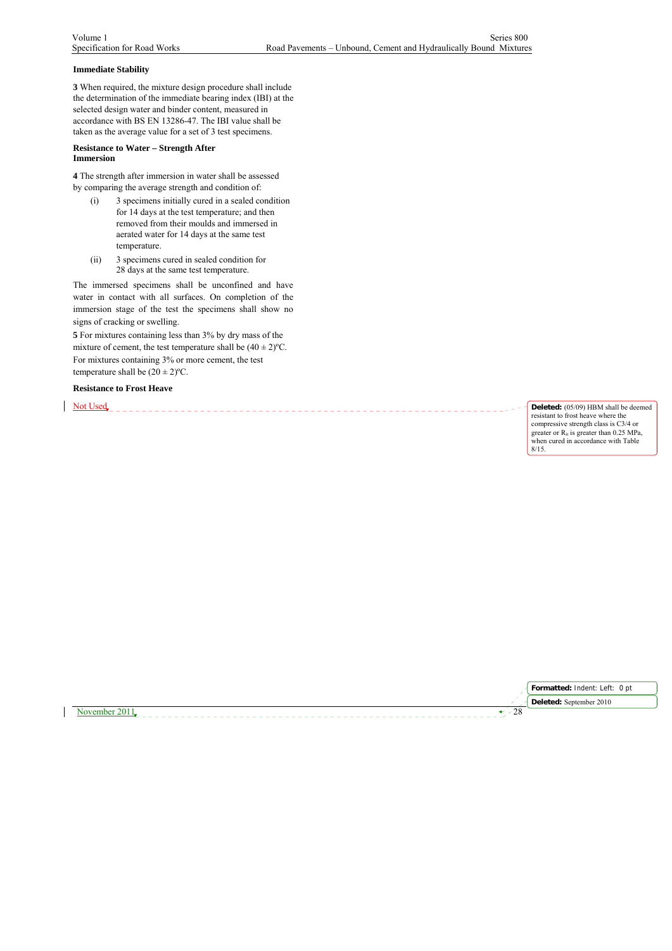## **Immediate Stability**

**3** When required, the mixture design procedure shall include the determination of the immediate bearing index (IBI) at the selected design water and binder content, measured in accordance with BS EN 13286-47. The IBI value shall be taken as the average value for a set of 3 test specimens.

### **Resistance to Water – Strength After Immersion**

**4** The strength after immersion in water shall be assessed by comparing the average strength and condition of:

- (i) 3 specimens initially cured in a sealed condition for 14 days at the test temperature; and then removed from their moulds and immersed in aerated water for 14 days at the same test temperature.
- (ii) 3 specimens cured in sealed condition for 28 days at the same test temperature.

The immersed specimens shall be unconfined and have water in contact with all surfaces. On completion of the immersion stage of the test the specimens shall show no signs of cracking or swelling.

**5** For mixtures containing less than 3% by dry mass of the mixture of cement, the test temperature shall be  $(40 \pm 2)$ °C. For mixtures containing 3% or more cement, the test temperature shall be  $(20 \pm 2)$ <sup>o</sup>C.

**Resistance to Frost Heave**

Not Used **Product Construction** Deleted: (05/09) HBM shall be deemed resistant to frost heave where the compressive strength class is C3/4 or greater or  $R<sub>it</sub>$  is greater than 0.25 MPa, when cured in accordance with Table 8/15.

**Formatted:** Indent: Left: 0 pt

November 2011  $\sqrt{28}$ **Deleted:** September 2010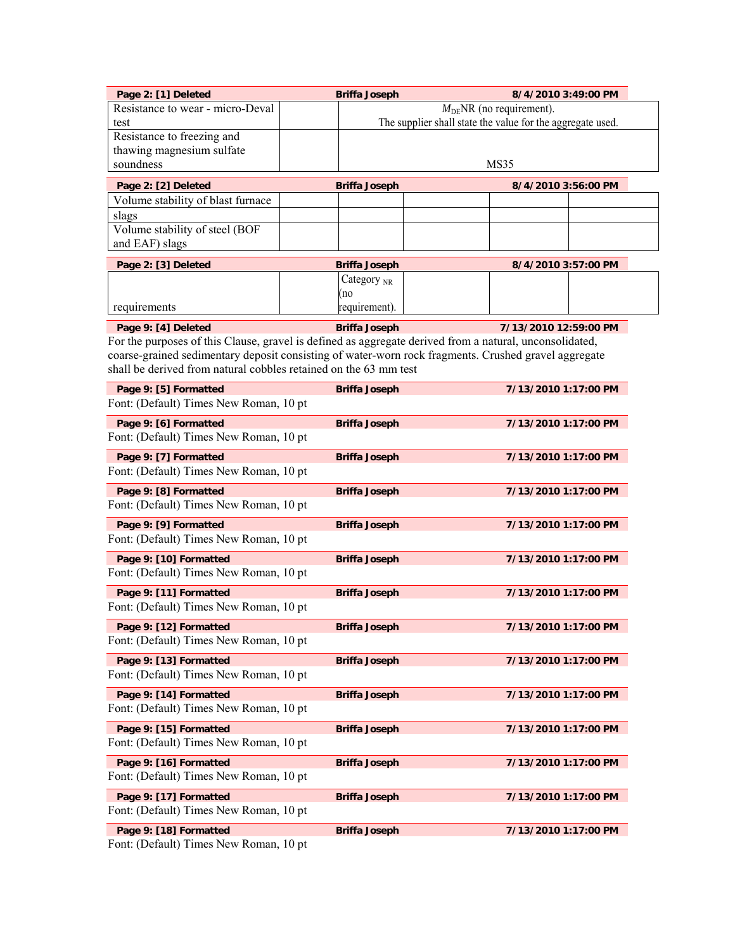| Page 2: [1] Deleted                                              | <b>Briffa Joseph</b><br>8/4/2010 3:49:00 PM                                             |                                                                                                                                  |  |
|------------------------------------------------------------------|-----------------------------------------------------------------------------------------|----------------------------------------------------------------------------------------------------------------------------------|--|
| Resistance to wear - micro-Deval                                 | $MDENR$ (no requirement).<br>The supplier shall state the value for the aggregate used. |                                                                                                                                  |  |
| test<br>Resistance to freezing and                               |                                                                                         |                                                                                                                                  |  |
| thawing magnesium sulfate                                        |                                                                                         |                                                                                                                                  |  |
| soundness                                                        |                                                                                         | MS35                                                                                                                             |  |
| Page 2: [2] Deleted                                              | <b>Briffa Joseph</b>                                                                    | 8/4/2010 3:56:00 PM                                                                                                              |  |
| Volume stability of blast furnace                                |                                                                                         |                                                                                                                                  |  |
| slags<br>Volume stability of steel (BOF                          |                                                                                         |                                                                                                                                  |  |
| and EAF) slags                                                   |                                                                                         |                                                                                                                                  |  |
| Page 2: [3] Deleted                                              | <b>Briffa Joseph</b>                                                                    | 8/4/2010 3:57:00 PM                                                                                                              |  |
|                                                                  | Category $_{\text{NR}}$                                                                 |                                                                                                                                  |  |
|                                                                  | (no                                                                                     |                                                                                                                                  |  |
| requirements                                                     | requirement).                                                                           |                                                                                                                                  |  |
| Page 9: [4] Deleted                                              | <b>Briffa Joseph</b>                                                                    | 7/13/2010 12:59:00 PM<br>For the purposes of this Clause, gravel is defined as aggregate derived from a natural, unconsolidated, |  |
|                                                                  |                                                                                         | coarse-grained sedimentary deposit consisting of water-worn rock fragments. Crushed gravel aggregate                             |  |
| shall be derived from natural cobbles retained on the 63 mm test |                                                                                         |                                                                                                                                  |  |
| Page 9: [5] Formatted                                            | <b>Briffa Joseph</b>                                                                    | 7/13/2010 1:17:00 PM                                                                                                             |  |
| Font: (Default) Times New Roman, 10 pt                           |                                                                                         |                                                                                                                                  |  |
| Page 9: [6] Formatted                                            | <b>Briffa Joseph</b>                                                                    | 7/13/2010 1:17:00 PM                                                                                                             |  |
| Font: (Default) Times New Roman, 10 pt                           |                                                                                         |                                                                                                                                  |  |
| Page 9: [7] Formatted                                            | <b>Briffa Joseph</b>                                                                    | 7/13/2010 1:17:00 PM                                                                                                             |  |
| Font: (Default) Times New Roman, 10 pt                           |                                                                                         |                                                                                                                                  |  |
| Page 9: [8] Formatted<br>Font: (Default) Times New Roman, 10 pt  | <b>Briffa Joseph</b>                                                                    | 7/13/2010 1:17:00 PM                                                                                                             |  |
|                                                                  |                                                                                         |                                                                                                                                  |  |
| Page 9: [9] Formatted<br>Font: (Default) Times New Roman, 10 pt  | <b>Briffa Joseph</b>                                                                    | 7/13/2010 1:17:00 PM                                                                                                             |  |
| Page 9: [10] Formatted                                           | <b>Briffa Joseph</b>                                                                    | 7/13/2010 1:17:00 PM                                                                                                             |  |
| Font: (Default) Times New Roman, 10 pt                           |                                                                                         |                                                                                                                                  |  |
| Page 9: [11] Formatted                                           | <b>Briffa Joseph</b>                                                                    | 7/13/2010 1:17:00 PM                                                                                                             |  |
| Font: (Default) Times New Roman, 10 pt                           |                                                                                         |                                                                                                                                  |  |
| Page 9: [12] Formatted                                           | <b>Briffa Joseph</b>                                                                    | 7/13/2010 1:17:00 PM                                                                                                             |  |
| Font: (Default) Times New Roman, 10 pt                           |                                                                                         |                                                                                                                                  |  |
| Page 9: [13] Formatted                                           | <b>Briffa Joseph</b>                                                                    | 7/13/2010 1:17:00 PM                                                                                                             |  |
| Font: (Default) Times New Roman, 10 pt                           |                                                                                         |                                                                                                                                  |  |
| Page 9: [14] Formatted                                           | <b>Briffa Joseph</b>                                                                    | 7/13/2010 1:17:00 PM                                                                                                             |  |
| Font: (Default) Times New Roman, 10 pt                           |                                                                                         |                                                                                                                                  |  |
| Page 9: [15] Formatted<br>Font: (Default) Times New Roman, 10 pt | <b>Briffa Joseph</b>                                                                    | 7/13/2010 1:17:00 PM                                                                                                             |  |
|                                                                  |                                                                                         |                                                                                                                                  |  |
| Page 9: [16] Formatted<br>Font: (Default) Times New Roman, 10 pt | <b>Briffa Joseph</b>                                                                    | 7/13/2010 1:17:00 PM                                                                                                             |  |
| Page 9: [17] Formatted                                           | <b>Briffa Joseph</b>                                                                    | 7/13/2010 1:17:00 PM                                                                                                             |  |
| Font: (Default) Times New Roman, 10 pt                           |                                                                                         |                                                                                                                                  |  |
| Page 9: [18] Formatted                                           | <b>Briffa Joseph</b>                                                                    | 7/13/2010 1:17:00 PM                                                                                                             |  |
| $\Gamma_{\text{out}}$ (Dafault) Times New Doman $10$ nt          |                                                                                         |                                                                                                                                  |  |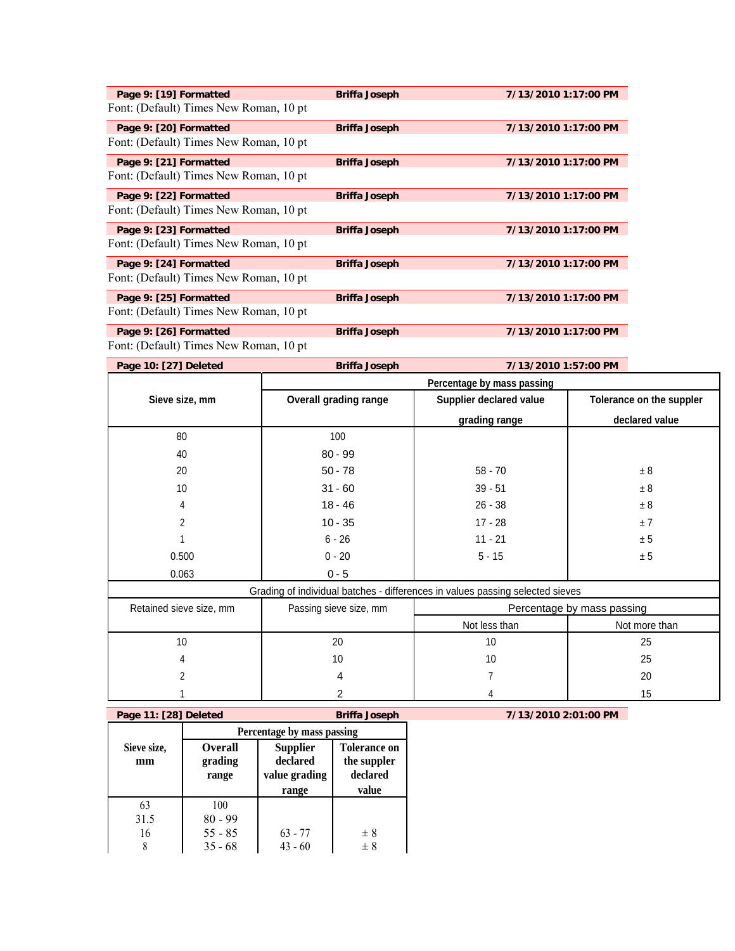| Page 9: [19] Formatted                  | <b>Briffa Joseph</b> | 7/13/2010 1:17:00 PM |
|-----------------------------------------|----------------------|----------------------|
| Font: (Default) Times New Roman, 10 pt  |                      |                      |
| Page 9: [20] Formatted                  | <b>Briffa Joseph</b> | 7/13/2010 1:17:00 PM |
| Font: (Default) Times New Roman, 10 pt  |                      |                      |
| Page 9: [21] Formatted                  | <b>Briffa Joseph</b> | 7/13/2010 1:17:00 PM |
| Font: (Default) Times New Roman, 10 pt  |                      |                      |
| Page 9: [22] Formatted                  | <b>Briffa Joseph</b> | 7/13/2010 1:17:00 PM |
| Font: (Default) Times New Roman, 10 pt. |                      |                      |
| Page 9: [23] Formatted                  | <b>Briffa Joseph</b> | 7/13/2010 1:17:00 PM |
| Font: (Default) Times New Roman, 10 pt  |                      |                      |
| Page 9: [24] Formatted                  | <b>Briffa Joseph</b> | 7/13/2010 1:17:00 PM |
| Font: (Default) Times New Roman, 10 pt. |                      |                      |
| Page 9: [25] Formatted                  | <b>Briffa Joseph</b> | 7/13/2010 1:17:00 PM |
| Font: (Default) Times New Roman, 10 pt. |                      |                      |
| Page 9: [26] Formatted                  | <b>Briffa Joseph</b> | 7/13/2010 1:17:00 PM |

| Page 10: [27] Deleted | <b>Briffa Joseph</b>                                                        | 7/13/2010 1:57:00 PM       |                          |  |
|-----------------------|-----------------------------------------------------------------------------|----------------------------|--------------------------|--|
|                       |                                                                             | Percentage by mass passing |                          |  |
| Sieve size, mm        | Supplier declared value<br><b>Overall grading range</b>                     |                            | Tolerance on the suppler |  |
|                       |                                                                             | grading range              | declared value           |  |
| 80                    | 100                                                                         |                            |                          |  |
| 40                    | $80 - 99$                                                                   |                            |                          |  |
| 20                    | $50 - 78$                                                                   | $58 - 70$                  | ± 8                      |  |
| 10                    | $31 - 60$                                                                   | $39 - 51$                  | ± 8                      |  |
| 4                     | $18 - 46$                                                                   | $26 - 38$                  | ± 8                      |  |
| 2                     | $10 - 35$                                                                   | $17 - 28$                  | ±7                       |  |
|                       | $6 - 26$                                                                    | $11 - 21$                  | ± 5                      |  |
| 0.500                 | $0 - 20$                                                                    | $5 - 15$                   | ± 5                      |  |
| 0.063                 | $0 - 5$                                                                     |                            |                          |  |
|                       | Crading of individual batches differences in values passing selected sieves |                            |                          |  |

| Retained sieve size, mm | Passing sieve size, mm | Percentage by mass passing |               |
|-------------------------|------------------------|----------------------------|---------------|
|                         |                        | Not less than              | Not more than |
| 10                      | 20                     | 10                         | 25            |
|                         | 10                     | 10                         | 25            |
|                         |                        |                            | 20            |
|                         |                        |                            | 15            |

| Page 11: [28] Deleted |                                    |                                              | <b>Briffa Joseph</b>                           |
|-----------------------|------------------------------------|----------------------------------------------|------------------------------------------------|
|                       | Percentage by mass passing         |                                              |                                                |
| Sieve size,<br>mm     | <b>Overall</b><br>grading<br>range | <b>Supplier</b><br>declared<br>value grading | <b>Tolerance on</b><br>the suppler<br>declared |
|                       |                                    | range                                        | value                                          |
| 63                    | 100                                |                                              |                                                |
| 31.5                  | $80 - 99$                          |                                              |                                                |
| 16                    | $55 - 85$                          | $63 - 77$                                    | $\pm 8$                                        |
| 8                     | $35 - 68$                          | $43 - 60$                                    | $\pm 8$                                        |

**Page 11: [28] Deleted Briffa Joseph 7/13/2010 2:01:00 PM**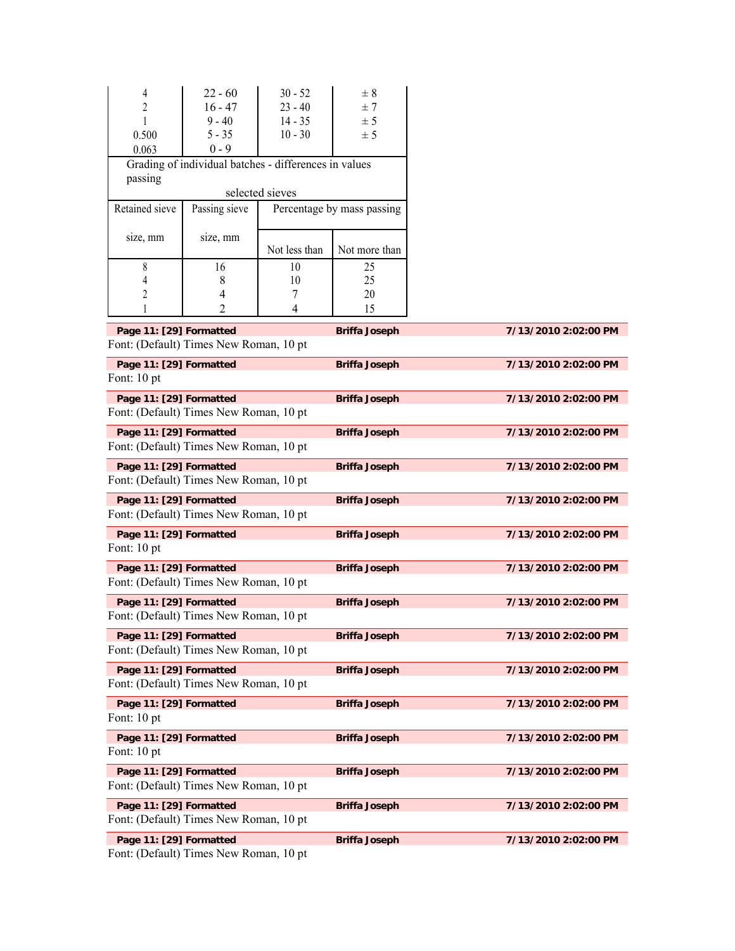| $\overline{4}$                                                                         | $22 - 60$                                             | $30 - 52$            | $\pm$ 8                    |                      |  |  |
|----------------------------------------------------------------------------------------|-------------------------------------------------------|----------------------|----------------------------|----------------------|--|--|
| $\overline{c}$                                                                         | $16 - 47$                                             | $23 - 40$            | ± 7                        |                      |  |  |
| 1                                                                                      | $9 - 40$                                              | $14 - 35$            | ± 5                        |                      |  |  |
| 0.500                                                                                  | $5 - 35$                                              | $10 - 30$            | ± 5                        |                      |  |  |
| 0.063                                                                                  | $0 - 9$                                               |                      |                            |                      |  |  |
|                                                                                        | Grading of individual batches - differences in values |                      |                            |                      |  |  |
| passing                                                                                |                                                       |                      |                            |                      |  |  |
|                                                                                        |                                                       | selected sieves      |                            |                      |  |  |
| Retained sieve                                                                         | Passing sieve                                         |                      | Percentage by mass passing |                      |  |  |
|                                                                                        |                                                       |                      |                            |                      |  |  |
| size, mm                                                                               | size, mm                                              | Not less than        | Not more than              |                      |  |  |
| 8                                                                                      | 16                                                    | 10                   | 25                         |                      |  |  |
| 4                                                                                      | 8                                                     | 10                   | 25                         |                      |  |  |
| 2                                                                                      | 4                                                     | 7                    | 20                         |                      |  |  |
|                                                                                        | 2                                                     | 4                    | 15                         |                      |  |  |
|                                                                                        |                                                       |                      |                            |                      |  |  |
| Page 11: [29] Formatted                                                                |                                                       |                      | <b>Briffa Joseph</b>       | 7/13/2010 2:02:00 PM |  |  |
| Font: (Default) Times New Roman, 10 pt                                                 |                                                       |                      |                            |                      |  |  |
| Page 11: [29] Formatted                                                                |                                                       |                      | <b>Briffa Joseph</b>       | 7/13/2010 2:02:00 PM |  |  |
| Font: 10 pt                                                                            |                                                       |                      |                            |                      |  |  |
| Page 11: [29] Formatted                                                                |                                                       |                      | <b>Briffa Joseph</b>       | 7/13/2010 2:02:00 PM |  |  |
| Font: (Default) Times New Roman, 10 pt                                                 |                                                       |                      |                            |                      |  |  |
|                                                                                        |                                                       |                      |                            | 7/13/2010 2:02:00 PM |  |  |
| Page 11: [29] Formatted<br>Font: (Default) Times New Roman, 10 pt                      |                                                       |                      | <b>Briffa Joseph</b>       |                      |  |  |
|                                                                                        |                                                       |                      |                            |                      |  |  |
| Page 11: [29] Formatted                                                                |                                                       |                      | <b>Briffa Joseph</b>       | 7/13/2010 2:02:00 PM |  |  |
| Font: (Default) Times New Roman, 10 pt                                                 |                                                       |                      |                            |                      |  |  |
| Page 11: [29] Formatted<br><b>Briffa Joseph</b>                                        |                                                       |                      |                            | 7/13/2010 2:02:00 PM |  |  |
| Font: (Default) Times New Roman, 10 pt                                                 |                                                       |                      |                            |                      |  |  |
| Page 11: [29] Formatted                                                                |                                                       |                      | <b>Briffa Joseph</b>       | 7/13/2010 2:02:00 PM |  |  |
| Font: 10 pt                                                                            |                                                       |                      |                            |                      |  |  |
|                                                                                        |                                                       |                      |                            | 7/13/2010 2:02:00 PM |  |  |
| Page 11: [29] Formatted<br>Font: (Default) Times New Roman, 10 pt                      |                                                       |                      | <b>Briffa Joseph</b>       |                      |  |  |
|                                                                                        |                                                       |                      |                            |                      |  |  |
| Page 11: [29] Formatted                                                                |                                                       |                      | <b>Briffa Joseph</b>       | 7/13/2010 2:02:00 PM |  |  |
| Font: (Default) Times New Roman, 10 pt                                                 |                                                       |                      |                            |                      |  |  |
| Page 11: [29] Formatted                                                                |                                                       |                      | <b>Briffa Joseph</b>       | 7/13/2010 2:02:00 PM |  |  |
| Font: (Default) Times New Roman, 10 pt                                                 |                                                       |                      |                            |                      |  |  |
| Page 11: [29] Formatted<br><b>Briffa Joseph</b><br>7/13/2010 2:02:00 PM                |                                                       |                      |                            |                      |  |  |
| Font: (Default) Times New Roman, 10 pt                                                 |                                                       |                      |                            |                      |  |  |
|                                                                                        |                                                       |                      |                            |                      |  |  |
| Page 11: [29] Formatted<br><b>Briffa Joseph</b><br>7/13/2010 2:02:00 PM<br>Font: 10 pt |                                                       |                      |                            |                      |  |  |
|                                                                                        |                                                       |                      |                            |                      |  |  |
| Page 11: [29] Formatted                                                                |                                                       | 7/13/2010 2:02:00 PM |                            |                      |  |  |
| Font: 10 pt                                                                            |                                                       |                      |                            |                      |  |  |
| Page 11: [29] Formatted                                                                |                                                       |                      | <b>Briffa Joseph</b>       | 7/13/2010 2:02:00 PM |  |  |
|                                                                                        | Font: (Default) Times New Roman, 10 pt                |                      |                            |                      |  |  |
| Page 11: [29] Formatted                                                                |                                                       |                      | <b>Briffa Joseph</b>       | 7/13/2010 2:02:00 PM |  |  |
| Font: (Default) Times New Roman, 10 pt                                                 |                                                       |                      |                            |                      |  |  |
|                                                                                        |                                                       |                      |                            |                      |  |  |
| Page 11: [29] Formatted                                                                |                                                       |                      | <b>Briffa Joseph</b>       | 7/13/2010 2:02:00 PM |  |  |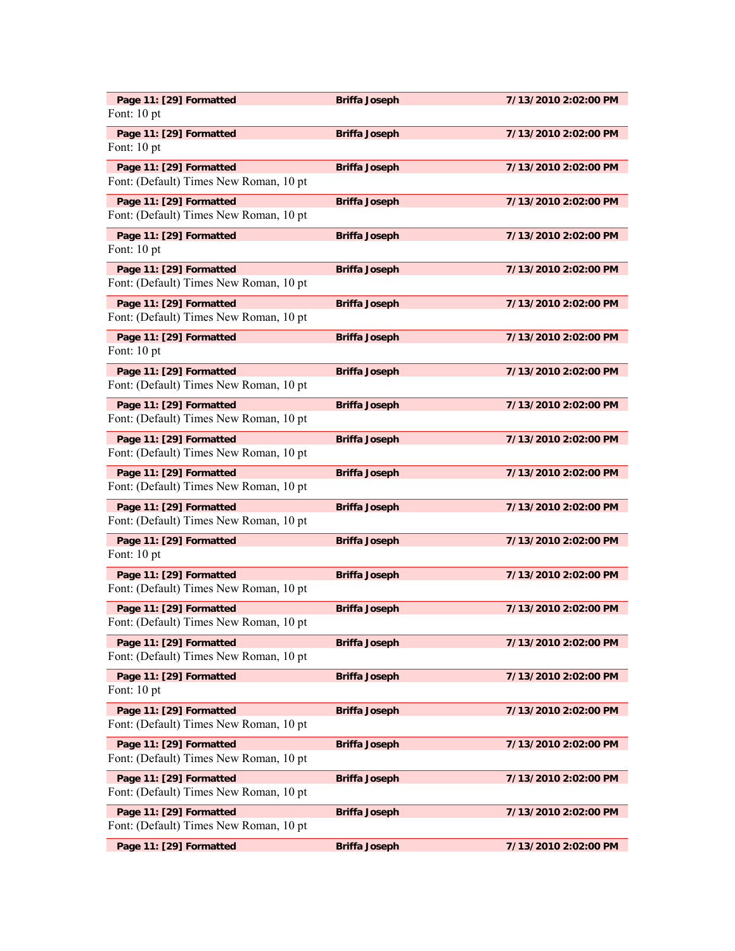| Page 11: [29] Formatted<br>Font: 10 pt                            | <b>Briffa Joseph</b> | 7/13/2010 2:02:00 PM |
|-------------------------------------------------------------------|----------------------|----------------------|
| Page 11: [29] Formatted<br>Font: 10 pt                            | <b>Briffa Joseph</b> | 7/13/2010 2:02:00 PM |
| Page 11: [29] Formatted<br>Font: (Default) Times New Roman, 10 pt | <b>Briffa Joseph</b> | 7/13/2010 2:02:00 PM |
| Page 11: [29] Formatted<br>Font: (Default) Times New Roman, 10 pt | <b>Briffa Joseph</b> | 7/13/2010 2:02:00 PM |
| Page 11: [29] Formatted<br>Font: 10 pt                            | <b>Briffa Joseph</b> | 7/13/2010 2:02:00 PM |
| Page 11: [29] Formatted<br>Font: (Default) Times New Roman, 10 pt | <b>Briffa Joseph</b> | 7/13/2010 2:02:00 PM |
| Page 11: [29] Formatted<br>Font: (Default) Times New Roman, 10 pt | <b>Briffa Joseph</b> | 7/13/2010 2:02:00 PM |
| Page 11: [29] Formatted<br>Font: 10 pt                            | <b>Briffa Joseph</b> | 7/13/2010 2:02:00 PM |
| Page 11: [29] Formatted<br>Font: (Default) Times New Roman, 10 pt | <b>Briffa Joseph</b> | 7/13/2010 2:02:00 PM |
| Page 11: [29] Formatted<br>Font: (Default) Times New Roman, 10 pt | <b>Briffa Joseph</b> | 7/13/2010 2:02:00 PM |
| Page 11: [29] Formatted<br>Font: (Default) Times New Roman, 10 pt | <b>Briffa Joseph</b> | 7/13/2010 2:02:00 PM |
| Page 11: [29] Formatted<br>Font: (Default) Times New Roman, 10 pt | <b>Briffa Joseph</b> | 7/13/2010 2:02:00 PM |
| Page 11: [29] Formatted<br>Font: (Default) Times New Roman, 10 pt | <b>Briffa Joseph</b> | 7/13/2010 2:02:00 PM |
| Page 11: [29] Formatted<br>Font: 10 pt                            | <b>Briffa Joseph</b> | 7/13/2010 2:02:00 PM |
| Page 11: [29] Formatted<br>Font: (Default) Times New Roman, 10 pt | <b>Briffa Joseph</b> | 7/13/2010 2:02:00 PM |
| Page 11: [29] Formatted<br>Font: (Default) Times New Roman, 10 pt | <b>Briffa Joseph</b> | 7/13/2010 2:02:00 PM |
| Page 11: [29] Formatted<br>Font: (Default) Times New Roman, 10 pt | <b>Briffa Joseph</b> | 7/13/2010 2:02:00 PM |
| Page 11: [29] Formatted<br>Font: 10 pt                            | <b>Briffa Joseph</b> | 7/13/2010 2:02:00 PM |
| Page 11: [29] Formatted<br>Font: (Default) Times New Roman, 10 pt | <b>Briffa Joseph</b> | 7/13/2010 2:02:00 PM |
| Page 11: [29] Formatted<br>Font: (Default) Times New Roman, 10 pt | <b>Briffa Joseph</b> | 7/13/2010 2:02:00 PM |
| Page 11: [29] Formatted<br>Font: (Default) Times New Roman, 10 pt | <b>Briffa Joseph</b> | 7/13/2010 2:02:00 PM |
| Page 11: [29] Formatted<br>Font: (Default) Times New Roman, 10 pt | <b>Briffa Joseph</b> | 7/13/2010 2:02:00 PM |
| Page 11: [29] Formatted                                           | <b>Briffa Joseph</b> | 7/13/2010 2:02:00 PM |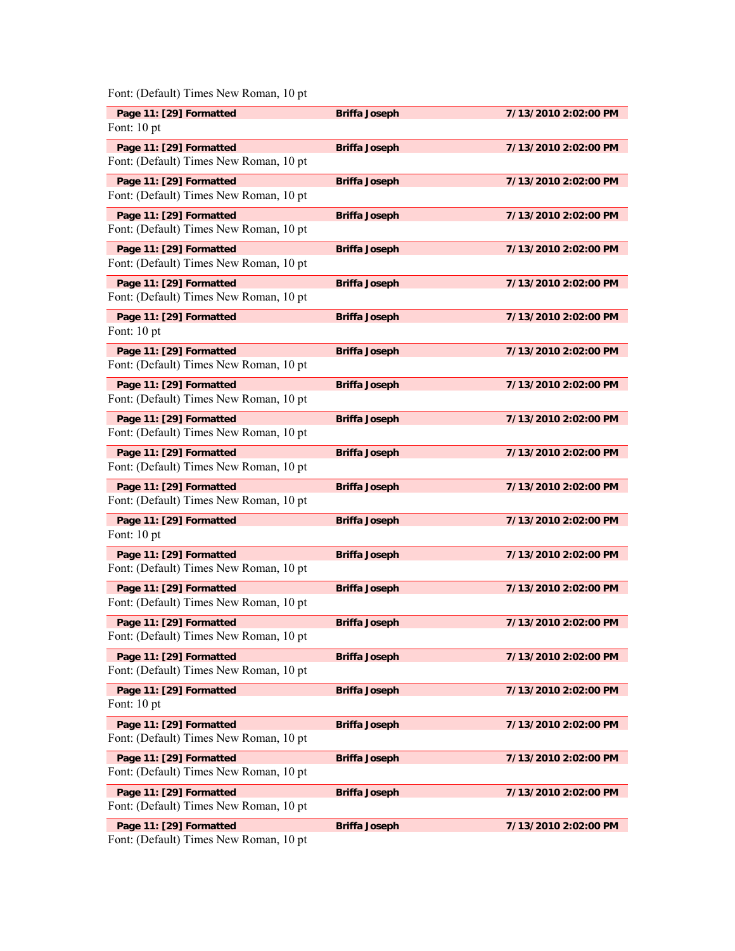| Page 11: [29] Formatted<br>Font: 10 pt                            | <b>Briffa Joseph</b> | 7/13/2010 2:02:00 PM |
|-------------------------------------------------------------------|----------------------|----------------------|
| Page 11: [29] Formatted<br>Font: (Default) Times New Roman, 10 pt | <b>Briffa Joseph</b> | 7/13/2010 2:02:00 PM |
| Page 11: [29] Formatted<br>Font: (Default) Times New Roman, 10 pt | <b>Briffa Joseph</b> | 7/13/2010 2:02:00 PM |
| Page 11: [29] Formatted<br>Font: (Default) Times New Roman, 10 pt | <b>Briffa Joseph</b> | 7/13/2010 2:02:00 PM |
| Page 11: [29] Formatted<br>Font: (Default) Times New Roman, 10 pt | <b>Briffa Joseph</b> | 7/13/2010 2:02:00 PM |
| Page 11: [29] Formatted<br>Font: (Default) Times New Roman, 10 pt | <b>Briffa Joseph</b> | 7/13/2010 2:02:00 PM |
| Page 11: [29] Formatted<br>Font: 10 pt                            | <b>Briffa Joseph</b> | 7/13/2010 2:02:00 PM |
| Page 11: [29] Formatted<br>Font: (Default) Times New Roman, 10 pt | <b>Briffa Joseph</b> | 7/13/2010 2:02:00 PM |
| Page 11: [29] Formatted<br>Font: (Default) Times New Roman, 10 pt | <b>Briffa Joseph</b> | 7/13/2010 2:02:00 PM |
| Page 11: [29] Formatted<br>Font: (Default) Times New Roman, 10 pt | <b>Briffa Joseph</b> | 7/13/2010 2:02:00 PM |
| Page 11: [29] Formatted<br>Font: (Default) Times New Roman, 10 pt | <b>Briffa Joseph</b> | 7/13/2010 2:02:00 PM |
| Page 11: [29] Formatted<br>Font: (Default) Times New Roman, 10 pt | <b>Briffa Joseph</b> | 7/13/2010 2:02:00 PM |
| Page 11: [29] Formatted<br>Font: 10 pt                            | <b>Briffa Joseph</b> | 7/13/2010 2:02:00 PM |
| Page 11: [29] Formatted<br>Font: (Default) Times New Roman, 10 pt | <b>Briffa Joseph</b> | 7/13/2010 2:02:00 PM |
| Page 11: [29] Formatted<br>Font: (Default) Times New Roman, 10 pt | <b>Briffa Joseph</b> | 7/13/2010 2:02:00 PM |
| Page 11: [29] Formatted<br>Font: (Default) Times New Roman, 10 pt | <b>Briffa Joseph</b> | 7/13/2010 2:02:00 PM |
| Page 11: [29] Formatted<br>Font: (Default) Times New Roman, 10 pt | <b>Briffa Joseph</b> | 7/13/2010 2:02:00 PM |
| Page 11: [29] Formatted<br>Font: 10 pt                            | <b>Briffa Joseph</b> | 7/13/2010 2:02:00 PM |
| Page 11: [29] Formatted<br>Font: (Default) Times New Roman, 10 pt | <b>Briffa Joseph</b> | 7/13/2010 2:02:00 PM |
| Page 11: [29] Formatted<br>Font: (Default) Times New Roman, 10 pt | <b>Briffa Joseph</b> | 7/13/2010 2:02:00 PM |
| Page 11: [29] Formatted<br>Font: (Default) Times New Roman, 10 pt | <b>Briffa Joseph</b> | 7/13/2010 2:02:00 PM |
| Page 11: [29] Formatted<br>Font: (Default) Times New Roman 10 nt  | <b>Briffa Joseph</b> | 7/13/2010 2:02:00 PM |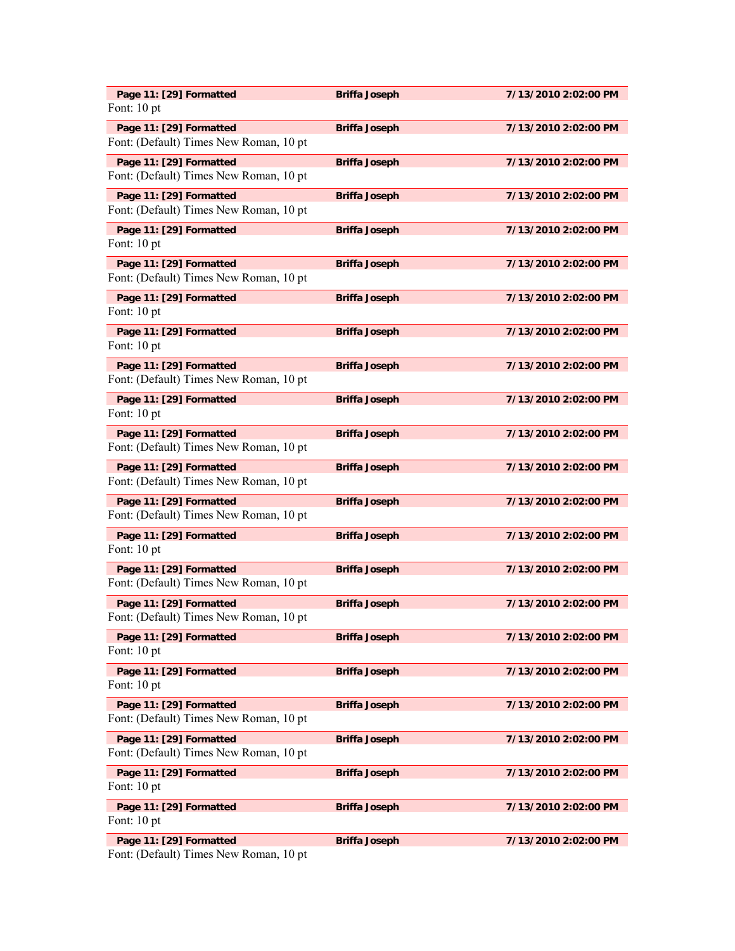| Page 11: [29] Formatted                                           | <b>Briffa Joseph</b> | 7/13/2010 2:02:00 PM |
|-------------------------------------------------------------------|----------------------|----------------------|
| Font: 10 pt                                                       |                      |                      |
| Page 11: [29] Formatted<br>Font: (Default) Times New Roman, 10 pt | <b>Briffa Joseph</b> | 7/13/2010 2:02:00 PM |
| Page 11: [29] Formatted<br>Font: (Default) Times New Roman, 10 pt | <b>Briffa Joseph</b> | 7/13/2010 2:02:00 PM |
| Page 11: [29] Formatted<br>Font: (Default) Times New Roman, 10 pt | <b>Briffa Joseph</b> | 7/13/2010 2:02:00 PM |
| Page 11: [29] Formatted<br>Font: 10 pt                            | <b>Briffa Joseph</b> | 7/13/2010 2:02:00 PM |
| Page 11: [29] Formatted<br>Font: (Default) Times New Roman, 10 pt | <b>Briffa Joseph</b> | 7/13/2010 2:02:00 PM |
| Page 11: [29] Formatted<br>Font: 10 pt                            | <b>Briffa Joseph</b> | 7/13/2010 2:02:00 PM |
| Page 11: [29] Formatted<br>Font: 10 pt                            | <b>Briffa Joseph</b> | 7/13/2010 2:02:00 PM |
| Page 11: [29] Formatted<br>Font: (Default) Times New Roman, 10 pt | <b>Briffa Joseph</b> | 7/13/2010 2:02:00 PM |
| Page 11: [29] Formatted<br>Font: 10 pt                            | <b>Briffa Joseph</b> | 7/13/2010 2:02:00 PM |
| Page 11: [29] Formatted<br>Font: (Default) Times New Roman, 10 pt | <b>Briffa Joseph</b> | 7/13/2010 2:02:00 PM |
| Page 11: [29] Formatted<br>Font: (Default) Times New Roman, 10 pt | <b>Briffa Joseph</b> | 7/13/2010 2:02:00 PM |
| Page 11: [29] Formatted<br>Font: (Default) Times New Roman, 10 pt | <b>Briffa Joseph</b> | 7/13/2010 2:02:00 PM |
| Page 11: [29] Formatted<br>Font: 10 pt                            | <b>Briffa Joseph</b> | 7/13/2010 2:02:00 PM |
| Page 11: [29] Formatted<br>Font: (Default) Times New Roman, 10 pt | <b>Briffa Joseph</b> | 7/13/2010 2:02:00 PM |
| Page 11: [29] Formatted<br>Font: (Default) Times New Roman, 10 pt | <b>Briffa Joseph</b> | 7/13/2010 2:02:00 PM |
| Page 11: [29] Formatted<br>Font: 10 pt                            | <b>Briffa Joseph</b> | 7/13/2010 2:02:00 PM |
| Page 11: [29] Formatted<br>Font: 10 pt                            | <b>Briffa Joseph</b> | 7/13/2010 2:02:00 PM |
| Page 11: [29] Formatted<br>Font: (Default) Times New Roman, 10 pt | <b>Briffa Joseph</b> | 7/13/2010 2:02:00 PM |
| Page 11: [29] Formatted<br>Font: (Default) Times New Roman, 10 pt | <b>Briffa Joseph</b> | 7/13/2010 2:02:00 PM |
| Page 11: [29] Formatted<br>Font: 10 pt                            | <b>Briffa Joseph</b> | 7/13/2010 2:02:00 PM |
| Page 11: [29] Formatted<br>Font: 10 pt                            | <b>Briffa Joseph</b> | 7/13/2010 2:02:00 PM |
| Page 11: [29] Formatted                                           | <b>Briffa Joseph</b> | 7/13/2010 2:02:00 PM |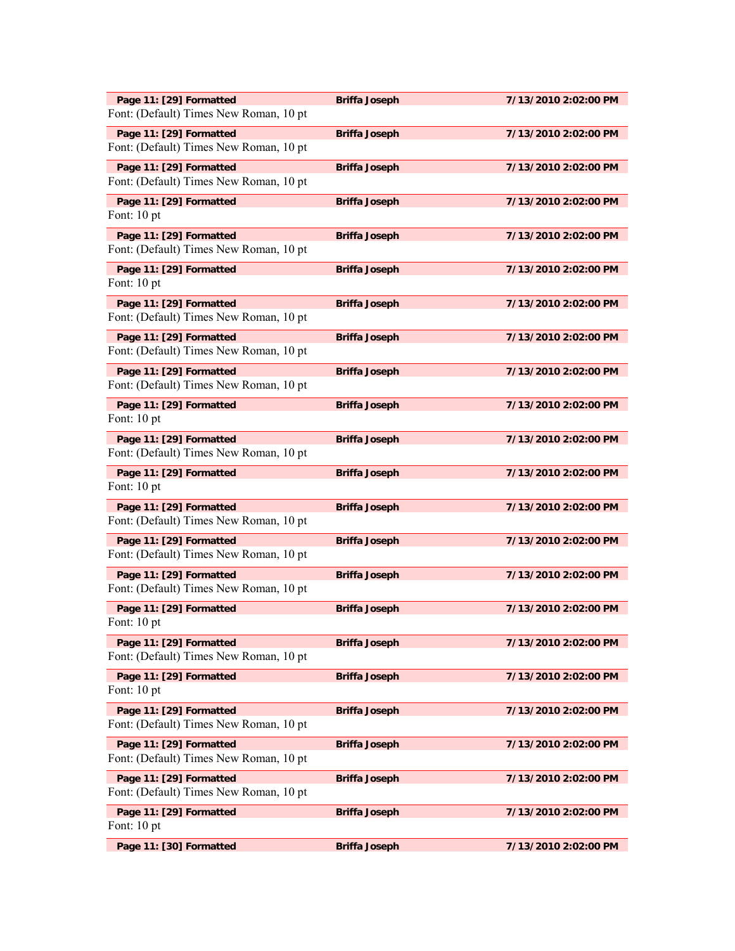| Page 11: [29] Formatted<br>Font: (Default) Times New Roman, 10 pt | <b>Briffa Joseph</b> | 7/13/2010 2:02:00 PM |
|-------------------------------------------------------------------|----------------------|----------------------|
| Page 11: [29] Formatted<br>Font: (Default) Times New Roman, 10 pt | <b>Briffa Joseph</b> | 7/13/2010 2:02:00 PM |
| Page 11: [29] Formatted<br>Font: (Default) Times New Roman, 10 pt | <b>Briffa Joseph</b> | 7/13/2010 2:02:00 PM |
| Page 11: [29] Formatted<br>Font: 10 pt                            | <b>Briffa Joseph</b> | 7/13/2010 2:02:00 PM |
| Page 11: [29] Formatted<br>Font: (Default) Times New Roman, 10 pt | <b>Briffa Joseph</b> | 7/13/2010 2:02:00 PM |
| Page 11: [29] Formatted<br>Font: 10 pt                            | <b>Briffa Joseph</b> | 7/13/2010 2:02:00 PM |
| Page 11: [29] Formatted<br>Font: (Default) Times New Roman, 10 pt | <b>Briffa Joseph</b> | 7/13/2010 2:02:00 PM |
| Page 11: [29] Formatted<br>Font: (Default) Times New Roman, 10 pt | <b>Briffa Joseph</b> | 7/13/2010 2:02:00 PM |
| Page 11: [29] Formatted<br>Font: (Default) Times New Roman, 10 pt | <b>Briffa Joseph</b> | 7/13/2010 2:02:00 PM |
| Page 11: [29] Formatted<br>Font: 10 pt                            | <b>Briffa Joseph</b> | 7/13/2010 2:02:00 PM |
| Page 11: [29] Formatted<br>Font: (Default) Times New Roman, 10 pt | <b>Briffa Joseph</b> | 7/13/2010 2:02:00 PM |
| Page 11: [29] Formatted<br>Font: 10 pt                            | <b>Briffa Joseph</b> | 7/13/2010 2:02:00 PM |
| Page 11: [29] Formatted<br>Font: (Default) Times New Roman, 10 pt | <b>Briffa Joseph</b> | 7/13/2010 2:02:00 PM |
| Page 11: [29] Formatted<br>Font: (Default) Times New Roman, 10 pt | <b>Briffa Joseph</b> | 7/13/2010 2:02:00 PM |
| Page 11: [29] Formatted<br>Font: (Default) Times New Roman, 10 pt | <b>Briffa Joseph</b> | 7/13/2010 2:02:00 PM |
| Page 11: [29] Formatted<br>Font: 10 pt                            | <b>Briffa Joseph</b> | 7/13/2010 2:02:00 PM |
| Page 11: [29] Formatted<br>Font: (Default) Times New Roman, 10 pt | <b>Briffa Joseph</b> | 7/13/2010 2:02:00 PM |
| Page 11: [29] Formatted<br>Font: 10 pt                            | <b>Briffa Joseph</b> | 7/13/2010 2:02:00 PM |
| Page 11: [29] Formatted<br>Font: (Default) Times New Roman, 10 pt | <b>Briffa Joseph</b> | 7/13/2010 2:02:00 PM |
| Page 11: [29] Formatted<br>Font: (Default) Times New Roman, 10 pt | <b>Briffa Joseph</b> | 7/13/2010 2:02:00 PM |
| Page 11: [29] Formatted<br>Font: (Default) Times New Roman, 10 pt | <b>Briffa Joseph</b> | 7/13/2010 2:02:00 PM |
| Page 11: [29] Formatted<br>Font: 10 pt                            | <b>Briffa Joseph</b> | 7/13/2010 2:02:00 PM |
| Page 11: [30] Formatted                                           | <b>Briffa Joseph</b> | 7/13/2010 2:02:00 PM |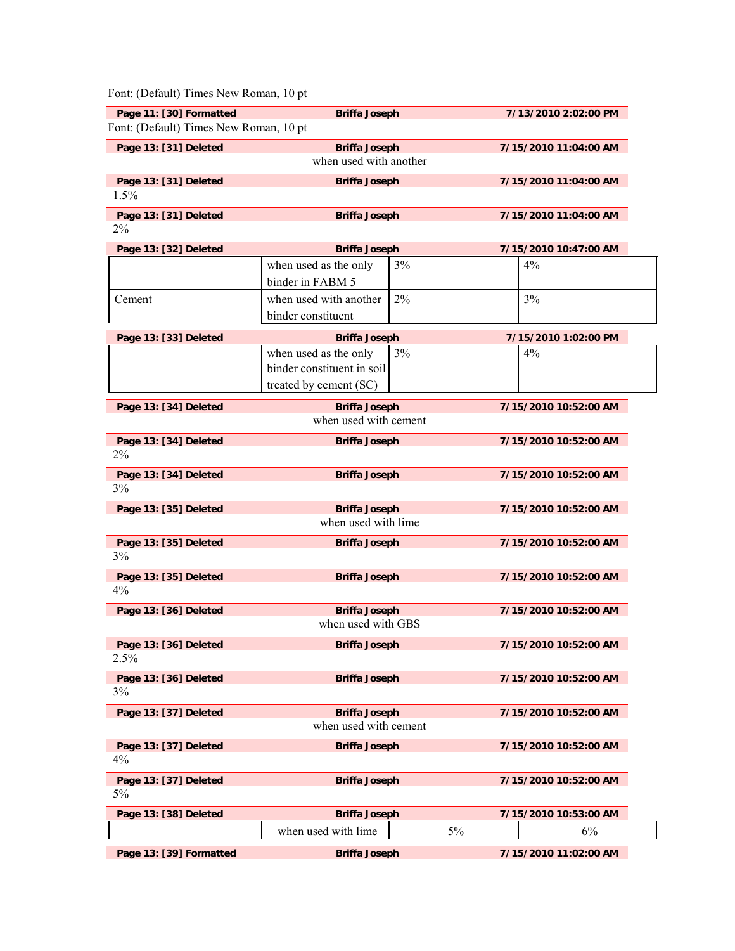| Font: (Default) Times New Roman, 10 pt                            |                            |    |                       |  |
|-------------------------------------------------------------------|----------------------------|----|-----------------------|--|
| Page 11: [30] Formatted<br>Font: (Default) Times New Roman, 10 pt | <b>Briffa Joseph</b>       |    | 7/13/2010 2:02:00 PM  |  |
| Page 13: [31] Deleted                                             | <b>Briffa Joseph</b>       |    | 7/15/2010 11:04:00 AM |  |
|                                                                   | when used with another     |    |                       |  |
| Page 13: [31] Deleted                                             | <b>Briffa Joseph</b>       |    | 7/15/2010 11:04:00 AM |  |
| 1.5%                                                              |                            |    |                       |  |
| Page 13: [31] Deleted                                             | <b>Briffa Joseph</b>       |    | 7/15/2010 11:04:00 AM |  |
| 2%                                                                |                            |    |                       |  |
| Page 13: [32] Deleted                                             | <b>Briffa Joseph</b>       |    | 7/15/2010 10:47:00 AM |  |
|                                                                   | when used as the only      | 3% | 4%                    |  |
|                                                                   | binder in FABM 5           |    |                       |  |
| Cement                                                            | when used with another     | 2% | 3%                    |  |
|                                                                   | binder constituent         |    |                       |  |
| Page 13: [33] Deleted                                             | <b>Briffa Joseph</b>       |    | 7/15/2010 1:02:00 PM  |  |
|                                                                   | when used as the only      | 3% | 4%                    |  |
|                                                                   | binder constituent in soil |    |                       |  |
|                                                                   | treated by cement (SC)     |    |                       |  |
| Page 13: [34] Deleted                                             | <b>Briffa Joseph</b>       |    | 7/15/2010 10:52:00 AM |  |
|                                                                   | when used with cement      |    |                       |  |
| Page 13: [34] Deleted                                             | <b>Briffa Joseph</b>       |    | 7/15/2010 10:52:00 AM |  |
| 2%                                                                |                            |    |                       |  |
| Page 13: [34] Deleted                                             | <b>Briffa Joseph</b>       |    | 7/15/2010 10:52:00 AM |  |
| 3%                                                                |                            |    |                       |  |
| Page 13: [35] Deleted                                             | <b>Briffa Joseph</b>       |    | 7/15/2010 10:52:00 AM |  |
|                                                                   | when used with lime        |    |                       |  |
| Page 13: [35] Deleted                                             | <b>Briffa Joseph</b>       |    | 7/15/2010 10:52:00 AM |  |
| 3%                                                                |                            |    |                       |  |
| Page 13: [35] Deleted                                             | <b>Briffa Joseph</b>       |    | 7/15/2010 10:52:00 AM |  |
| 4%                                                                |                            |    |                       |  |
| Page 13: [36] Deleted                                             | <b>Briffa Joseph</b>       |    | 7/15/2010 10:52:00 AM |  |
|                                                                   | when used with GBS         |    |                       |  |
| Page 13: [36] Deleted                                             | <b>Briffa Joseph</b>       |    | 7/15/2010 10:52:00 AM |  |
| 2.5%                                                              |                            |    |                       |  |
| Page 13: [36] Deleted                                             | <b>Briffa Joseph</b>       |    | 7/15/2010 10:52:00 AM |  |
| 3%                                                                |                            |    |                       |  |
| Page 13: [37] Deleted                                             | <b>Briffa Joseph</b>       |    | 7/15/2010 10:52:00 AM |  |
|                                                                   | when used with cement      |    |                       |  |
| Page 13: [37] Deleted                                             | <b>Briffa Joseph</b>       |    | 7/15/2010 10:52:00 AM |  |
| 4%                                                                |                            |    |                       |  |
| Page 13: [37] Deleted                                             | <b>Briffa Joseph</b>       |    | 7/15/2010 10:52:00 AM |  |
| 5%                                                                |                            |    |                       |  |
| Page 13: [38] Deleted                                             | <b>Briffa Joseph</b>       |    | 7/15/2010 10:53:00 AM |  |
|                                                                   | when used with lime        | 5% | 6%                    |  |
| Page 13: [39] Formatted                                           | <b>Briffa Joseph</b>       |    | 7/15/2010 11:02:00 AM |  |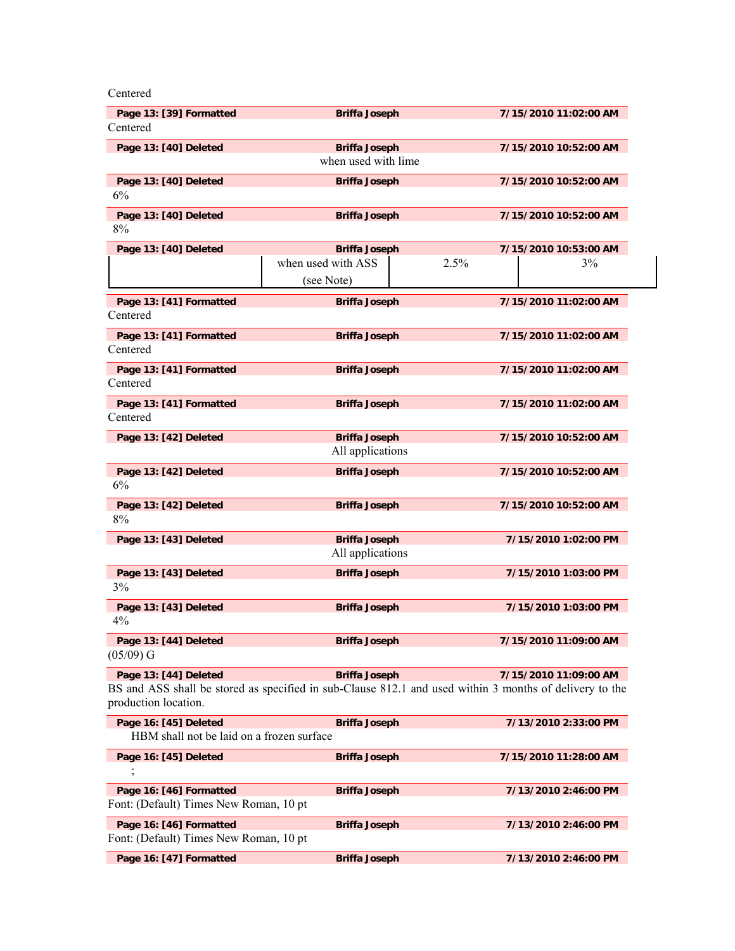Centered

| Page 13: [39] Formatted<br>Centered                                | <b>Briffa Joseph</b>                                                                                                            |      | 7/15/2010 11:02:00 AM |
|--------------------------------------------------------------------|---------------------------------------------------------------------------------------------------------------------------------|------|-----------------------|
| Page 13: [40] Deleted                                              | <b>Briffa Joseph</b>                                                                                                            |      | 7/15/2010 10:52:00 AM |
|                                                                    | when used with lime                                                                                                             |      |                       |
| Page 13: [40] Deleted<br>6%                                        | <b>Briffa Joseph</b>                                                                                                            |      | 7/15/2010 10:52:00 AM |
| Page 13: [40] Deleted<br>8%                                        | <b>Briffa Joseph</b>                                                                                                            |      | 7/15/2010 10:52:00 AM |
| Page 13: [40] Deleted                                              | <b>Briffa Joseph</b>                                                                                                            |      | 7/15/2010 10:53:00 AM |
|                                                                    | when used with ASS                                                                                                              | 2.5% | 3%                    |
|                                                                    | (see Note)                                                                                                                      |      |                       |
| Page 13: [41] Formatted<br>Centered                                | <b>Briffa Joseph</b>                                                                                                            |      | 7/15/2010 11:02:00 AM |
| Page 13: [41] Formatted<br>Centered                                | <b>Briffa Joseph</b>                                                                                                            |      | 7/15/2010 11:02:00 AM |
| Page 13: [41] Formatted<br>Centered                                | <b>Briffa Joseph</b>                                                                                                            |      | 7/15/2010 11:02:00 AM |
| Page 13: [41] Formatted<br>Centered                                | <b>Briffa Joseph</b>                                                                                                            |      | 7/15/2010 11:02:00 AM |
| Page 13: [42] Deleted                                              | <b>Briffa Joseph</b><br>All applications                                                                                        |      | 7/15/2010 10:52:00 AM |
| Page 13: [42] Deleted<br>6%                                        | <b>Briffa Joseph</b>                                                                                                            |      | 7/15/2010 10:52:00 AM |
| Page 13: [42] Deleted<br>8%                                        | <b>Briffa Joseph</b>                                                                                                            |      | 7/15/2010 10:52:00 AM |
| Page 13: [43] Deleted                                              | <b>Briffa Joseph</b>                                                                                                            |      | 7/15/2010 1:02:00 PM  |
|                                                                    | All applications                                                                                                                |      |                       |
| Page 13: [43] Deleted<br>3%                                        | <b>Briffa Joseph</b>                                                                                                            |      | 7/15/2010 1:03:00 PM  |
| Page 13: [43] Deleted<br>4%                                        | <b>Briffa Joseph</b>                                                                                                            |      | 7/15/2010 1:03:00 PM  |
| Page 13: [44] Deleted<br>$(05/09)$ G                               | <b>Briffa Joseph</b>                                                                                                            |      | 7/15/2010 11:09:00 AM |
| Page 13: [44] Deleted<br>production location.                      | <b>Briffa Joseph</b><br>BS and ASS shall be stored as specified in sub-Clause 812.1 and used within 3 months of delivery to the |      | 7/15/2010 11:09:00 AM |
| Page 16: [45] Deleted<br>HBM shall not be laid on a frozen surface | <b>Briffa Joseph</b>                                                                                                            |      | 7/13/2010 2:33:00 PM  |
| Page 16: [45] Deleted                                              | <b>Briffa Joseph</b>                                                                                                            |      | 7/15/2010 11:28:00 AM |
| Page 16: [46] Formatted<br>Font: (Default) Times New Roman, 10 pt  | <b>Briffa Joseph</b>                                                                                                            |      | 7/13/2010 2:46:00 PM  |
| Page 16: [46] Formatted<br>Font: (Default) Times New Roman, 10 pt  | <b>Briffa Joseph</b>                                                                                                            |      | 7/13/2010 2:46:00 PM  |
| Page 16: [47] Formatted                                            | <b>Briffa Joseph</b>                                                                                                            |      | 7/13/2010 2:46:00 PM  |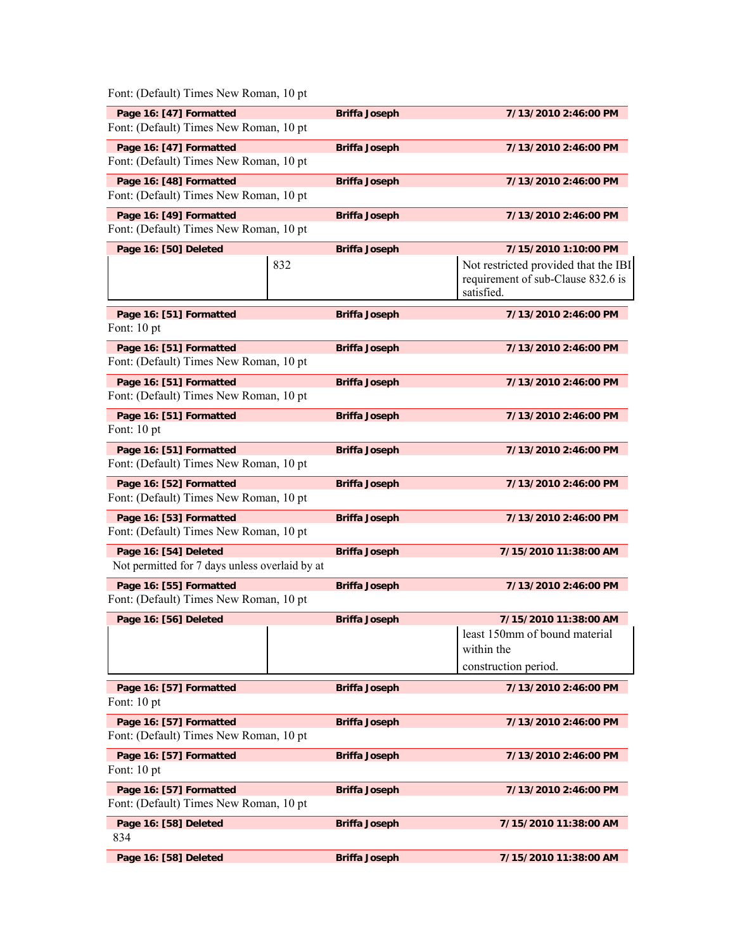| Font: (Default) Times New Roman, 10 pt                                  |                      |                                                                                          |
|-------------------------------------------------------------------------|----------------------|------------------------------------------------------------------------------------------|
| Page 16: [47] Formatted                                                 | <b>Briffa Joseph</b> | 7/13/2010 2:46:00 PM                                                                     |
| Font: (Default) Times New Roman, 10 pt                                  |                      |                                                                                          |
| Page 16: [47] Formatted<br>Font: (Default) Times New Roman, 10 pt       | <b>Briffa Joseph</b> | 7/13/2010 2:46:00 PM                                                                     |
| Page 16: [48] Formatted                                                 | <b>Briffa Joseph</b> | 7/13/2010 2:46:00 PM                                                                     |
| Font: (Default) Times New Roman, 10 pt                                  |                      |                                                                                          |
| Page 16: [49] Formatted<br>Font: (Default) Times New Roman, 10 pt       | <b>Briffa Joseph</b> | 7/13/2010 2:46:00 PM                                                                     |
| Page 16: [50] Deleted                                                   | <b>Briffa Joseph</b> | 7/15/2010 1:10:00 PM                                                                     |
| 832                                                                     |                      | Not restricted provided that the IBI<br>requirement of sub-Clause 832.6 is<br>satisfied. |
| Page 16: [51] Formatted<br>Font: 10 pt                                  | <b>Briffa Joseph</b> | 7/13/2010 2:46:00 PM                                                                     |
| Page 16: [51] Formatted<br>Font: (Default) Times New Roman, 10 pt       | <b>Briffa Joseph</b> | 7/13/2010 2:46:00 PM                                                                     |
| Page 16: [51] Formatted<br>Font: (Default) Times New Roman, 10 pt       | <b>Briffa Joseph</b> | 7/13/2010 2:46:00 PM                                                                     |
| Page 16: [51] Formatted<br>Font: 10 pt                                  | <b>Briffa Joseph</b> | 7/13/2010 2:46:00 PM                                                                     |
| Page 16: [51] Formatted<br>Font: (Default) Times New Roman, 10 pt       | <b>Briffa Joseph</b> | 7/13/2010 2:46:00 PM                                                                     |
| Page 16: [52] Formatted<br>Font: (Default) Times New Roman, 10 pt       | <b>Briffa Joseph</b> | 7/13/2010 2:46:00 PM                                                                     |
| Page 16: [53] Formatted<br>Font: (Default) Times New Roman, 10 pt       | <b>Briffa Joseph</b> | 7/13/2010 2:46:00 PM                                                                     |
| Page 16: [54] Deleted<br>Not permitted for 7 days unless overlaid by at | <b>Briffa Joseph</b> | 7/15/2010 11:38:00 AM                                                                    |
| Page 16: [55] Formatted<br>Font: (Default) Times New Roman, 10 pt       | <b>Briffa Joseph</b> | 7/13/2010 2:46:00 PM                                                                     |
| Page 16: [56] Deleted                                                   | <b>Briffa Joseph</b> | 7/15/2010 11:38:00 AM                                                                    |
|                                                                         |                      | least 150mm of bound material                                                            |
|                                                                         |                      | within the<br>construction period.                                                       |
|                                                                         |                      |                                                                                          |
| Page 16: [57] Formatted<br>Font: 10 pt                                  | <b>Briffa Joseph</b> | 7/13/2010 2:46:00 PM                                                                     |
| Page 16: [57] Formatted<br>Font: (Default) Times New Roman, 10 pt       | <b>Briffa Joseph</b> | 7/13/2010 2:46:00 PM                                                                     |
| Page 16: [57] Formatted<br>Font: 10 pt                                  | <b>Briffa Joseph</b> | 7/13/2010 2:46:00 PM                                                                     |
| Page 16: [57] Formatted<br>Font: (Default) Times New Roman, 10 pt       | <b>Briffa Joseph</b> | 7/13/2010 2:46:00 PM                                                                     |
| Page 16: [58] Deleted<br>834                                            | <b>Briffa Joseph</b> | 7/15/2010 11:38:00 AM                                                                    |
| Page 16: [58] Deleted                                                   | <b>Briffa Joseph</b> | 7/15/2010 11:38:00 AM                                                                    |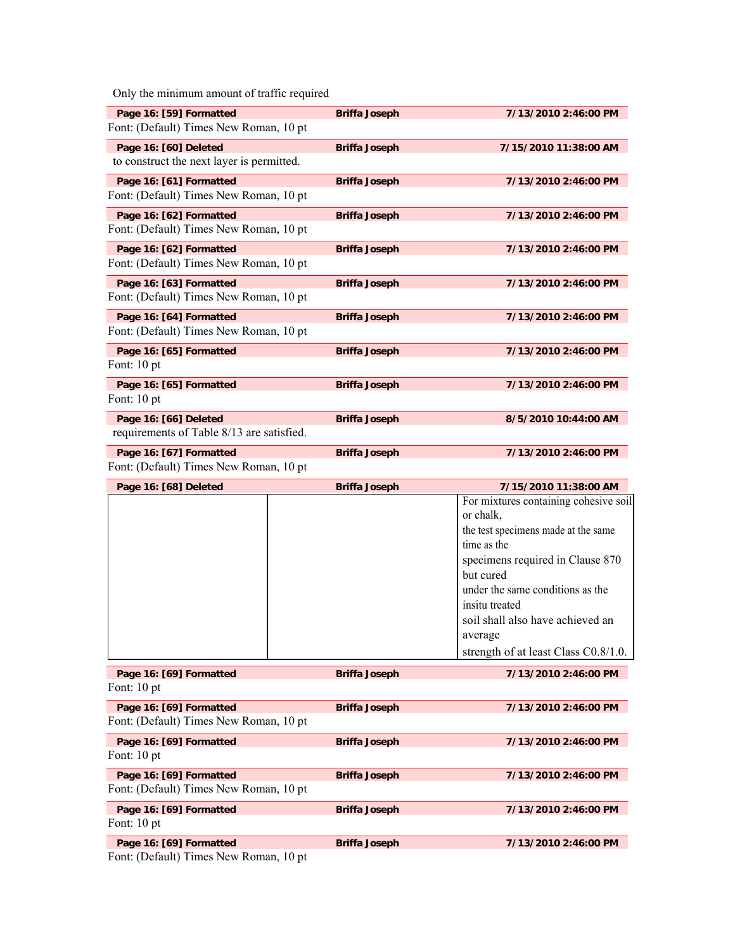Only the minimum amount of traffic required

| Page 16: [59] Formatted                   | <b>Briffa Joseph</b> | 7/13/2010 2:46:00 PM  |
|-------------------------------------------|----------------------|-----------------------|
| Font: (Default) Times New Roman, 10 pt    |                      |                       |
| Page 16: [60] Deleted                     | <b>Briffa Joseph</b> | 7/15/2010 11:38:00 AM |
| to construct the next layer is permitted. |                      |                       |
| Page 16: [61] Formatted                   | <b>Briffa Joseph</b> | 7/13/2010 2:46:00 PM  |
| Font: (Default) Times New Roman, 10 pt    |                      |                       |
| Page 16: [62] Formatted                   | <b>Briffa Joseph</b> | 7/13/2010 2:46:00 PM  |
| Font: (Default) Times New Roman, 10 pt    |                      |                       |
| Page 16: [62] Formatted                   | <b>Briffa Joseph</b> | 7/13/2010 2:46:00 PM  |
| Font: (Default) Times New Roman, 10 pt    |                      |                       |
| Page 16: [63] Formatted                   | <b>Briffa Joseph</b> | 7/13/2010 2:46:00 PM  |
| Font: (Default) Times New Roman, 10 pt    |                      |                       |
| Page 16: [64] Formatted                   | <b>Briffa Joseph</b> | 7/13/2010 2:46:00 PM  |
| Font: (Default) Times New Roman, 10 pt.   |                      |                       |
| Page 16: [65] Formatted                   | <b>Briffa Joseph</b> | 7/13/2010 2:46:00 PM  |
| Font: 10 pt                               |                      |                       |
| Page 16: [65] Formatted                   | <b>Briffa Joseph</b> | 7/13/2010 2:46:00 PM  |
| Font: 10 pt                               |                      |                       |
| Page 16: [66] Deleted                     | <b>Briffa Joseph</b> | 8/5/2010 10:44:00 AM  |
| requirements of Table 8/13 are satisfied. |                      |                       |
| Page 16: [67] Formatted                   | <b>Briffa Joseph</b> | 7/13/2010 2:46:00 PM  |
| Font: (Default) Times New Roman, 10 pt    |                      |                       |

**Page 16: [68] Deleted Briffa Joseph 7/15/2010 11:38:00 AM**  For mixtures containing cohesive soil or chalk, the test specimens made at the same time as the specimens required in Clause 870 but cured under the same conditions as the insitu treated soil shall also have achieved an average strength of at least Class C0.8/1.0.

Page 16: [69] Formatted **Briffa Joseph 7/13/2010 2:46:00 PM** Font: 10 pt

| Page 16: [69] Formatted                 | <b>Briffa Joseph</b> | 7/13/2010 2:46:00 PM |
|-----------------------------------------|----------------------|----------------------|
| Font: (Default) Times New Roman, 10 pt  |                      |                      |
| Page 16: [69] Formatted                 | <b>Briffa Joseph</b> | 7/13/2010 2:46:00 PM |
| Font: $10 pt$                           |                      |                      |
| Page 16: [69] Formatted                 | <b>Briffa Joseph</b> | 7/13/2010 2:46:00 PM |
| Font: (Default) Times New Roman, 10 pt. |                      |                      |
| Page 16: [69] Formatted                 | <b>Briffa Joseph</b> | 7/13/2010 2:46:00 PM |
| Font: $10 pt$                           |                      |                      |
| Page 16: [69] Formatted                 | <b>Briffa Joseph</b> | 7/13/2010 2:46:00 PM |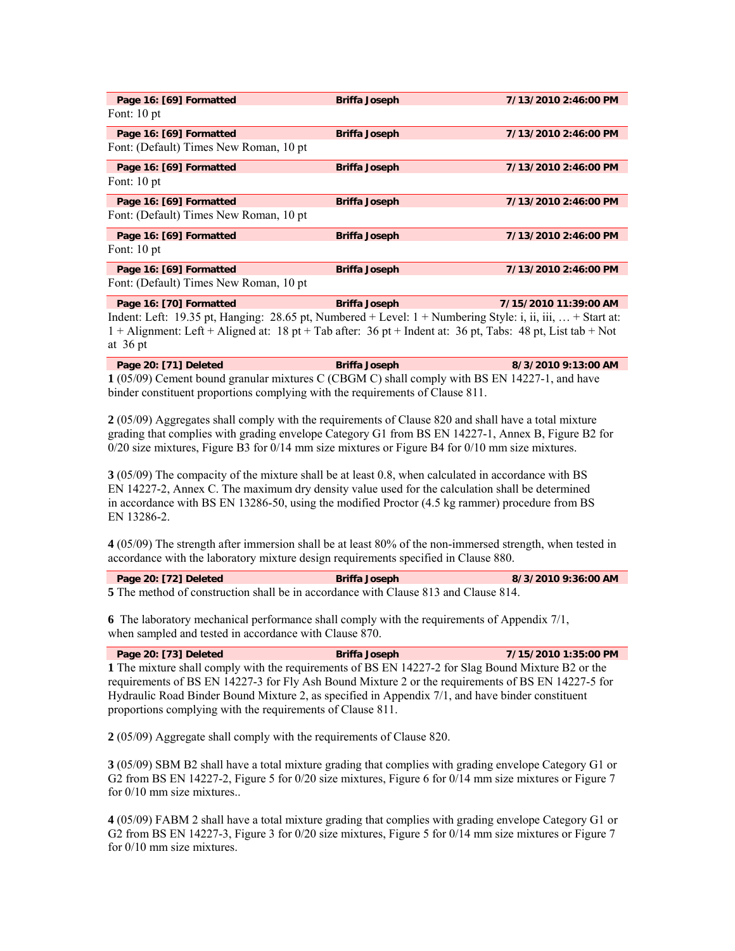| Page 16: [69] Formatted                 | <b>Briffa Joseph</b> | 7/13/2010 2:46:00 PM |
|-----------------------------------------|----------------------|----------------------|
| Font: $10 pt$                           |                      |                      |
| Page 16: [69] Formatted                 | <b>Briffa Joseph</b> | 7/13/2010 2:46:00 PM |
| Font: (Default) Times New Roman, 10 pt. |                      |                      |
| Page 16: [69] Formatted                 | <b>Briffa Joseph</b> | 7/13/2010 2:46:00 PM |
| Font: $10 pt$                           |                      |                      |
| Page 16: [69] Formatted                 | <b>Briffa Joseph</b> | 7/13/2010 2:46:00 PM |
| Font: (Default) Times New Roman, 10 pt. |                      |                      |
| Page 16: [69] Formatted                 | <b>Briffa Joseph</b> | 7/13/2010 2:46:00 PM |
| Font: $10 pt$                           |                      |                      |
| Page 16: [69] Formatted                 | <b>Briffa Joseph</b> | 7/13/2010 2:46:00 PM |
| Font: (Default) Times New Roman, 10 pt  |                      |                      |

**Page 16: [70] Formatted Briffa Joseph 7/15/2010 11:39:00 AM**  Indent: Left: 19.35 pt, Hanging: 28.65 pt, Numbered + Level: 1 + Numbering Style: i, ii, iii, … + Start at: 1 + Alignment: Left + Aligned at: 18 pt + Tab after: 36 pt + Indent at: 36 pt, Tabs: 48 pt, List tab + Not at 36 pt

| Page 20: [71] Deleted | <b>Briffa Joseph</b>                                                                           | 8/3/2010 9:13:00 AM |
|-----------------------|------------------------------------------------------------------------------------------------|---------------------|
|                       | $1(05/00)$ Cement bound grapplar mixtures C (CBCM C) shall comply with RS EN 14227-1, and have |                     |

**1** (05/09) Cement bound granular mixtures C (CBGM C) shall comply with BS EN 14227-1, and have binder constituent proportions complying with the requirements of Clause 811.

**2** (05/09) Aggregates shall comply with the requirements of Clause 820 and shall have a total mixture grading that complies with grading envelope Category G1 from BS EN 14227-1, Annex B, Figure B2 for 0/20 size mixtures, Figure B3 for 0/14 mm size mixtures or Figure B4 for 0/10 mm size mixtures.

**3** (05/09) The compacity of the mixture shall be at least 0.8, when calculated in accordance with BS EN 14227-2, Annex C. The maximum dry density value used for the calculation shall be determined in accordance with BS EN 13286-50, using the modified Proctor (4.5 kg rammer) procedure from BS EN 13286-2.

**4** (05/09) The strength after immersion shall be at least 80% of the non-immersed strength, when tested in accordance with the laboratory mixture design requirements specified in Clause 880.

| Page 20: [72] Deleted | <b>Briffa Joseph</b>                                                                       | 8/3/2010 9:36:00 AM |
|-----------------------|--------------------------------------------------------------------------------------------|---------------------|
|                       | <b>5</b> The method of construction shall be in accordance with Clause 813 and Clause 814. |                     |

**6** The laboratory mechanical performance shall comply with the requirements of Appendix 7/1, when sampled and tested in accordance with Clause 870.

| Page 20: [73] Deleted                                                                              | <b>Briffa Joseph</b> | 7/15/2010 1:35:00 PM |  |
|----------------------------------------------------------------------------------------------------|----------------------|----------------------|--|
| 1 The mixture shall comply with the requirements of BS EN 14227-2 for Slag Bound Mixture B2 or the |                      |                      |  |
| requirements of BS EN 14227-3 for Fly Ash Bound Mixture 2 or the requirements of BS EN 14227-5 for |                      |                      |  |
| Hydraulic Road Binder Bound Mixture 2, as specified in Appendix 7/1, and have binder constituent   |                      |                      |  |
| proportions complying with the requirements of Clause 811.                                         |                      |                      |  |

**2** (05/09) Aggregate shall comply with the requirements of Clause 820.

**3** (05/09) SBM B2 shall have a total mixture grading that complies with grading envelope Category G1 or G2 from BS EN 14227-2, Figure 5 for 0/20 size mixtures, Figure 6 for 0/14 mm size mixtures or Figure 7 for 0/10 mm size mixtures..

**4** (05/09) FABM 2 shall have a total mixture grading that complies with grading envelope Category G1 or G2 from BS EN 14227-3, Figure 3 for 0/20 size mixtures, Figure 5 for 0/14 mm size mixtures or Figure 7 for 0/10 mm size mixtures.